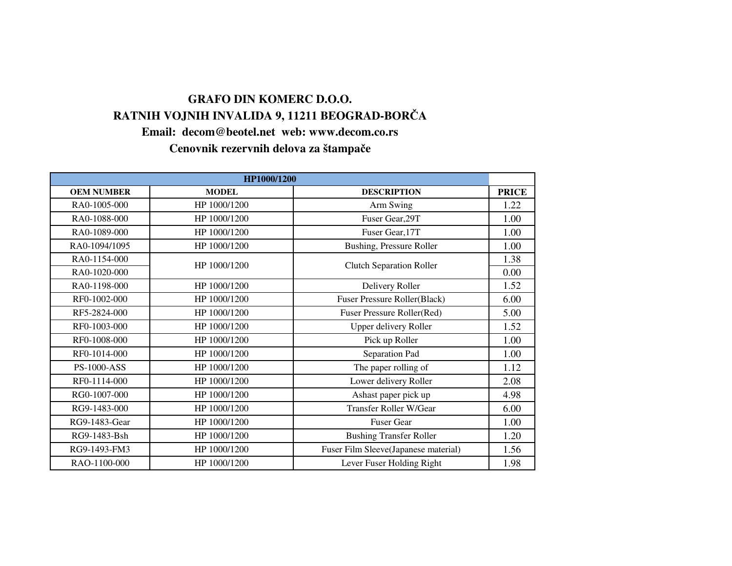## **Email: decom@beotel.net web: www.decom.co.rsGRAFO DIN KOMERC D.O.O.RATNIH VOJNIH INVALIDA 9, 11211 BEOGRAD-BOR**Č**A**

**Cenovnik rezervnih delova za štampa**č**e**

| HP1000/1200        |              |                                      |              |
|--------------------|--------------|--------------------------------------|--------------|
| <b>OEM NUMBER</b>  | <b>MODEL</b> | <b>DESCRIPTION</b>                   | <b>PRICE</b> |
| RA0-1005-000       | HP 1000/1200 | Arm Swing                            | 1.22         |
| RA0-1088-000       | HP 1000/1200 | Fuser Gear, 29T                      | 1.00         |
| RA0-1089-000       | HP 1000/1200 | Fuser Gear, 17T                      | 1.00         |
| RA0-1094/1095      | HP 1000/1200 | Bushing, Pressure Roller             | 1.00         |
| RA0-1154-000       | HP 1000/1200 |                                      | 1.38         |
| RA0-1020-000       |              | <b>Clutch Separation Roller</b>      | 0.00         |
| RA0-1198-000       | HP 1000/1200 | Delivery Roller                      | 1.52         |
| RF0-1002-000       | HP 1000/1200 | <b>Fuser Pressure Roller(Black)</b>  | 6.00         |
| RF5-2824-000       | HP 1000/1200 | Fuser Pressure Roller(Red)           | 5.00         |
| RF0-1003-000       | HP 1000/1200 | Upper delivery Roller                | 1.52         |
| RF0-1008-000       | HP 1000/1200 | Pick up Roller                       | 1.00         |
| RF0-1014-000       | HP 1000/1200 | Separation Pad                       | 1.00         |
| <b>PS-1000-ASS</b> | HP 1000/1200 | The paper rolling of                 | 1.12         |
| RF0-1114-000       | HP 1000/1200 | Lower delivery Roller                | 2.08         |
| RG0-1007-000       | HP 1000/1200 | Ashast paper pick up                 | 4.98         |
| RG9-1483-000       | HP 1000/1200 | Transfer Roller W/Gear               | 6.00         |
| RG9-1483-Gear      | HP 1000/1200 | <b>Fuser Gear</b>                    | 1.00         |
| RG9-1483-Bsh       | HP 1000/1200 | <b>Bushing Transfer Roller</b>       | 1.20         |
| RG9-1493-FM3       | HP 1000/1200 | Fuser Film Sleeve(Japanese material) | 1.56         |
| RAO-1100-000       | HP 1000/1200 | Lever Fuser Holding Right            | 1.98         |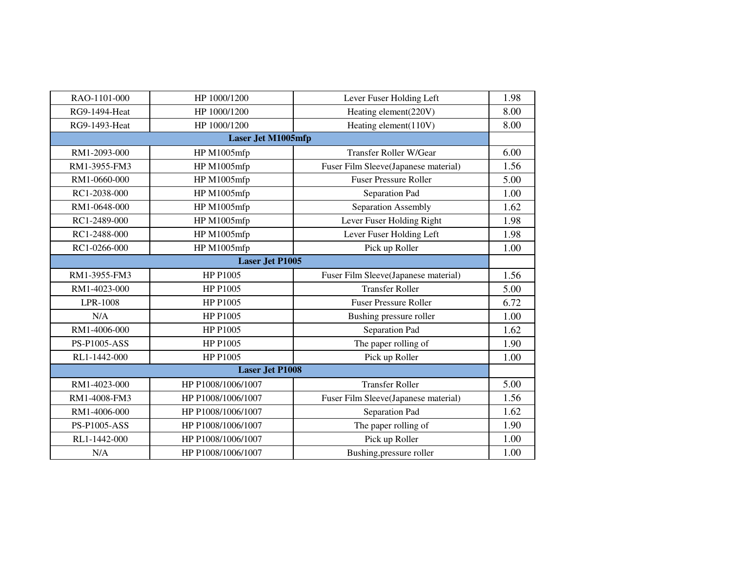| RAO-1101-000           | HP 1000/1200              | Lever Fuser Holding Left             | 1.98 |  |
|------------------------|---------------------------|--------------------------------------|------|--|
| <b>RG9-1494-Heat</b>   | HP 1000/1200              | Heating element(220V)                | 8.00 |  |
| RG9-1493-Heat          | HP 1000/1200              | Heating element(110V)                | 8.00 |  |
|                        | <b>Laser Jet M1005mfp</b> |                                      |      |  |
| RM1-2093-000           | HP M1005mfp               | <b>Transfer Roller W/Gear</b>        | 6.00 |  |
| RM1-3955-FM3           | HP M1005mfp               | Fuser Film Sleeve(Japanese material) | 1.56 |  |
| RM1-0660-000           | HP M1005mfp               | <b>Fuser Pressure Roller</b>         | 5.00 |  |
| RC1-2038-000           | HP M1005mfp               | Separation Pad                       | 1.00 |  |
| RM1-0648-000           | HP M1005mfp               | Separation Assembly                  | 1.62 |  |
| RC1-2489-000           | HP M1005mfp               | Lever Fuser Holding Right            | 1.98 |  |
| RC1-2488-000           | HP M1005mfp               | Lever Fuser Holding Left             | 1.98 |  |
| RC1-0266-000           | HP M1005mfp               | Pick up Roller                       | 1.00 |  |
| <b>Laser Jet P1005</b> |                           |                                      |      |  |
| RM1-3955-FM3           | HP P1005                  | Fuser Film Sleeve(Japanese material) | 1.56 |  |
| RM1-4023-000           | HP P1005                  | <b>Transfer Roller</b>               | 5.00 |  |
| LPR-1008               | HP P1005                  | <b>Fuser Pressure Roller</b>         | 6.72 |  |
| N/A                    | HP P1005                  | Bushing pressure roller              | 1.00 |  |
| RM1-4006-000           | HP P1005                  | Separation Pad                       | 1.62 |  |
| PS-P1005-ASS           | HP P1005                  | The paper rolling of                 | 1.90 |  |
| RL1-1442-000           | HP P1005                  | Pick up Roller                       | 1.00 |  |
|                        | <b>Laser Jet P1008</b>    |                                      |      |  |
| RM1-4023-000           | HP P1008/1006/1007        | <b>Transfer Roller</b>               | 5.00 |  |
| RM1-4008-FM3           | HP P1008/1006/1007        | Fuser Film Sleeve(Japanese material) | 1.56 |  |
| RM1-4006-000           | HP P1008/1006/1007        | Separation Pad                       | 1.62 |  |
| <b>PS-P1005-ASS</b>    | HP P1008/1006/1007        | The paper rolling of                 | 1.90 |  |
| RL1-1442-000           | HP P1008/1006/1007        | Pick up Roller                       | 1.00 |  |
| N/A                    | HP P1008/1006/1007        | Bushing, pressure roller             | 1.00 |  |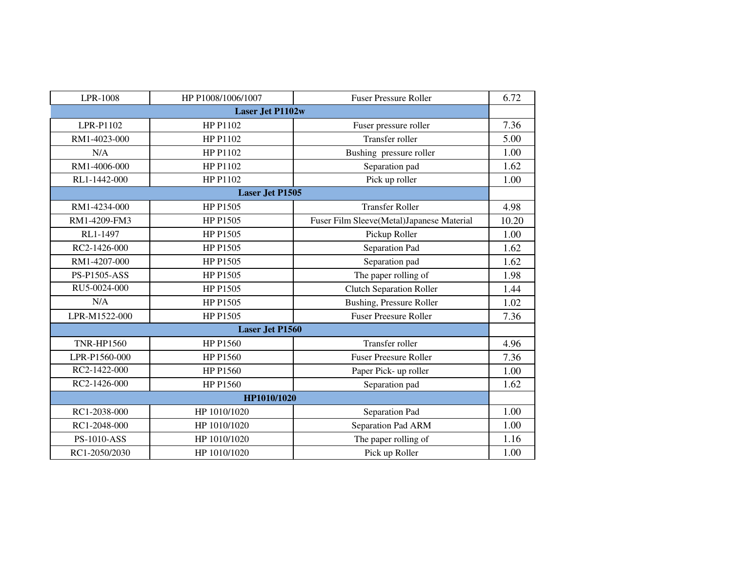| LPR-1008            | HP P1008/1006/1007      | <b>Fuser Pressure Roller</b>              | 6.72  |  |  |
|---------------------|-------------------------|-------------------------------------------|-------|--|--|
|                     | <b>Laser Jet P1102w</b> |                                           |       |  |  |
| LPR-P1102           | HP P1102                | Fuser pressure roller                     | 7.36  |  |  |
| RM1-4023-000        | HP P1102                | Transfer roller                           | 5.00  |  |  |
| N/A                 | HP P1102                | Bushing pressure roller                   | 1.00  |  |  |
| RM1-4006-000        | HP P1102                | Separation pad                            | 1.62  |  |  |
| RL1-1442-000        | HP P1102                | Pick up roller                            | 1.00  |  |  |
|                     | <b>Laser Jet P1505</b>  |                                           |       |  |  |
| RM1-4234-000        | HP P1505                | <b>Transfer Roller</b>                    | 4.98  |  |  |
| RM1-4209-FM3        | HP P1505                | Fuser Film Sleeve(Metal)Japanese Material | 10.20 |  |  |
| RL1-1497            | HP P1505                | Pickup Roller                             | 1.00  |  |  |
| RC2-1426-000        | HP P1505                | Separation Pad                            | 1.62  |  |  |
| RM1-4207-000        | HP P1505                | Separation pad                            | 1.62  |  |  |
| <b>PS-P1505-ASS</b> | HP P1505                | The paper rolling of                      | 1.98  |  |  |
| RU5-0024-000        | HP P1505                | <b>Clutch Separation Roller</b>           | 1.44  |  |  |
| N/A                 | HP P1505                | <b>Bushing, Pressure Roller</b>           | 1.02  |  |  |
| LPR-M1522-000       | HP P1505                | <b>Fuser Preesure Roller</b>              | 7.36  |  |  |
|                     | <b>Laser Jet P1560</b>  |                                           |       |  |  |
| <b>TNR-HP1560</b>   | HP P1560                | Transfer roller                           | 4.96  |  |  |
| LPR-P1560-000       | HP P1560                | <b>Fuser Preesure Roller</b>              | 7.36  |  |  |
| RC2-1422-000        | HP P1560                | Paper Pick- up roller                     | 1.00  |  |  |
| RC2-1426-000        | HP P1560                | Separation pad                            | 1.62  |  |  |
| HP1010/1020         |                         |                                           |       |  |  |
| RC1-2038-000        | HP 1010/1020            | Separation Pad                            | 1.00  |  |  |
| RC1-2048-000        | HP 1010/1020            | Separation Pad ARM                        | 1.00  |  |  |
| <b>PS-1010-ASS</b>  | HP 1010/1020            | The paper rolling of                      | 1.16  |  |  |
| RC1-2050/2030       | HP 1010/1020            | Pick up Roller                            | 1.00  |  |  |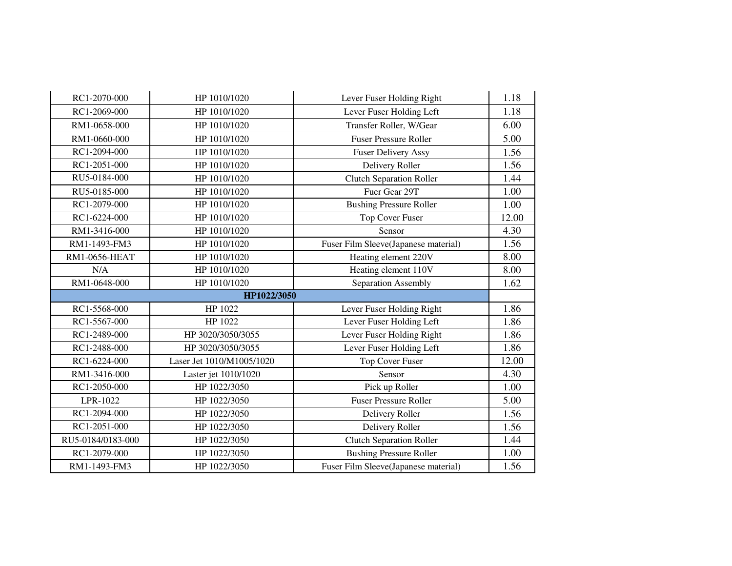| RC1-2070-000      | HP 1010/1020              | Lever Fuser Holding Right            | 1.18  |  |
|-------------------|---------------------------|--------------------------------------|-------|--|
| RC1-2069-000      | HP 1010/1020              | Lever Fuser Holding Left             | 1.18  |  |
| RM1-0658-000      | HP 1010/1020              | Transfer Roller, W/Gear              | 6.00  |  |
| RM1-0660-000      | HP 1010/1020              | <b>Fuser Pressure Roller</b>         | 5.00  |  |
| RC1-2094-000      | HP 1010/1020              | <b>Fuser Delivery Assy</b>           | 1.56  |  |
| RC1-2051-000      | HP 1010/1020              | Delivery Roller                      | 1.56  |  |
| RU5-0184-000      | HP 1010/1020              | <b>Clutch Separation Roller</b>      | 1.44  |  |
| RU5-0185-000      | HP 1010/1020              | Fuer Gear 29T                        | 1.00  |  |
| RC1-2079-000      | HP 1010/1020              | <b>Bushing Pressure Roller</b>       | 1.00  |  |
| RC1-6224-000      | HP 1010/1020              | <b>Top Cover Fuser</b>               | 12.00 |  |
| RM1-3416-000      | HP 1010/1020              | Sensor                               | 4.30  |  |
| RM1-1493-FM3      | HP 1010/1020              | Fuser Film Sleeve(Japanese material) | 1.56  |  |
| RM1-0656-HEAT     | HP 1010/1020              | Heating element 220V                 | 8.00  |  |
| N/A               | HP 1010/1020              | Heating element 110V                 | 8.00  |  |
| RM1-0648-000      | HP 1010/1020              | Separation Assembly                  | 1.62  |  |
| HP1022/3050       |                           |                                      |       |  |
| RC1-5568-000      | HP 1022                   | Lever Fuser Holding Right            | 1.86  |  |
| RC1-5567-000      | HP 1022                   | Lever Fuser Holding Left             | 1.86  |  |
| RC1-2489-000      | HP 3020/3050/3055         | Lever Fuser Holding Right            | 1.86  |  |
| RC1-2488-000      | HP 3020/3050/3055         | Lever Fuser Holding Left             | 1.86  |  |
| RC1-6224-000      | Laser Jet 1010/M1005/1020 | <b>Top Cover Fuser</b>               | 12.00 |  |
| RM1-3416-000      | Laster jet 1010/1020      | Sensor                               | 4.30  |  |
| RC1-2050-000      | HP 1022/3050              | Pick up Roller                       | 1.00  |  |
| LPR-1022          | HP 1022/3050              | <b>Fuser Pressure Roller</b>         | 5.00  |  |
| RC1-2094-000      | HP 1022/3050              | Delivery Roller                      | 1.56  |  |
| RC1-2051-000      | HP 1022/3050              | Delivery Roller                      | 1.56  |  |
| RU5-0184/0183-000 | HP 1022/3050              | <b>Clutch Separation Roller</b>      | 1.44  |  |
| RC1-2079-000      | HP 1022/3050              | <b>Bushing Pressure Roller</b>       | 1.00  |  |
| RM1-1493-FM3      | HP 1022/3050              | Fuser Film Sleeve(Japanese material) | 1.56  |  |
|                   |                           |                                      |       |  |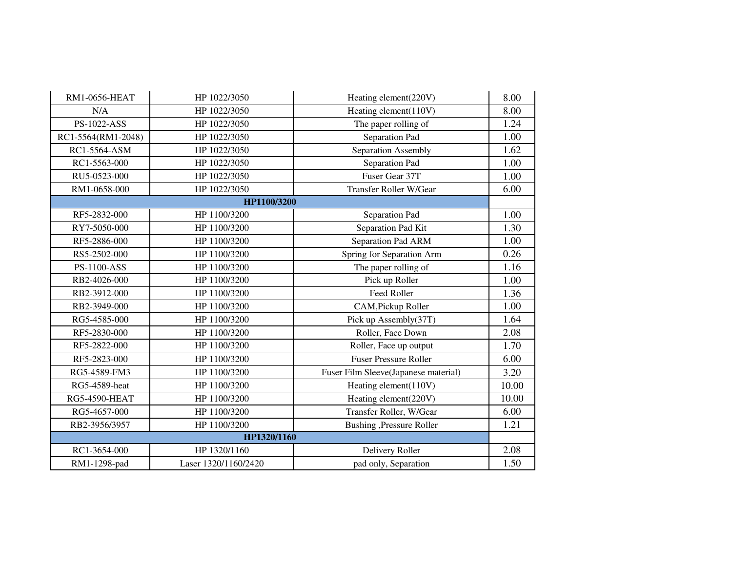| RM1-0656-HEAT        | HP 1022/3050         | Heating element(220V)                | 8.00  |
|----------------------|----------------------|--------------------------------------|-------|
| N/A                  | HP 1022/3050         | Heating element(110V)                | 8.00  |
| PS-1022-ASS          | HP 1022/3050         | The paper rolling of                 | 1.24  |
| RC1-5564(RM1-2048)   | HP 1022/3050         | Separation Pad                       | 1.00  |
| RC1-5564-ASM         | HP 1022/3050         | Separation Assembly                  | 1.62  |
| RC1-5563-000         | HP 1022/3050         | Separation Pad                       | 1.00  |
| RU5-0523-000         | HP 1022/3050         | Fuser Gear 37T                       | 1.00  |
| RM1-0658-000         | HP 1022/3050         | <b>Transfer Roller W/Gear</b>        | 6.00  |
|                      | HP1100/3200          |                                      |       |
| RF5-2832-000         | HP 1100/3200         | Separation Pad                       | 1.00  |
| RY7-5050-000         | HP 1100/3200         | Separation Pad Kit                   | 1.30  |
| RF5-2886-000         | HP 1100/3200         | Separation Pad ARM                   | 1.00  |
| RS5-2502-000         | HP 1100/3200         | Spring for Separation Arm            | 0.26  |
| <b>PS-1100-ASS</b>   | HP 1100/3200         | The paper rolling of                 | 1.16  |
| RB2-4026-000         | HP 1100/3200         | Pick up Roller                       | 1.00  |
| RB2-3912-000         | HP 1100/3200         | Feed Roller                          | 1.36  |
| RB2-3949-000         | HP 1100/3200         | CAM, Pickup Roller                   | 1.00  |
| RG5-4585-000         | HP 1100/3200         | Pick up Assembly(37T)                | 1.64  |
| RF5-2830-000         | HP 1100/3200         | Roller, Face Down                    | 2.08  |
| RF5-2822-000         | HP 1100/3200         | Roller, Face up output               | 1.70  |
| RF5-2823-000         | HP 1100/3200         | <b>Fuser Pressure Roller</b>         | 6.00  |
| RG5-4589-FM3         | HP 1100/3200         | Fuser Film Sleeve(Japanese material) | 3.20  |
| RG5-4589-heat        | HP 1100/3200         | Heating element(110V)                | 10.00 |
| <b>RG5-4590-HEAT</b> | HP 1100/3200         | Heating element(220V)                | 10.00 |
| RG5-4657-000         | HP 1100/3200         | Transfer Roller, W/Gear              | 6.00  |
| RB2-3956/3957        | HP 1100/3200         | Bushing ,Pressure Roller             | 1.21  |
|                      | HP1320/1160          |                                      |       |
| RC1-3654-000         | HP 1320/1160         | Delivery Roller                      | 2.08  |
| RM1-1298-pad         | Laser 1320/1160/2420 | pad only, Separation                 | 1.50  |
|                      |                      |                                      |       |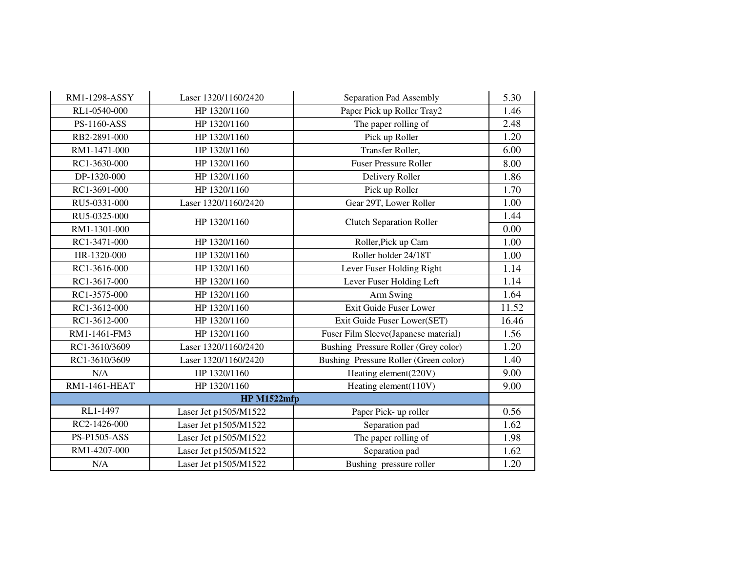| RM1-1298-ASSY       | Laser 1320/1160/2420  | Separation Pad Assembly               | 5.30  |  |
|---------------------|-----------------------|---------------------------------------|-------|--|
| RL1-0540-000        | HP 1320/1160          | Paper Pick up Roller Tray2            | 1.46  |  |
| PS-1160-ASS         | HP 1320/1160          | The paper rolling of                  | 2.48  |  |
| RB2-2891-000        | HP 1320/1160          | Pick up Roller                        | 1.20  |  |
| RM1-1471-000        | HP 1320/1160          | Transfer Roller,                      | 6.00  |  |
| RC1-3630-000        | HP 1320/1160          | <b>Fuser Pressure Roller</b>          | 8.00  |  |
| DP-1320-000         | HP 1320/1160          | Delivery Roller                       | 1.86  |  |
| RC1-3691-000        | HP 1320/1160          | Pick up Roller                        | 1.70  |  |
| RU5-0331-000        | Laser 1320/1160/2420  | Gear 29T, Lower Roller                | 1.00  |  |
| RU5-0325-000        |                       |                                       | 1.44  |  |
| RM1-1301-000        | HP 1320/1160          | <b>Clutch Separation Roller</b>       | 0.00  |  |
| RC1-3471-000        | HP 1320/1160          | Roller, Pick up Cam                   | 1.00  |  |
| HR-1320-000         | HP 1320/1160          | Roller holder 24/18T                  | 1.00  |  |
| RC1-3616-000        | HP 1320/1160          | Lever Fuser Holding Right             | 1.14  |  |
| RC1-3617-000        | HP 1320/1160          | Lever Fuser Holding Left              | 1.14  |  |
| RC1-3575-000        | HP 1320/1160          | Arm Swing                             | 1.64  |  |
| RC1-3612-000        | HP 1320/1160          | Exit Guide Fuser Lower                | 11.52 |  |
| RC1-3612-000        | HP 1320/1160          | Exit Guide Fuser Lower(SET)           | 16.46 |  |
| RM1-1461-FM3        | HP 1320/1160          | Fuser Film Sleeve(Japanese material)  | 1.56  |  |
| RC1-3610/3609       | Laser 1320/1160/2420  | Bushing Pressure Roller (Grey color)  | 1.20  |  |
| RC1-3610/3609       | Laser 1320/1160/2420  | Bushing Pressure Roller (Green color) | 1.40  |  |
| N/A                 | HP 1320/1160          | Heating element(220V)                 | 9.00  |  |
| RM1-1461-HEAT       | HP 1320/1160          | Heating element(110V)                 | 9.00  |  |
| <b>HP M1522mfp</b>  |                       |                                       |       |  |
| RL1-1497            | Laser Jet p1505/M1522 | Paper Pick- up roller                 | 0.56  |  |
| RC2-1426-000        | Laser Jet p1505/M1522 | Separation pad                        | 1.62  |  |
| <b>PS-P1505-ASS</b> | Laser Jet p1505/M1522 | The paper rolling of                  | 1.98  |  |
| RM1-4207-000        | Laser Jet p1505/M1522 | Separation pad                        | 1.62  |  |
| N/A                 | Laser Jet p1505/M1522 | Bushing pressure roller               | 1.20  |  |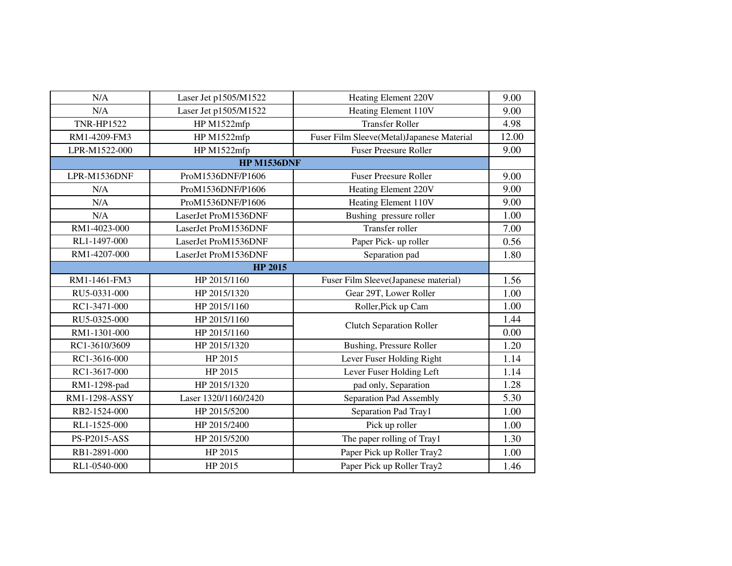| N/A                  | Laser Jet p1505/M1522 | Heating Element 220V                      | 9.00  |  |
|----------------------|-----------------------|-------------------------------------------|-------|--|
| N/A                  | Laser Jet p1505/M1522 | Heating Element 110V                      | 9.00  |  |
| <b>TNR-HP1522</b>    | HP M1522mfp           | <b>Transfer Roller</b>                    | 4.98  |  |
| RM1-4209-FM3         | HP M1522mfp           | Fuser Film Sleeve(Metal)Japanese Material | 12.00 |  |
| LPR-M1522-000        | HP M1522mfp           | <b>Fuser Preesure Roller</b>              | 9.00  |  |
| <b>HP M1536DNF</b>   |                       |                                           |       |  |
| LPR-M1536DNF         | ProM1536DNF/P1606     | <b>Fuser Preesure Roller</b>              | 9.00  |  |
| N/A                  | ProM1536DNF/P1606     | Heating Element 220V                      | 9.00  |  |
| N/A                  | ProM1536DNF/P1606     | Heating Element 110V                      | 9.00  |  |
| N/A                  | LaserJet ProM1536DNF  | Bushing pressure roller                   | 1.00  |  |
| RM1-4023-000         | LaserJet ProM1536DNF  | Transfer roller                           | 7.00  |  |
| RL1-1497-000         | LaserJet ProM1536DNF  | Paper Pick- up roller                     | 0.56  |  |
| RM1-4207-000         | LaserJet ProM1536DNF  | Separation pad                            | 1.80  |  |
| <b>HP 2015</b>       |                       |                                           |       |  |
| RM1-1461-FM3         | HP 2015/1160          | Fuser Film Sleeve(Japanese material)      | 1.56  |  |
| RU5-0331-000         | HP 2015/1320          | Gear 29T, Lower Roller                    | 1.00  |  |
| RC1-3471-000         | HP 2015/1160          | Roller, Pick up Cam                       | 1.00  |  |
| RU5-0325-000         | HP 2015/1160          | <b>Clutch Separation Roller</b>           | 1.44  |  |
| RM1-1301-000         | HP 2015/1160          |                                           | 0.00  |  |
| RC1-3610/3609        | HP 2015/1320          | <b>Bushing, Pressure Roller</b>           | 1.20  |  |
| RC1-3616-000         | HP 2015               | Lever Fuser Holding Right                 | 1.14  |  |
| RC1-3617-000         | HP 2015               | Lever Fuser Holding Left                  | 1.14  |  |
| RM1-1298-pad         | HP 2015/1320          | pad only, Separation                      | 1.28  |  |
| <b>RM1-1298-ASSY</b> | Laser 1320/1160/2420  | Separation Pad Assembly                   | 5.30  |  |
| RB2-1524-000         | HP 2015/5200          | Separation Pad Tray1                      | 1.00  |  |
| RL1-1525-000         | HP 2015/2400          | Pick up roller                            | 1.00  |  |
| PS-P2015-ASS         | HP 2015/5200          | The paper rolling of Tray1                | 1.30  |  |
| RB1-2891-000         | HP 2015               | Paper Pick up Roller Tray2                | 1.00  |  |
| RL1-0540-000         | HP 2015               | Paper Pick up Roller Tray2                | 1.46  |  |
|                      |                       |                                           |       |  |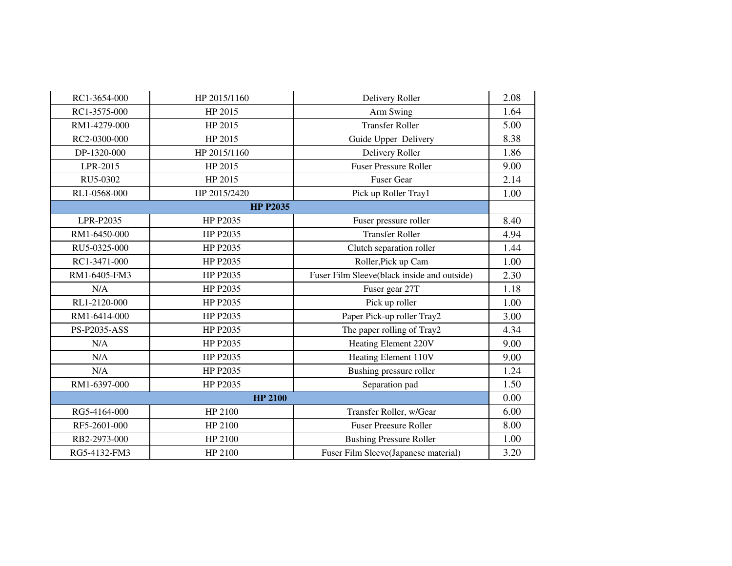| RC1-3654-000   | HP 2015/1160    | Delivery Roller                             | 2.08 |
|----------------|-----------------|---------------------------------------------|------|
| RC1-3575-000   | HP 2015         | Arm Swing                                   | 1.64 |
| RM1-4279-000   | HP 2015         | <b>Transfer Roller</b>                      | 5.00 |
| RC2-0300-000   | HP 2015         | Guide Upper Delivery                        | 8.38 |
| DP-1320-000    | HP 2015/1160    | Delivery Roller                             | 1.86 |
| LPR-2015       | HP 2015         | <b>Fuser Pressure Roller</b>                | 9.00 |
| RU5-0302       | HP 2015         | <b>Fuser Gear</b>                           | 2.14 |
| RL1-0568-000   | HP 2015/2420    | Pick up Roller Tray1                        | 1.00 |
|                | <b>HP P2035</b> |                                             |      |
| LPR-P2035      | HP P2035        | Fuser pressure roller                       | 8.40 |
| RM1-6450-000   | HP P2035        | <b>Transfer Roller</b>                      | 4.94 |
| RU5-0325-000   | HP P2035        | Clutch separation roller                    | 1.44 |
| RC1-3471-000   | HP P2035        | Roller, Pick up Cam                         | 1.00 |
| RM1-6405-FM3   | HP P2035        | Fuser Film Sleeve(black inside and outside) | 2.30 |
| N/A            | HP P2035        | Fuser gear 27T                              | 1.18 |
| RL1-2120-000   | HP P2035        | Pick up roller                              | 1.00 |
| RM1-6414-000   | HP P2035        | Paper Pick-up roller Tray2                  | 3.00 |
| PS-P2035-ASS   | HP P2035        | The paper rolling of Tray2                  | 4.34 |
| N/A            | HP P2035        | Heating Element 220V                        | 9.00 |
| N/A            | HP P2035        | Heating Element 110V                        | 9.00 |
| N/A            | HP P2035        | Bushing pressure roller                     | 1.24 |
| RM1-6397-000   | HP P2035        | Separation pad                              | 1.50 |
| <b>HP 2100</b> |                 |                                             |      |
| RG5-4164-000   | HP 2100         | Transfer Roller, w/Gear                     | 6.00 |
| RF5-2601-000   | HP 2100         | <b>Fuser Preesure Roller</b>                | 8.00 |
| RB2-2973-000   | HP 2100         | <b>Bushing Pressure Roller</b>              | 1.00 |
| RG5-4132-FM3   | HP 2100         | Fuser Film Sleeve(Japanese material)        | 3.20 |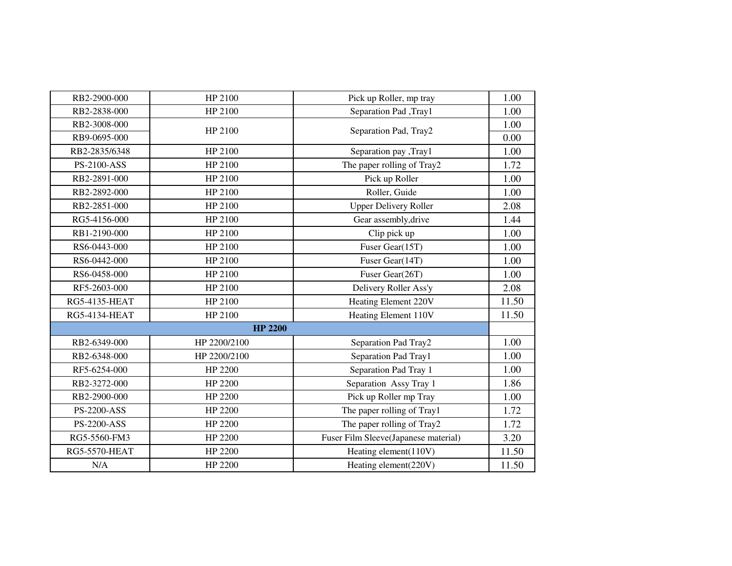| RB2-2900-000         | HP 2100        | Pick up Roller, mp tray              | 1.00  |
|----------------------|----------------|--------------------------------------|-------|
| RB2-2838-000         | HP 2100        | Separation Pad, Tray1                | 1.00  |
| RB2-3008-000         | HP 2100        |                                      | 1.00  |
| RB9-0695-000         |                | Separation Pad, Tray2                | 0.00  |
| RB2-2835/6348        | HP 2100        | Separation pay , Tray1               | 1.00  |
| <b>PS-2100-ASS</b>   | HP 2100        | The paper rolling of Tray2           | 1.72  |
| RB2-2891-000         | HP 2100        | Pick up Roller                       | 1.00  |
| RB2-2892-000         | HP 2100        | Roller, Guide                        | 1.00  |
| RB2-2851-000         | HP 2100        | <b>Upper Delivery Roller</b>         | 2.08  |
| RG5-4156-000         | HP 2100        | Gear assembly, drive                 | 1.44  |
| RB1-2190-000         | HP 2100        | Clip pick up                         | 1.00  |
| RS6-0443-000         | HP 2100        | Fuser Gear(15T)                      | 1.00  |
| RS6-0442-000         | HP 2100        | Fuser Gear(14T)                      | 1.00  |
| RS6-0458-000         | HP 2100        | Fuser Gear(26T)                      | 1.00  |
| RF5-2603-000         | HP 2100        | Delivery Roller Ass'y                | 2.08  |
| <b>RG5-4135-HEAT</b> | HP 2100        | Heating Element 220V                 | 11.50 |
| <b>RG5-4134-HEAT</b> | HP 2100        | Heating Element 110V                 | 11.50 |
|                      | <b>HP 2200</b> |                                      |       |
| RB2-6349-000         | HP 2200/2100   | Separation Pad Tray2                 | 1.00  |
| RB2-6348-000         | HP 2200/2100   | Separation Pad Tray1                 | 1.00  |
| RF5-6254-000         | HP 2200        | Separation Pad Tray 1                | 1.00  |
| RB2-3272-000         | HP 2200        | Separation Assy Tray 1               | 1.86  |
| RB2-2900-000         | HP 2200        | Pick up Roller mp Tray               | 1.00  |
| <b>PS-2200-ASS</b>   | HP 2200        | The paper rolling of Tray1           | 1.72  |
| <b>PS-2200-ASS</b>   | HP 2200        | The paper rolling of Tray2           | 1.72  |
| RG5-5560-FM3         | HP 2200        | Fuser Film Sleeve(Japanese material) | 3.20  |
| <b>RG5-5570-HEAT</b> | HP 2200        | Heating element(110V)                | 11.50 |
| N/A                  | HP 2200        | Heating element(220V)                | 11.50 |
|                      |                |                                      |       |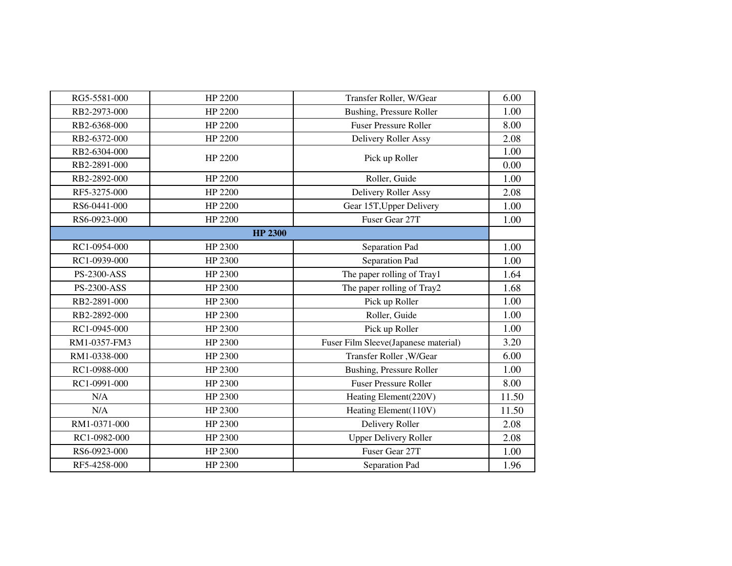| RG5-5581-000       | HP 2200        | Transfer Roller, W/Gear              | 6.00  |
|--------------------|----------------|--------------------------------------|-------|
| RB2-2973-000       | HP 2200        | Bushing, Pressure Roller             | 1.00  |
| RB2-6368-000       | HP 2200        | <b>Fuser Pressure Roller</b>         | 8.00  |
| RB2-6372-000       | HP 2200        | Delivery Roller Assy                 | 2.08  |
| RB2-6304-000       | HP 2200        | Pick up Roller                       | 1.00  |
| RB2-2891-000       |                |                                      | 0.00  |
| RB2-2892-000       | HP 2200        | Roller, Guide                        | 1.00  |
| RF5-3275-000       | HP 2200        | Delivery Roller Assy                 | 2.08  |
| RS6-0441-000       | HP 2200        | Gear 15T, Upper Delivery             | 1.00  |
| RS6-0923-000       | HP 2200        | Fuser Gear 27T                       | 1.00  |
|                    | <b>HP 2300</b> |                                      |       |
| RC1-0954-000       | HP 2300        | Separation Pad                       | 1.00  |
| RC1-0939-000       | HP 2300        | Separation Pad                       | 1.00  |
| PS-2300-ASS        | HP 2300        | The paper rolling of Tray1           | 1.64  |
| <b>PS-2300-ASS</b> | HP 2300        | The paper rolling of Tray2           | 1.68  |
| RB2-2891-000       | HP 2300        | Pick up Roller                       | 1.00  |
| RB2-2892-000       | HP 2300        | Roller, Guide                        | 1.00  |
| RC1-0945-000       | HP 2300        | Pick up Roller                       | 1.00  |
| RM1-0357-FM3       | HP 2300        | Fuser Film Sleeve(Japanese material) | 3.20  |
| RM1-0338-000       | HP 2300        | Transfer Roller, W/Gear              | 6.00  |
| RC1-0988-000       | HP 2300        | <b>Bushing, Pressure Roller</b>      | 1.00  |
| RC1-0991-000       | HP 2300        | <b>Fuser Pressure Roller</b>         | 8.00  |
| N/A                | HP 2300        | Heating Element(220V)                | 11.50 |
| N/A                | HP 2300        | Heating Element(110V)                | 11.50 |
| RM1-0371-000       | HP 2300        | Delivery Roller                      | 2.08  |
| RC1-0982-000       | HP 2300        | <b>Upper Delivery Roller</b>         | 2.08  |
| RS6-0923-000       | HP 2300        | Fuser Gear 27T                       | 1.00  |
| RF5-4258-000       | HP 2300        | Separation Pad                       | 1.96  |
|                    |                |                                      |       |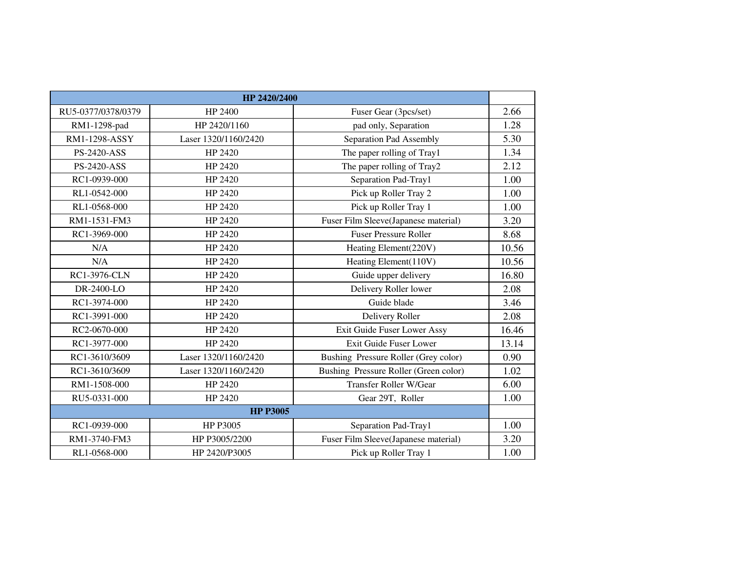|                    | HP 2420/2400         |                                       |       |
|--------------------|----------------------|---------------------------------------|-------|
| RU5-0377/0378/0379 | HP 2400              | Fuser Gear (3pcs/set)                 | 2.66  |
| RM1-1298-pad       | HP 2420/1160         | pad only, Separation                  | 1.28  |
| RM1-1298-ASSY      | Laser 1320/1160/2420 | Separation Pad Assembly               | 5.30  |
| <b>PS-2420-ASS</b> | HP 2420              | The paper rolling of Tray1            | 1.34  |
| <b>PS-2420-ASS</b> | HP 2420              | The paper rolling of Tray2            | 2.12  |
| RC1-0939-000       | HP 2420              | Separation Pad-Tray1                  | 1.00  |
| RL1-0542-000       | HP 2420              | Pick up Roller Tray 2                 | 1.00  |
| RL1-0568-000       | HP 2420              | Pick up Roller Tray 1                 | 1.00  |
| RM1-1531-FM3       | HP 2420              | Fuser Film Sleeve(Japanese material)  | 3.20  |
| RC1-3969-000       | HP 2420              | <b>Fuser Pressure Roller</b>          | 8.68  |
| N/A                | HP 2420              | Heating Element(220V)                 | 10.56 |
| N/A                | HP 2420              | Heating Element(110V)                 | 10.56 |
| RC1-3976-CLN       | HP 2420              | Guide upper delivery                  | 16.80 |
| DR-2400-LO         | HP 2420              | Delivery Roller lower                 | 2.08  |
| RC1-3974-000       | HP 2420              | Guide blade                           | 3.46  |
| RC1-3991-000       | HP 2420              | Delivery Roller                       | 2.08  |
| RC2-0670-000       | HP 2420              | Exit Guide Fuser Lower Assy           | 16.46 |
| RC1-3977-000       | HP 2420              | Exit Guide Fuser Lower                | 13.14 |
| RC1-3610/3609      | Laser 1320/1160/2420 | Bushing Pressure Roller (Grey color)  | 0.90  |
| RC1-3610/3609      | Laser 1320/1160/2420 | Bushing Pressure Roller (Green color) | 1.02  |
| RM1-1508-000       | HP 2420              | <b>Transfer Roller W/Gear</b>         | 6.00  |
| RU5-0331-000       | HP 2420              | Gear 29T, Roller                      | 1.00  |
| <b>HP P3005</b>    |                      |                                       |       |
| RC1-0939-000       | HP P3005             | Separation Pad-Tray1                  | 1.00  |
| RM1-3740-FM3       | HP P3005/2200        | Fuser Film Sleeve(Japanese material)  | 3.20  |
| RL1-0568-000       | HP 2420/P3005        | Pick up Roller Tray 1                 | 1.00  |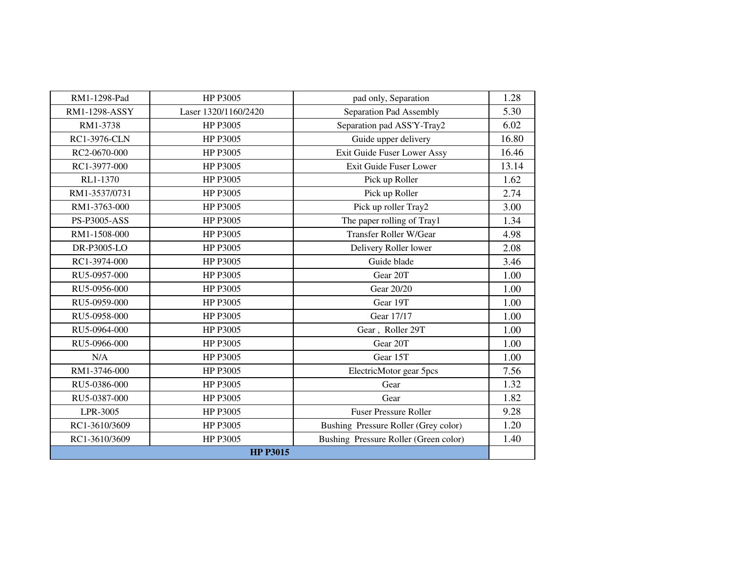| RM1-1298-Pad        | HP P3005             | pad only, Separation                  |       |
|---------------------|----------------------|---------------------------------------|-------|
|                     |                      |                                       | 1.28  |
| RM1-1298-ASSY       | Laser 1320/1160/2420 | Separation Pad Assembly               | 5.30  |
| RM1-3738            | HP P3005             | Separation pad ASS'Y-Tray2            | 6.02  |
| <b>RC1-3976-CLN</b> | HP P3005             | Guide upper delivery                  | 16.80 |
| RC2-0670-000        | HP P3005             | Exit Guide Fuser Lower Assy           | 16.46 |
| RC1-3977-000        | HP P3005             | Exit Guide Fuser Lower                | 13.14 |
| RL1-1370            | HP P3005             | Pick up Roller                        | 1.62  |
| RM1-3537/0731       | HP P3005             | Pick up Roller                        | 2.74  |
| RM1-3763-000        | HP P3005             | Pick up roller Tray2                  | 3.00  |
| <b>PS-P3005-ASS</b> | HP P3005             | The paper rolling of Tray1            | 1.34  |
| RM1-1508-000        | HP P3005             | Transfer Roller W/Gear                | 4.98  |
| DR-P3005-LO         | HP P3005             | Delivery Roller lower                 | 2.08  |
| RC1-3974-000        | HP P3005             | Guide blade                           | 3.46  |
| RU5-0957-000        | HP P3005             | Gear 20T                              | 1.00  |
| RU5-0956-000        | HP P3005             | Gear 20/20                            | 1.00  |
| RU5-0959-000        | HP P3005             | Gear 19T                              | 1.00  |
| RU5-0958-000        | HP P3005             | Gear 17/17                            | 1.00  |
| RU5-0964-000        | HP P3005             | Gear, Roller 29T                      | 1.00  |
| RU5-0966-000        | HP P3005             | Gear 20T                              | 1.00  |
| N/A                 | HP P3005             | Gear 15T                              | 1.00  |
| RM1-3746-000        | HP P3005             | ElectricMotor gear 5pcs               | 7.56  |
| RU5-0386-000        | HP P3005             | Gear                                  | 1.32  |
| RU5-0387-000        | HP P3005             | Gear                                  | 1.82  |
| LPR-3005            | HP P3005             | <b>Fuser Pressure Roller</b>          | 9.28  |
| RC1-3610/3609       | HP P3005             | Bushing Pressure Roller (Grey color)  | 1.20  |
| RC1-3610/3609       | HP P3005             | Bushing Pressure Roller (Green color) | 1.40  |
| <b>HP P3015</b>     |                      |                                       |       |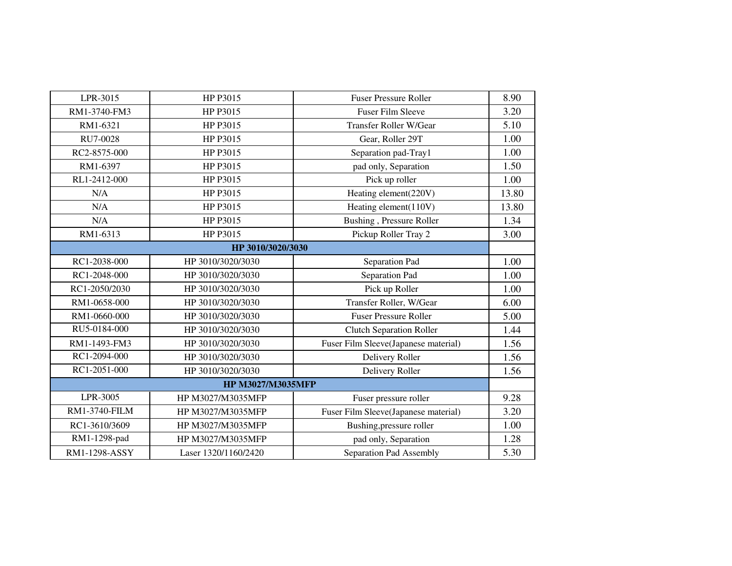| LPR-3015      | HP P3015                 | <b>Fuser Pressure Roller</b>         | 8.90  |
|---------------|--------------------------|--------------------------------------|-------|
| RM1-3740-FM3  | HP P3015                 | <b>Fuser Film Sleeve</b>             | 3.20  |
| RM1-6321      | HP P3015                 | Transfer Roller W/Gear               | 5.10  |
| RU7-0028      | HP P3015                 | Gear, Roller 29T                     | 1.00  |
| RC2-8575-000  | HP P3015                 | Separation pad-Tray1                 | 1.00  |
| RM1-6397      | HP P3015                 | pad only, Separation                 | 1.50  |
| RL1-2412-000  | HP P3015                 | Pick up roller                       | 1.00  |
| N/A           | HP P3015                 | Heating element(220V)                | 13.80 |
| N/A           | HP P3015                 | Heating element(110V)                | 13.80 |
| N/A           | HP P3015                 | Bushing, Pressure Roller             | 1.34  |
| RM1-6313      | HP P3015                 | Pickup Roller Tray 2                 | 3.00  |
|               | HP 3010/3020/3030        |                                      |       |
| RC1-2038-000  | HP 3010/3020/3030        | Separation Pad                       | 1.00  |
| RC1-2048-000  | HP 3010/3020/3030        | Separation Pad                       | 1.00  |
| RC1-2050/2030 | HP 3010/3020/3030        | Pick up Roller                       | 1.00  |
| RM1-0658-000  | HP 3010/3020/3030        | Transfer Roller, W/Gear              | 6.00  |
| RM1-0660-000  | HP 3010/3020/3030        | <b>Fuser Pressure Roller</b>         | 5.00  |
| RU5-0184-000  | HP 3010/3020/3030        | <b>Clutch Separation Roller</b>      | 1.44  |
| RM1-1493-FM3  | HP 3010/3020/3030        | Fuser Film Sleeve(Japanese material) | 1.56  |
| RC1-2094-000  | HP 3010/3020/3030        | Delivery Roller                      | 1.56  |
| RC1-2051-000  | HP 3010/3020/3030        | Delivery Roller                      | 1.56  |
|               | <b>HP M3027/M3035MFP</b> |                                      |       |
| LPR-3005      | HP M3027/M3035MFP        | Fuser pressure roller                | 9.28  |
| RM1-3740-FILM | HP M3027/M3035MFP        | Fuser Film Sleeve(Japanese material) | 3.20  |
| RC1-3610/3609 | HP M3027/M3035MFP        | Bushing, pressure roller             | 1.00  |
| RM1-1298-pad  | HP M3027/M3035MFP        | pad only, Separation                 | 1.28  |
| RM1-1298-ASSY | Laser 1320/1160/2420     | Separation Pad Assembly              | 5.30  |
|               |                          |                                      |       |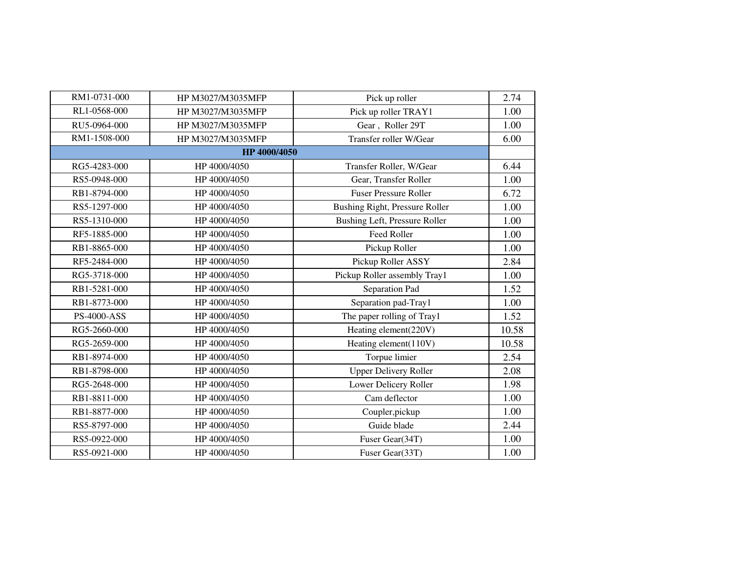| RM1-0731-000       | HP M3027/M3035MFP | Pick up roller                 | 2.74  |
|--------------------|-------------------|--------------------------------|-------|
| RL1-0568-000       | HP M3027/M3035MFP | Pick up roller TRAY1           | 1.00  |
| RU5-0964-000       | HP M3027/M3035MFP | Gear, Roller 29T               | 1.00  |
| RM1-1508-000       | HP M3027/M3035MFP | Transfer roller W/Gear         | 6.00  |
|                    | HP 4000/4050      |                                |       |
| RG5-4283-000       | HP 4000/4050      | Transfer Roller, W/Gear        | 6.44  |
| RS5-0948-000       | HP 4000/4050      | Gear, Transfer Roller          | 1.00  |
| RB1-8794-000       | HP 4000/4050      | <b>Fuser Pressure Roller</b>   | 6.72  |
| RS5-1297-000       | HP 4000/4050      | Bushing Right, Pressure Roller | 1.00  |
| RS5-1310-000       | HP 4000/4050      | Bushing Left, Pressure Roller  | 1.00  |
| RF5-1885-000       | HP 4000/4050      | <b>Feed Roller</b>             | 1.00  |
| RB1-8865-000       | HP 4000/4050      | Pickup Roller                  | 1.00  |
| RF5-2484-000       | HP 4000/4050      | Pickup Roller ASSY             | 2.84  |
| RG5-3718-000       | HP 4000/4050      | Pickup Roller assembly Tray1   | 1.00  |
| RB1-5281-000       | HP 4000/4050      | Separation Pad                 | 1.52  |
| RB1-8773-000       | HP 4000/4050      | Separation pad-Tray1           | 1.00  |
| <b>PS-4000-ASS</b> | HP 4000/4050      | The paper rolling of Tray1     | 1.52  |
| RG5-2660-000       | HP 4000/4050      | Heating element(220V)          | 10.58 |
| RG5-2659-000       | HP 4000/4050      | Heating element(110V)          | 10.58 |
| RB1-8974-000       | HP 4000/4050      | Torpue limier                  | 2.54  |
| RB1-8798-000       | HP 4000/4050      | <b>Upper Delivery Roller</b>   | 2.08  |
| RG5-2648-000       | HP 4000/4050      | Lower Delicery Roller          | 1.98  |
| RB1-8811-000       | HP 4000/4050      | Cam deflector                  | 1.00  |
| RB1-8877-000       | HP 4000/4050      | Coupler, pickup                | 1.00  |
| RS5-8797-000       | HP 4000/4050      | Guide blade                    | 2.44  |
| RS5-0922-000       | HP 4000/4050      | Fuser Gear(34T)                | 1.00  |
| RS5-0921-000       | HP 4000/4050      | Fuser Gear(33T)                | 1.00  |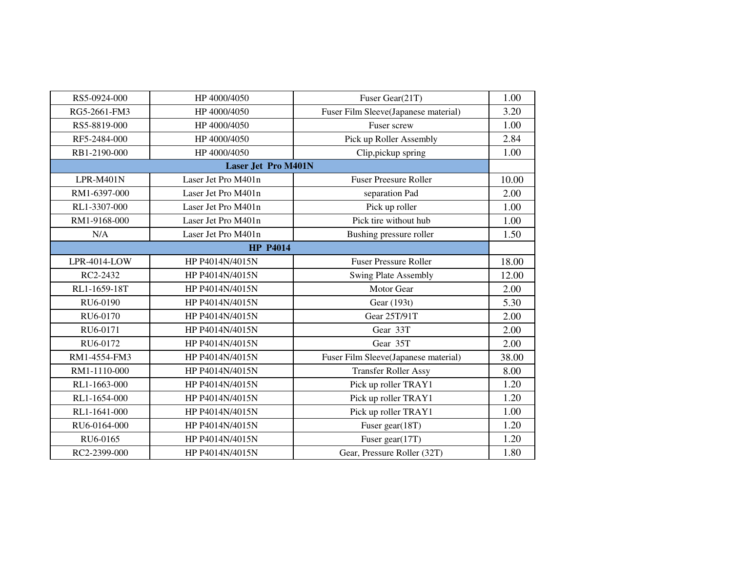| RS5-0924-000 | HP 4000/4050               | Fuser Gear(21T)                      | 1.00  |
|--------------|----------------------------|--------------------------------------|-------|
| RG5-2661-FM3 | HP 4000/4050               | Fuser Film Sleeve(Japanese material) | 3.20  |
| RS5-8819-000 | HP 4000/4050               | Fuser screw                          | 1.00  |
| RF5-2484-000 | HP 4000/4050               | Pick up Roller Assembly              | 2.84  |
| RB1-2190-000 | HP 4000/4050               | Clip, pickup spring                  | 1.00  |
|              | <b>Laser Jet Pro M401N</b> |                                      |       |
| LPR-M401N    | Laser Jet Pro M401n        | <b>Fuser Preesure Roller</b>         | 10.00 |
| RM1-6397-000 | Laser Jet Pro M401n        | separation Pad                       | 2.00  |
| RL1-3307-000 | Laser Jet Pro M401n        | Pick up roller                       | 1.00  |
| RM1-9168-000 | Laser Jet Pro M401n        | Pick tire without hub                | 1.00  |
| N/A          | Laser Jet Pro M401n        | Bushing pressure roller              | 1.50  |
|              | <b>HP P4014</b>            |                                      |       |
| LPR-4014-LOW | HP P4014N/4015N            | <b>Fuser Pressure Roller</b>         | 18.00 |
| RC2-2432     | HP P4014N/4015N            | <b>Swing Plate Assembly</b>          | 12.00 |
| RL1-1659-18T | HP P4014N/4015N            | <b>Motor Gear</b>                    | 2.00  |
| RU6-0190     | HP P4014N/4015N            | Gear (193t)                          | 5.30  |
| RU6-0170     | HP P4014N/4015N            | Gear 25T/91T                         | 2.00  |
| RU6-0171     | HP P4014N/4015N            | Gear 33T                             | 2.00  |
| RU6-0172     | HP P4014N/4015N            | Gear 35T                             | 2.00  |
| RM1-4554-FM3 | HP P4014N/4015N            | Fuser Film Sleeve(Japanese material) | 38.00 |
| RM1-1110-000 | HP P4014N/4015N            | <b>Transfer Roller Assy</b>          | 8.00  |
| RL1-1663-000 | HP P4014N/4015N            | Pick up roller TRAY1                 | 1.20  |
| RL1-1654-000 | HP P4014N/4015N            | Pick up roller TRAY1                 | 1.20  |
| RL1-1641-000 | HP P4014N/4015N            | Pick up roller TRAY1                 | 1.00  |
| RU6-0164-000 | HP P4014N/4015N            | Fuser gear(18T)                      | 1.20  |
| RU6-0165     | HP P4014N/4015N            | Fuser gear(17T)                      | 1.20  |
| RC2-2399-000 | HP P4014N/4015N            | Gear, Pressure Roller (32T)          | 1.80  |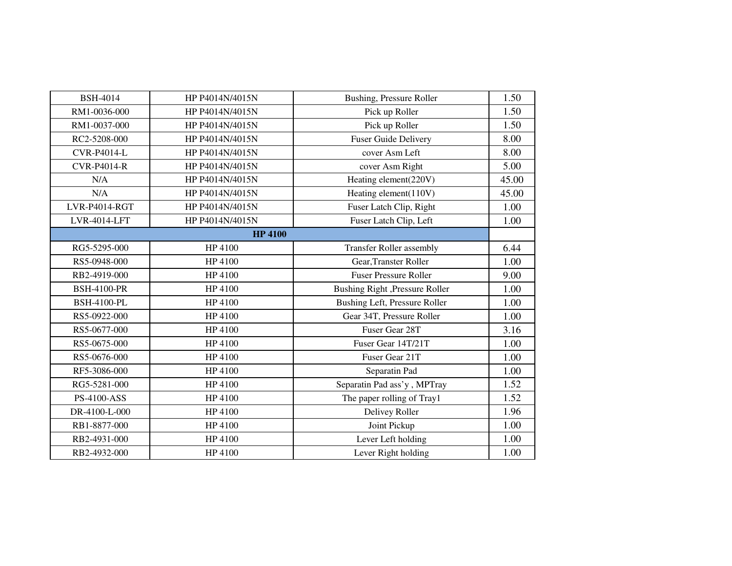| <b>BSH-4014</b>    | HP P4014N/4015N | Bushing, Pressure Roller        | 1.50  |
|--------------------|-----------------|---------------------------------|-------|
| RM1-0036-000       | HP P4014N/4015N | Pick up Roller                  | 1.50  |
| RM1-0037-000       | HP P4014N/4015N | Pick up Roller                  | 1.50  |
| RC2-5208-000       | HP P4014N/4015N | <b>Fuser Guide Delivery</b>     | 8.00  |
| <b>CVR-P4014-L</b> | HP P4014N/4015N | cover Asm Left                  | 8.00  |
| <b>CVR-P4014-R</b> | HP P4014N/4015N | cover Asm Right                 | 5.00  |
| N/A                | HP P4014N/4015N | Heating element(220V)           | 45.00 |
| N/A                | HP P4014N/4015N | Heating element(110V)           | 45.00 |
| LVR-P4014-RGT      | HP P4014N/4015N | Fuser Latch Clip, Right         | 1.00  |
| LVR-4014-LFT       | HP P4014N/4015N | Fuser Latch Clip, Left          | 1.00  |
|                    | <b>HP 4100</b>  |                                 |       |
| RG5-5295-000       | HP 4100         | <b>Transfer Roller assembly</b> | 6.44  |
| RS5-0948-000       | HP 4100         | Gear, Transter Roller           | 1.00  |
| RB2-4919-000       | HP 4100         | <b>Fuser Pressure Roller</b>    | 9.00  |
| <b>BSH-4100-PR</b> | HP 4100         | Bushing Right , Pressure Roller | 1.00  |
| <b>BSH-4100-PL</b> | HP 4100         | Bushing Left, Pressure Roller   | 1.00  |
| RS5-0922-000       | HP 4100         | Gear 34T, Pressure Roller       | 1.00  |
| RS5-0677-000       | HP 4100         | Fuser Gear 28T                  | 3.16  |
| RS5-0675-000       | HP 4100         | Fuser Gear 14T/21T              | 1.00  |
| RS5-0676-000       | HP 4100         | Fuser Gear 21T                  | 1.00  |
| RF5-3086-000       | HP 4100         | Separatin Pad                   | 1.00  |
| RG5-5281-000       | HP 4100         | Separatin Pad ass'y, MPTray     | 1.52  |
| PS-4100-ASS        | HP 4100         | The paper rolling of Tray1      | 1.52  |
| DR-4100-L-000      | HP 4100         | Delivey Roller                  | 1.96  |
| RB1-8877-000       | HP 4100         | Joint Pickup                    | 1.00  |
| RB2-4931-000       | HP 4100         | Lever Left holding              | 1.00  |
| RB2-4932-000       | HP 4100         | Lever Right holding             | 1.00  |
|                    |                 |                                 |       |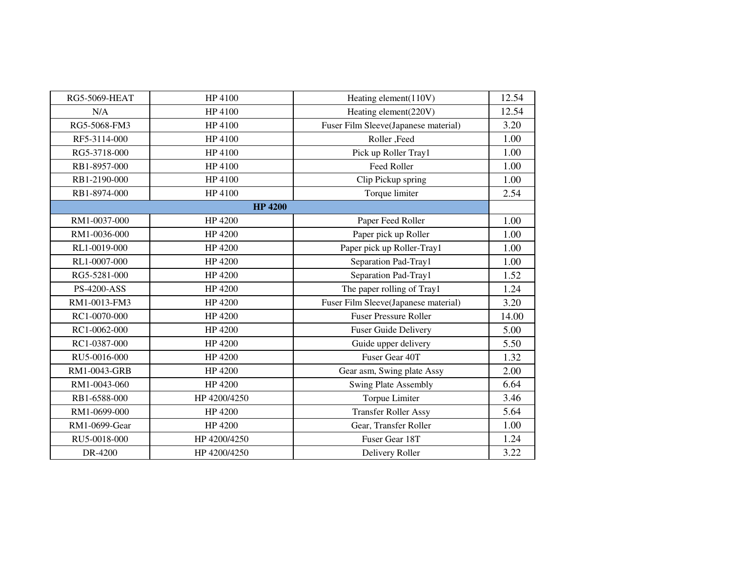| <b>RG5-5069-HEAT</b> | HP 4100        | Heating element(110V)                | 12.54 |
|----------------------|----------------|--------------------------------------|-------|
| N/A                  | HP 4100        | Heating element(220V)                | 12.54 |
| RG5-5068-FM3         | HP 4100        | Fuser Film Sleeve(Japanese material) | 3.20  |
| RF5-3114-000         | HP 4100        | Roller, Feed                         | 1.00  |
| RG5-3718-000         | HP 4100        | Pick up Roller Tray1                 | 1.00  |
| RB1-8957-000         | HP 4100        | Feed Roller                          | 1.00  |
| RB1-2190-000         | HP 4100        | Clip Pickup spring                   | 1.00  |
| RB1-8974-000         | HP 4100        | Torque limiter                       | 2.54  |
|                      | <b>HP 4200</b> |                                      |       |
| RM1-0037-000         | HP 4200        | Paper Feed Roller                    | 1.00  |
| RM1-0036-000         | HP 4200        | Paper pick up Roller                 | 1.00  |
| RL1-0019-000         | HP 4200        | Paper pick up Roller-Tray1           | 1.00  |
| RL1-0007-000         | HP 4200        | Separation Pad-Tray1                 | 1.00  |
| RG5-5281-000         | HP 4200        | Separation Pad-Tray1                 | 1.52  |
| <b>PS-4200-ASS</b>   | HP 4200        | The paper rolling of Tray1           | 1.24  |
| RM1-0013-FM3         | HP 4200        | Fuser Film Sleeve(Japanese material) | 3.20  |
| RC1-0070-000         | HP 4200        | <b>Fuser Pressure Roller</b>         | 14.00 |
| RC1-0062-000         | HP 4200        | <b>Fuser Guide Delivery</b>          | 5.00  |
| RC1-0387-000         | HP 4200        | Guide upper delivery                 | 5.50  |
| RU5-0016-000         | HP 4200        | Fuser Gear 40T                       | 1.32  |
| RM1-0043-GRB         | HP 4200        | Gear asm, Swing plate Assy           | 2.00  |
| RM1-0043-060         | HP 4200        | <b>Swing Plate Assembly</b>          | 6.64  |
| RB1-6588-000         | HP 4200/4250   | Torpue Limiter                       | 3.46  |
| RM1-0699-000         | HP 4200        | <b>Transfer Roller Assy</b>          | 5.64  |
| RM1-0699-Gear        | HP 4200        | Gear, Transfer Roller                | 1.00  |
| RU5-0018-000         | HP 4200/4250   | Fuser Gear 18T                       | 1.24  |
| DR-4200              | HP 4200/4250   | Delivery Roller                      | 3.22  |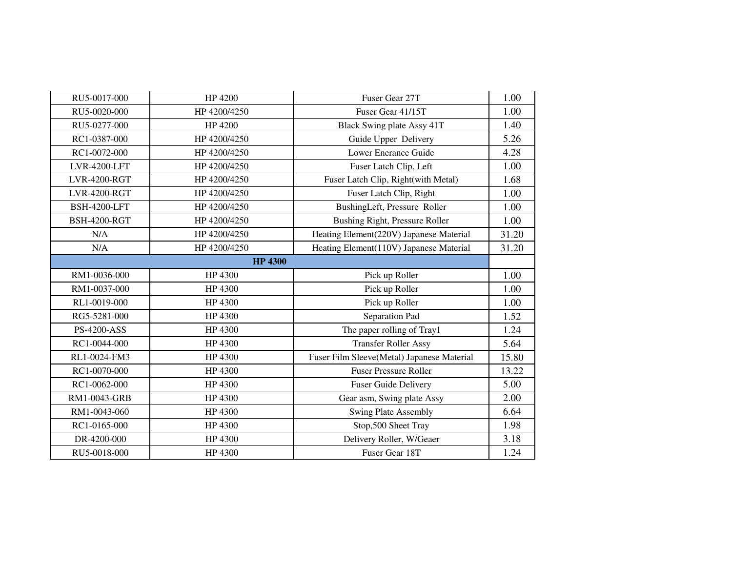| RU5-0017-000        | HP 4200        | Fuser Gear 27T                             | 1.00  |
|---------------------|----------------|--------------------------------------------|-------|
| RU5-0020-000        | HP 4200/4250   | Fuser Gear 41/15T                          | 1.00  |
| RU5-0277-000        | HP 4200        | Black Swing plate Assy 41T                 | 1.40  |
| RC1-0387-000        | HP 4200/4250   | Guide Upper Delivery                       | 5.26  |
| RC1-0072-000        | HP 4200/4250   | <b>Lower Enerance Guide</b>                | 4.28  |
| <b>LVR-4200-LFT</b> | HP 4200/4250   | Fuser Latch Clip, Left                     | 1.00  |
| <b>LVR-4200-RGT</b> | HP 4200/4250   | Fuser Latch Clip, Right(with Metal)        | 1.68  |
| <b>LVR-4200-RGT</b> | HP 4200/4250   | Fuser Latch Clip, Right                    | 1.00  |
| <b>BSH-4200-LFT</b> | HP 4200/4250   | BushingLeft, Pressure Roller               | 1.00  |
| <b>BSH-4200-RGT</b> | HP 4200/4250   | Bushing Right, Pressure Roller             | 1.00  |
| N/A                 | HP4200/4250    | Heating Element(220V) Japanese Material    | 31.20 |
| N/A                 | HP 4200/4250   | Heating Element(110V) Japanese Material    | 31.20 |
|                     | <b>HP 4300</b> |                                            |       |
| RM1-0036-000        | HP 4300        | Pick up Roller                             | 1.00  |
| RM1-0037-000        | HP 4300        | Pick up Roller                             | 1.00  |
| RL1-0019-000        | HP 4300        | Pick up Roller                             | 1.00  |
| RG5-5281-000        | HP 4300        | Separation Pad                             | 1.52  |
| <b>PS-4200-ASS</b>  | HP 4300        | The paper rolling of Tray1                 | 1.24  |
| RC1-0044-000        | HP 4300        | <b>Transfer Roller Assy</b>                | 5.64  |
| RL1-0024-FM3        | HP 4300        | Fuser Film Sleeve(Metal) Japanese Material | 15.80 |
| RC1-0070-000        | HP 4300        | <b>Fuser Pressure Roller</b>               | 13.22 |
| RC1-0062-000        | HP 4300        | <b>Fuser Guide Delivery</b>                | 5.00  |
| RM1-0043-GRB        | HP 4300        | Gear asm, Swing plate Assy                 | 2.00  |
| RM1-0043-060        | HP 4300        | <b>Swing Plate Assembly</b>                | 6.64  |
| RC1-0165-000        | HP 4300        | Stop, 500 Sheet Tray                       | 1.98  |
| DR-4200-000         | HP 4300        | Delivery Roller, W/Geaer                   | 3.18  |
| RU5-0018-000        | HP 4300        | Fuser Gear 18T                             | 1.24  |
|                     |                |                                            |       |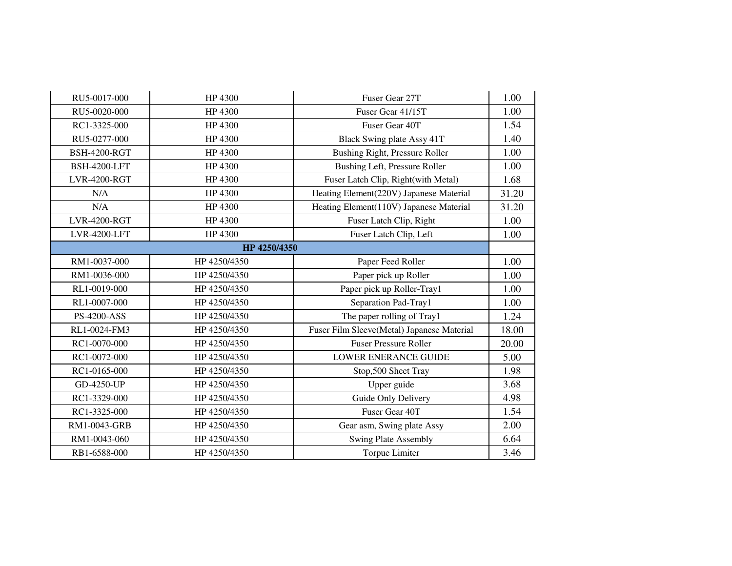| RU5-0017-000        | HP 4300      | Fuser Gear 27T                             | 1.00  |
|---------------------|--------------|--------------------------------------------|-------|
| RU5-0020-000        | HP 4300      | Fuser Gear 41/15T                          | 1.00  |
| RC1-3325-000        | HP 4300      | Fuser Gear 40T                             | 1.54  |
| RU5-0277-000        | HP 4300      | Black Swing plate Assy 41T                 | 1.40  |
| <b>BSH-4200-RGT</b> | HP 4300      | Bushing Right, Pressure Roller             | 1.00  |
| <b>BSH-4200-LFT</b> | HP 4300      | Bushing Left, Pressure Roller              | 1.00  |
| <b>LVR-4200-RGT</b> | HP 4300      | Fuser Latch Clip, Right(with Metal)        | 1.68  |
| N/A                 | HP 4300      | Heating Element(220V) Japanese Material    | 31.20 |
| N/A                 | HP 4300      | Heating Element(110V) Japanese Material    | 31.20 |
| <b>LVR-4200-RGT</b> | HP 4300      | Fuser Latch Clip, Right                    | 1.00  |
| LVR-4200-LFT        | HP 4300      | Fuser Latch Clip, Left                     | 1.00  |
|                     | HP 4250/4350 |                                            |       |
| RM1-0037-000        | HP 4250/4350 | Paper Feed Roller                          | 1.00  |
| RM1-0036-000        | HP 4250/4350 | Paper pick up Roller                       | 1.00  |
| RL1-0019-000        | HP4250/4350  | Paper pick up Roller-Tray1                 | 1.00  |
| RL1-0007-000        | HP 4250/4350 | Separation Pad-Tray1                       | 1.00  |
| <b>PS-4200-ASS</b>  | HP 4250/4350 | The paper rolling of Tray1                 | 1.24  |
| RL1-0024-FM3        | HP 4250/4350 | Fuser Film Sleeve(Metal) Japanese Material | 18.00 |
| RC1-0070-000        | HP 4250/4350 | <b>Fuser Pressure Roller</b>               | 20.00 |
| RC1-0072-000        | HP 4250/4350 | <b>LOWER ENERANCE GUIDE</b>                | 5.00  |
| RC1-0165-000        | HP 4250/4350 | Stop, 500 Sheet Tray                       | 1.98  |
| GD-4250-UP          | HP 4250/4350 | Upper guide                                | 3.68  |
| RC1-3329-000        | HP 4250/4350 | Guide Only Delivery                        | 4.98  |
| RC1-3325-000        | HP 4250/4350 | Fuser Gear 40T                             | 1.54  |
| RM1-0043-GRB        | HP 4250/4350 | Gear asm, Swing plate Assy                 | 2.00  |
| RM1-0043-060        | HP 4250/4350 | <b>Swing Plate Assembly</b>                | 6.64  |
| RB1-6588-000        | HP 4250/4350 | Torpue Limiter                             | 3.46  |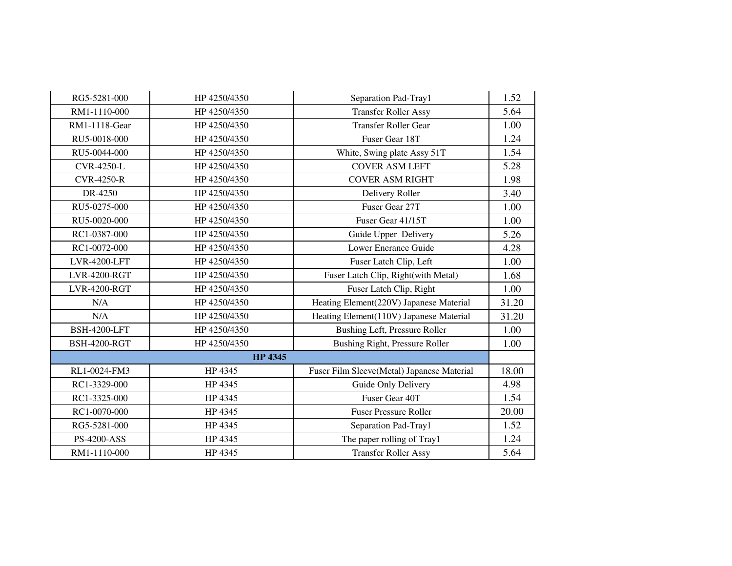| RG5-5281-000        | HP 4250/4350   | Separation Pad-Tray1                       | 1.52  |
|---------------------|----------------|--------------------------------------------|-------|
| RM1-1110-000        | HP 4250/4350   | <b>Transfer Roller Assy</b>                | 5.64  |
| RM1-1118-Gear       | HP 4250/4350   | <b>Transfer Roller Gear</b>                | 1.00  |
| RU5-0018-000        | HP 4250/4350   | Fuser Gear 18T                             | 1.24  |
| RU5-0044-000        | HP 4250/4350   | White, Swing plate Assy 51T                | 1.54  |
| <b>CVR-4250-L</b>   | HP 4250/4350   | <b>COVER ASM LEFT</b>                      | 5.28  |
| <b>CVR-4250-R</b>   | HP 4250/4350   | <b>COVER ASM RIGHT</b>                     | 1.98  |
| DR-4250             | HP 4250/4350   | Delivery Roller                            | 3.40  |
| RU5-0275-000        | HP 4250/4350   | Fuser Gear 27T                             | 1.00  |
| RU5-0020-000        | HP 4250/4350   | Fuser Gear 41/15T                          | 1.00  |
| RC1-0387-000        | HP 4250/4350   | Guide Upper Delivery                       | 5.26  |
| RC1-0072-000        | HP 4250/4350   | Lower Enerance Guide                       | 4.28  |
| <b>LVR-4200-LFT</b> | HP 4250/4350   | Fuser Latch Clip, Left                     | 1.00  |
| <b>LVR-4200-RGT</b> | HP 4250/4350   | Fuser Latch Clip, Right(with Metal)        | 1.68  |
| <b>LVR-4200-RGT</b> | HP 4250/4350   | Fuser Latch Clip, Right                    | 1.00  |
| N/A                 | HP 4250/4350   | Heating Element(220V) Japanese Material    | 31.20 |
| N/A                 | HP 4250/4350   | Heating Element(110V) Japanese Material    | 31.20 |
| <b>BSH-4200-LFT</b> | HP 4250/4350   | Bushing Left, Pressure Roller              | 1.00  |
| <b>BSH-4200-RGT</b> | HP 4250/4350   | Bushing Right, Pressure Roller             | 1.00  |
|                     | <b>HP 4345</b> |                                            |       |
| RL1-0024-FM3        | HP 4345        | Fuser Film Sleeve(Metal) Japanese Material | 18.00 |
| RC1-3329-000        | HP 4345        | Guide Only Delivery                        | 4.98  |
| RC1-3325-000        | HP 4345        | Fuser Gear 40T                             | 1.54  |
| RC1-0070-000        | HP 4345        | <b>Fuser Pressure Roller</b>               | 20.00 |
| RG5-5281-000        | HP 4345        | Separation Pad-Tray1                       | 1.52  |
| PS-4200-ASS         | HP 4345        | The paper rolling of Tray1                 | 1.24  |
| RM1-1110-000        | HP 4345        | <b>Transfer Roller Assy</b>                | 5.64  |
|                     |                |                                            |       |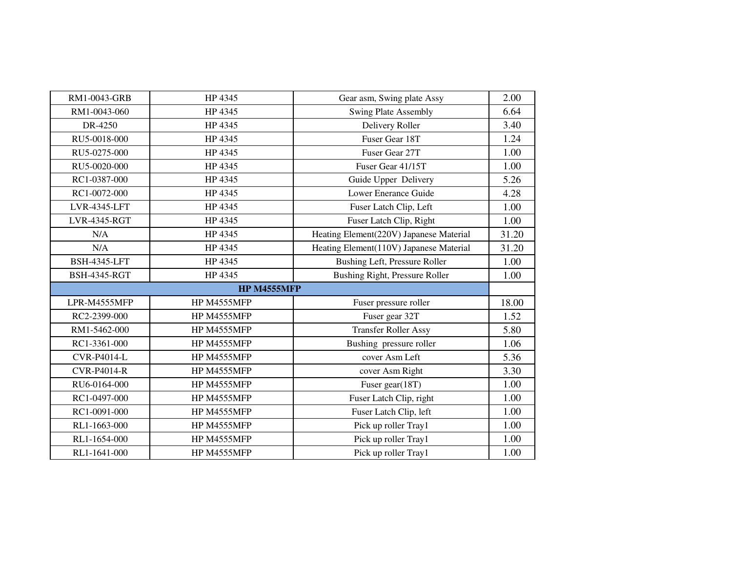| RM1-0043-GRB        | HP 4345            | Gear asm, Swing plate Assy              | 2.00  |  |
|---------------------|--------------------|-----------------------------------------|-------|--|
| RM1-0043-060        | HP 4345            | <b>Swing Plate Assembly</b>             | 6.64  |  |
| DR-4250             | HP 4345            | Delivery Roller                         | 3.40  |  |
| RU5-0018-000        | HP 4345            | Fuser Gear 18T                          | 1.24  |  |
| RU5-0275-000        | HP 4345            | Fuser Gear 27T                          | 1.00  |  |
| RU5-0020-000        | HP 4345            | Fuser Gear 41/15T                       | 1.00  |  |
| RC1-0387-000        | HP 4345            | Guide Upper Delivery                    | 5.26  |  |
| RC1-0072-000        | HP 4345            | Lower Enerance Guide                    | 4.28  |  |
| <b>LVR-4345-LFT</b> | HP 4345            | Fuser Latch Clip, Left                  | 1.00  |  |
| <b>LVR-4345-RGT</b> | HP 4345            | Fuser Latch Clip, Right                 | 1.00  |  |
| N/A                 | HP 4345            | Heating Element(220V) Japanese Material | 31.20 |  |
| N/A                 | HP 4345            | Heating Element(110V) Japanese Material | 31.20 |  |
| <b>BSH-4345-LFT</b> | HP 4345            | Bushing Left, Pressure Roller           | 1.00  |  |
| <b>BSH-4345-RGT</b> | HP 4345            | <b>Bushing Right, Pressure Roller</b>   | 1.00  |  |
|                     | <b>HP M4555MFP</b> |                                         |       |  |
| LPR-M4555MFP        | HP M4555MFP        | Fuser pressure roller                   | 18.00 |  |
| RC2-2399-000        | HP M4555MFP        | Fuser gear 32T                          | 1.52  |  |
| RM1-5462-000        | HP M4555MFP        | <b>Transfer Roller Assy</b>             | 5.80  |  |
| RC1-3361-000        | HP M4555MFP        | Bushing pressure roller                 | 1.06  |  |
| <b>CVR-P4014-L</b>  | HP M4555MFP        | cover Asm Left                          | 5.36  |  |
| <b>CVR-P4014-R</b>  | HP M4555MFP        | cover Asm Right                         | 3.30  |  |
| RU6-0164-000        | HP M4555MFP        | Fuser gear(18T)                         | 1.00  |  |
| RC1-0497-000        | HP M4555MFP        | Fuser Latch Clip, right                 | 1.00  |  |
| RC1-0091-000        | HP M4555MFP        | Fuser Latch Clip, left                  | 1.00  |  |
| RL1-1663-000        | HP M4555MFP        | Pick up roller Tray1                    | 1.00  |  |
| RL1-1654-000        | HP M4555MFP        | Pick up roller Tray1                    | 1.00  |  |
| RL1-1641-000        | HP M4555MFP        | Pick up roller Tray1                    | 1.00  |  |
|                     |                    |                                         |       |  |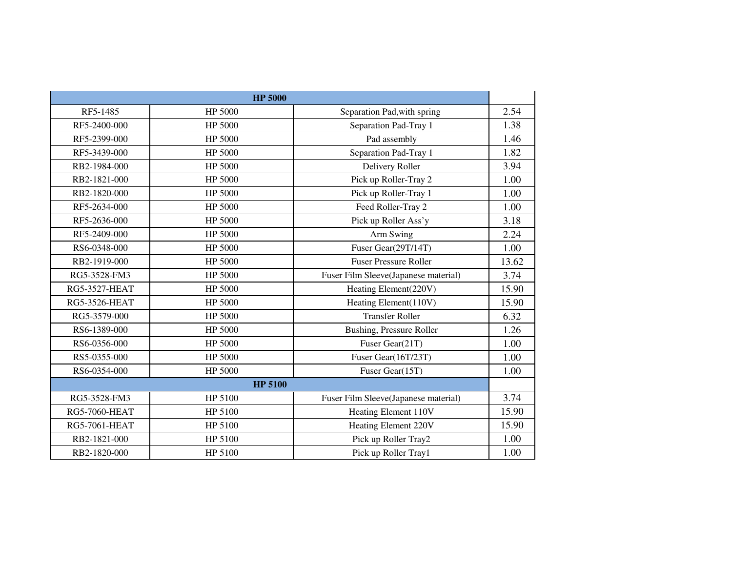|                      | <b>HP 5000</b> |                                      |       |
|----------------------|----------------|--------------------------------------|-------|
| RF5-1485             | HP 5000        | Separation Pad, with spring          | 2.54  |
| RF5-2400-000         | HP 5000        | Separation Pad-Tray 1                | 1.38  |
| RF5-2399-000         | HP 5000        | Pad assembly                         | 1.46  |
| RF5-3439-000         | HP 5000        | Separation Pad-Tray 1                | 1.82  |
| RB2-1984-000         | HP 5000        | Delivery Roller                      | 3.94  |
| RB2-1821-000         | HP 5000        | Pick up Roller-Tray 2                | 1.00  |
| RB2-1820-000         | HP 5000        | Pick up Roller-Tray 1                | 1.00  |
| RF5-2634-000         | HP 5000        | Feed Roller-Tray 2                   | 1.00  |
| RF5-2636-000         | HP 5000        | Pick up Roller Ass'y                 | 3.18  |
| RF5-2409-000         | HP 5000        | Arm Swing                            | 2.24  |
| RS6-0348-000         | HP 5000        | Fuser Gear(29T/14T)                  | 1.00  |
| RB2-1919-000         | HP 5000        | <b>Fuser Pressure Roller</b>         | 13.62 |
| RG5-3528-FM3         | HP 5000        | Fuser Film Sleeve(Japanese material) | 3.74  |
| <b>RG5-3527-HEAT</b> | HP 5000        | Heating Element(220V)                | 15.90 |
| <b>RG5-3526-HEAT</b> | HP 5000        | Heating Element(110V)                | 15.90 |
| RG5-3579-000         | HP 5000        | <b>Transfer Roller</b>               | 6.32  |
| RS6-1389-000         | HP 5000        | Bushing, Pressure Roller             | 1.26  |
| RS6-0356-000         | HP 5000        | Fuser Gear(21T)                      | 1.00  |
| RS5-0355-000         | HP 5000        | Fuser Gear(16T/23T)                  | 1.00  |
| RS6-0354-000         | HP 5000        | Fuser Gear(15T)                      | 1.00  |
| <b>HP 5100</b>       |                |                                      |       |
| RG5-3528-FM3         | HP 5100        | Fuser Film Sleeve(Japanese material) | 3.74  |
| <b>RG5-7060-HEAT</b> | HP 5100        | Heating Element 110V                 | 15.90 |
| <b>RG5-7061-HEAT</b> | HP 5100        | Heating Element 220V                 | 15.90 |
| RB2-1821-000         | HP 5100        | Pick up Roller Tray2                 | 1.00  |
| RB2-1820-000         | HP 5100        | Pick up Roller Tray1                 | 1.00  |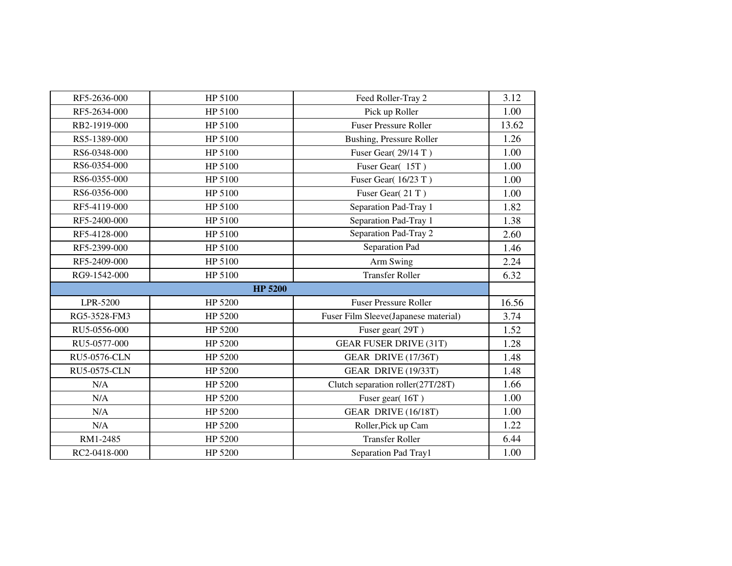| RF5-2636-000        | HP 5100        | Feed Roller-Tray 2                   | 3.12  |
|---------------------|----------------|--------------------------------------|-------|
| RF5-2634-000        | HP 5100        | Pick up Roller                       | 1.00  |
| RB2-1919-000        | HP 5100        | <b>Fuser Pressure Roller</b>         | 13.62 |
| RS5-1389-000        | HP 5100        | Bushing, Pressure Roller             | 1.26  |
| RS6-0348-000        | HP 5100        | Fuser Gear(29/14T)                   | 1.00  |
| RS6-0354-000        | HP 5100        | Fuser Gear(15T)                      | 1.00  |
| RS6-0355-000        | HP 5100        | Fuser Gear(16/23 T)                  | 1.00  |
| RS6-0356-000        | HP 5100        | Fuser Gear(21T)                      | 1.00  |
| RF5-4119-000        | HP 5100        | Separation Pad-Tray 1                | 1.82  |
| RF5-2400-000        | HP 5100        | Separation Pad-Tray 1                | 1.38  |
| RF5-4128-000        | HP 5100        | Separation Pad-Tray 2                | 2.60  |
| RF5-2399-000        | HP 5100        | Separation Pad                       | 1.46  |
| RF5-2409-000        | HP 5100        | Arm Swing                            | 2.24  |
| RG9-1542-000        | HP 5100        | <b>Transfer Roller</b>               | 6.32  |
|                     | <b>HP 5200</b> |                                      |       |
| LPR-5200            | HP 5200        | <b>Fuser Pressure Roller</b>         | 16.56 |
| RG5-3528-FM3        | HP 5200        | Fuser Film Sleeve(Japanese material) | 3.74  |
| RU5-0556-000        | HP 5200        | Fuser gear(29T)                      | 1.52  |
| RU5-0577-000        | HP 5200        | <b>GEAR FUSER DRIVE (31T)</b>        | 1.28  |
| <b>RU5-0576-CLN</b> | HP 5200        | GEAR DRIVE (17/36T)                  | 1.48  |
| <b>RU5-0575-CLN</b> | HP 5200        | GEAR DRIVE (19/33T)                  | 1.48  |
| N/A                 | HP 5200        | Clutch separation roller(27T/28T)    | 1.66  |
| N/A                 | HP 5200        | Fuser gear(16T)                      | 1.00  |
| N/A                 | HP 5200        | GEAR DRIVE (16/18T)                  | 1.00  |
| N/A                 | HP 5200        | Roller, Pick up Cam                  | 1.22  |
| RM1-2485            | HP 5200        | <b>Transfer Roller</b>               | 6.44  |
| RC2-0418-000        | HP 5200        | Separation Pad Tray1                 | 1.00  |
|                     |                |                                      |       |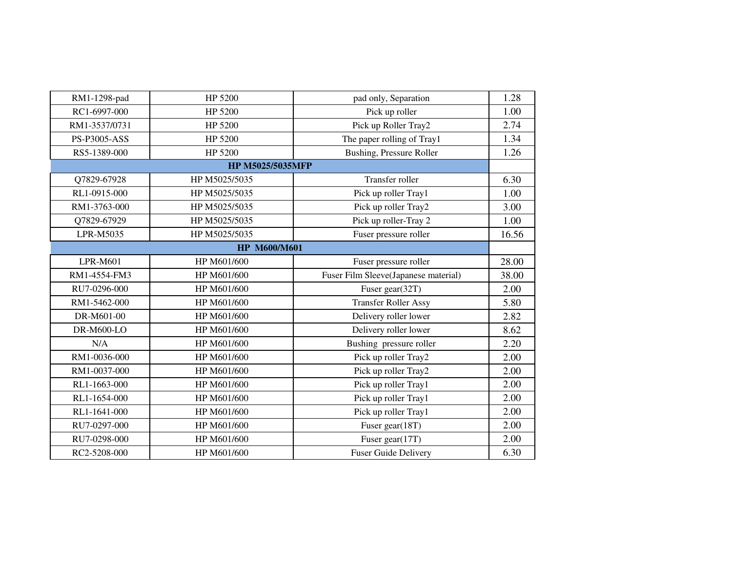| RM1-1298-pad  | HP 5200                 | pad only, Separation                 | 1.28  |
|---------------|-------------------------|--------------------------------------|-------|
| RC1-6997-000  | HP 5200                 | Pick up roller                       | 1.00  |
| RM1-3537/0731 | HP 5200                 | Pick up Roller Tray2                 | 2.74  |
| PS-P3005-ASS  | HP 5200                 | The paper rolling of Tray1           | 1.34  |
| RS5-1389-000  | HP 5200                 | <b>Bushing, Pressure Roller</b>      | 1.26  |
|               | <b>HP M5025/5035MFP</b> |                                      |       |
| Q7829-67928   | HP M5025/5035           | Transfer roller                      | 6.30  |
| RL1-0915-000  | HP M5025/5035           | Pick up roller Tray1                 | 1.00  |
| RM1-3763-000  | HP M5025/5035           | Pick up roller Tray2                 | 3.00  |
| Q7829-67929   | HP M5025/5035           | Pick up roller-Tray 2                | 1.00  |
| LPR-M5035     | HP M5025/5035           | Fuser pressure roller                | 16.56 |
|               | <b>HP M600/M601</b>     |                                      |       |
| LPR-M601      | HP M601/600             | Fuser pressure roller                | 28.00 |
| RM1-4554-FM3  | HP M601/600             | Fuser Film Sleeve(Japanese material) | 38.00 |
| RU7-0296-000  | HP M601/600             | Fuser gear(32T)                      | 2.00  |
| RM1-5462-000  | HP M601/600             | <b>Transfer Roller Assy</b>          | 5.80  |
| DR-M601-00    | HP M601/600             | Delivery roller lower                | 2.82  |
| DR-M600-LO    | HP M601/600             | Delivery roller lower                | 8.62  |
| N/A           | HP M601/600             | Bushing pressure roller              | 2.20  |
| RM1-0036-000  | HP M601/600             | Pick up roller Tray2                 | 2.00  |
| RM1-0037-000  | HP M601/600             | Pick up roller Tray2                 | 2.00  |
| RL1-1663-000  | HP M601/600             | Pick up roller Tray1                 | 2.00  |
| RL1-1654-000  | HP M601/600             | Pick up roller Tray1                 | 2.00  |
| RL1-1641-000  | HP M601/600             | Pick up roller Tray1                 | 2.00  |
| RU7-0297-000  | HP M601/600             | Fuser gear(18T)                      | 2.00  |
| RU7-0298-000  | HP M601/600             | Fuser gear(17T)                      | 2.00  |
| RC2-5208-000  | HP M601/600             | <b>Fuser Guide Delivery</b>          | 6.30  |
|               |                         |                                      |       |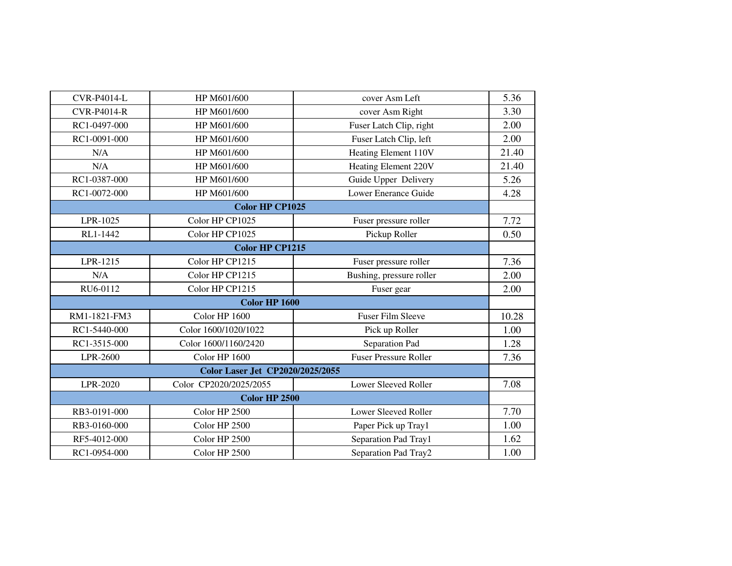| <b>CVR-P4014-L</b> | HP M601/600                             | cover Asm Left               | 5.36  |  |  |
|--------------------|-----------------------------------------|------------------------------|-------|--|--|
| <b>CVR-P4014-R</b> | HP M601/600                             | cover Asm Right              | 3.30  |  |  |
| RC1-0497-000       | HP M601/600                             | Fuser Latch Clip, right      | 2.00  |  |  |
| RC1-0091-000       | HP M601/600                             | Fuser Latch Clip, left       | 2.00  |  |  |
| N/A                | HP M601/600                             | Heating Element 110V         | 21.40 |  |  |
| N/A                | HP M601/600                             | <b>Heating Element 220V</b>  | 21.40 |  |  |
| RC1-0387-000       | HP M601/600                             | Guide Upper Delivery         | 5.26  |  |  |
| RC1-0072-000       | HP M601/600                             | Lower Enerance Guide         | 4.28  |  |  |
|                    | <b>Color HP CP1025</b>                  |                              |       |  |  |
| LPR-1025           | Color HP CP1025                         | Fuser pressure roller        | 7.72  |  |  |
| RL1-1442           | Color HP CP1025                         | Pickup Roller                | 0.50  |  |  |
|                    | <b>Color HP CP1215</b>                  |                              |       |  |  |
| LPR-1215           | Color HP CP1215                         | Fuser pressure roller        | 7.36  |  |  |
| N/A                | Color HP CP1215                         | Bushing, pressure roller     | 2.00  |  |  |
| RU6-0112           | Color HP CP1215                         | Fuser gear                   | 2.00  |  |  |
|                    | <b>Color HP 1600</b>                    |                              |       |  |  |
| RM1-1821-FM3       | Color HP 1600                           | <b>Fuser Film Sleeve</b>     | 10.28 |  |  |
| RC1-5440-000       | Color 1600/1020/1022                    | Pick up Roller               | 1.00  |  |  |
| RC1-3515-000       | Color 1600/1160/2420                    | Separation Pad               | 1.28  |  |  |
| LPR-2600           | Color HP 1600                           | <b>Fuser Pressure Roller</b> | 7.36  |  |  |
|                    | <b>Color Laser Jet CP2020/2025/2055</b> |                              |       |  |  |
| LPR-2020           | Color CP2020/2025/2055                  | Lower Sleeved Roller         | 7.08  |  |  |
|                    | <b>Color HP 2500</b>                    |                              |       |  |  |
| RB3-0191-000       | Color HP 2500                           | Lower Sleeved Roller         | 7.70  |  |  |
| RB3-0160-000       | Color HP 2500                           | Paper Pick up Tray1          | 1.00  |  |  |
| RF5-4012-000       | Color HP 2500                           | Separation Pad Tray1         | 1.62  |  |  |
| RC1-0954-000       | Color HP 2500                           | Separation Pad Tray2         | 1.00  |  |  |
|                    |                                         |                              |       |  |  |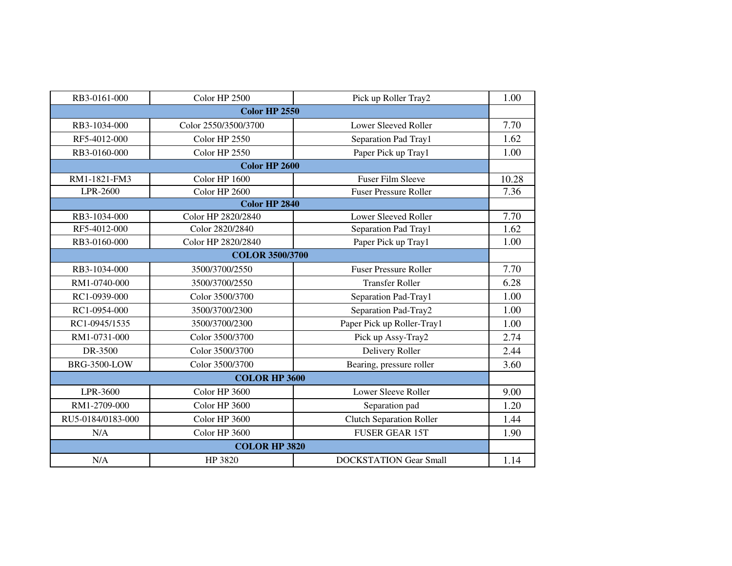| RB3-0161-000           | Color HP 2500        | Pick up Roller Tray2            | 1.00  |  |
|------------------------|----------------------|---------------------------------|-------|--|
|                        | <b>Color HP 2550</b> |                                 |       |  |
| RB3-1034-000           | Color 2550/3500/3700 | Lower Sleeved Roller            | 7.70  |  |
| RF5-4012-000           | Color HP 2550        | Separation Pad Tray1            | 1.62  |  |
| RB3-0160-000           | Color HP 2550        | Paper Pick up Tray1             | 1.00  |  |
|                        | <b>Color HP 2600</b> |                                 |       |  |
| RM1-1821-FM3           | Color HP 1600        | <b>Fuser Film Sleeve</b>        | 10.28 |  |
| LPR-2600               | Color HP 2600        | <b>Fuser Pressure Roller</b>    | 7.36  |  |
|                        | <b>Color HP 2840</b> |                                 |       |  |
| RB3-1034-000           | Color HP 2820/2840   | Lower Sleeved Roller            | 7.70  |  |
| RF5-4012-000           | Color 2820/2840      | Separation Pad Tray1            | 1.62  |  |
| RB3-0160-000           | Color HP 2820/2840   | Paper Pick up Tray1             | 1.00  |  |
| <b>COLOR 3500/3700</b> |                      |                                 |       |  |
| RB3-1034-000           | 3500/3700/2550       | <b>Fuser Pressure Roller</b>    | 7.70  |  |
| RM1-0740-000           | 3500/3700/2550       | <b>Transfer Roller</b>          | 6.28  |  |
| RC1-0939-000           | Color 3500/3700      | Separation Pad-Tray1            | 1.00  |  |
| RC1-0954-000           | 3500/3700/2300       | Separation Pad-Tray2            | 1.00  |  |
| RC1-0945/1535          | 3500/3700/2300       | Paper Pick up Roller-Tray1      | 1.00  |  |
| RM1-0731-000           | Color 3500/3700      | Pick up Assy-Tray2              | 2.74  |  |
| DR-3500                | Color 3500/3700      | Delivery Roller                 | 2.44  |  |
| <b>BRG-3500-LOW</b>    | Color 3500/3700      | Bearing, pressure roller        | 3.60  |  |
|                        | <b>COLOR HP 3600</b> |                                 |       |  |
| LPR-3600               | Color HP 3600        | <b>Lower Sleeve Roller</b>      | 9.00  |  |
| RM1-2709-000           | Color HP 3600        | Separation pad                  | 1.20  |  |
| RU5-0184/0183-000      | Color HP 3600        | <b>Clutch Separation Roller</b> | 1.44  |  |
| N/A                    | Color HP 3600        | <b>FUSER GEAR 15T</b>           | 1.90  |  |
|                        | <b>COLOR HP 3820</b> |                                 |       |  |
| N/A                    | HP 3820              | <b>DOCKSTATION Gear Small</b>   | 1.14  |  |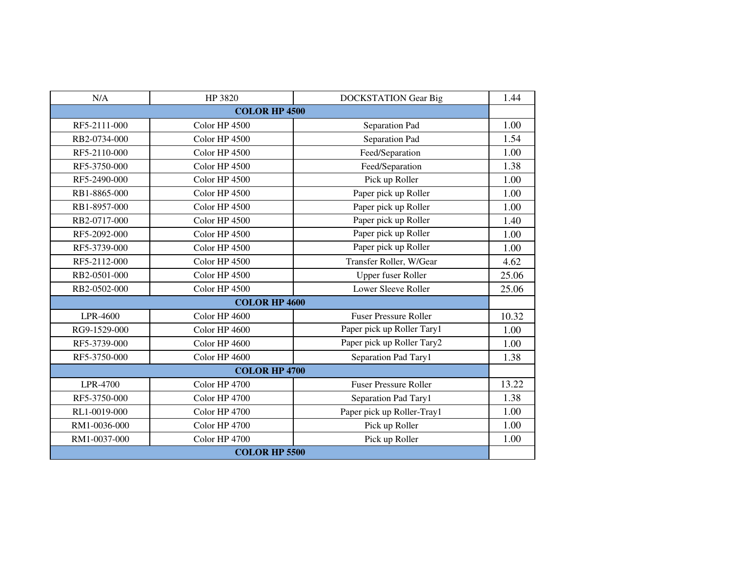| N/A                  | HP 3820              | <b>DOCKSTATION Gear Big</b>  | 1.44  |  |  |
|----------------------|----------------------|------------------------------|-------|--|--|
|                      | <b>COLOR HP 4500</b> |                              |       |  |  |
| RF5-2111-000         | Color HP 4500        | Separation Pad               | 1.00  |  |  |
| RB2-0734-000         | Color HP 4500        | Separation Pad               | 1.54  |  |  |
| RF5-2110-000         | Color HP 4500        | Feed/Separation              | 1.00  |  |  |
| RF5-3750-000         | Color HP 4500        | Feed/Separation              | 1.38  |  |  |
| RF5-2490-000         | Color HP 4500        | Pick up Roller               | 1.00  |  |  |
| RB1-8865-000         | Color HP 4500        | Paper pick up Roller         | 1.00  |  |  |
| RB1-8957-000         | Color HP 4500        | Paper pick up Roller         | 1.00  |  |  |
| RB2-0717-000         | Color HP 4500        | Paper pick up Roller         | 1.40  |  |  |
| RF5-2092-000         | Color HP 4500        | Paper pick up Roller         | 1.00  |  |  |
| RF5-3739-000         | Color HP 4500        | Paper pick up Roller         | 1.00  |  |  |
| RF5-2112-000         | Color HP 4500        | Transfer Roller, W/Gear      | 4.62  |  |  |
| RB2-0501-000         | Color HP 4500        | Upper fuser Roller           | 25.06 |  |  |
| RB2-0502-000         | Color HP 4500        | Lower Sleeve Roller          | 25.06 |  |  |
| <b>COLOR HP 4600</b> |                      |                              |       |  |  |
| LPR-4600             | Color HP 4600        | <b>Fuser Pressure Roller</b> | 10.32 |  |  |
| RG9-1529-000         | Color HP 4600        | Paper pick up Roller Tary1   | 1.00  |  |  |
| RF5-3739-000         | Color HP 4600        | Paper pick up Roller Tary2   | 1.00  |  |  |
| RF5-3750-000         | Color HP 4600        | Separation Pad Tary1         | 1.38  |  |  |
|                      | <b>COLOR HP 4700</b> |                              |       |  |  |
| LPR-4700             | Color HP 4700        | <b>Fuser Pressure Roller</b> | 13.22 |  |  |
| RF5-3750-000         | Color HP 4700        | Separation Pad Tary1         | 1.38  |  |  |
| RL1-0019-000         | Color HP 4700        | Paper pick up Roller-Tray1   | 1.00  |  |  |
| RM1-0036-000         | Color HP 4700        | Pick up Roller               | 1.00  |  |  |
| RM1-0037-000         | Color HP 4700        | Pick up Roller               | 1.00  |  |  |
| <b>COLOR HP 5500</b> |                      |                              |       |  |  |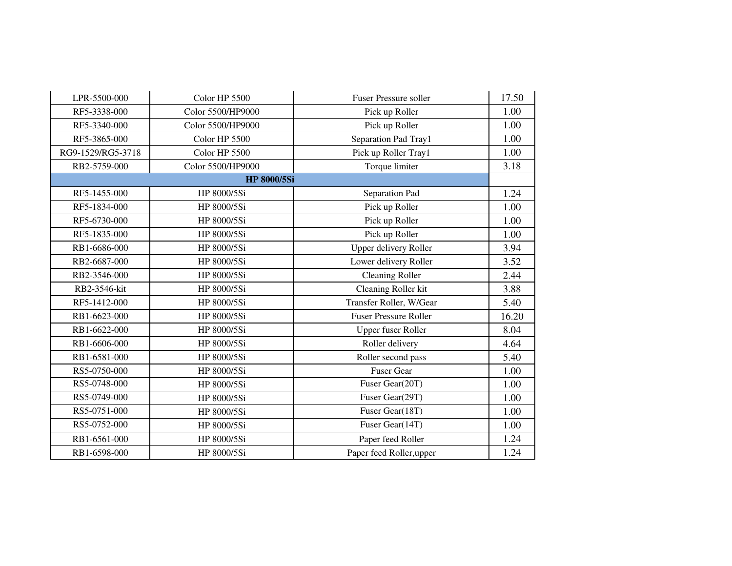| LPR-5500-000      | Color HP 5500      | <b>Fuser Pressure soller</b> | 17.50 |
|-------------------|--------------------|------------------------------|-------|
| RF5-3338-000      | Color 5500/HP9000  | Pick up Roller               | 1.00  |
| RF5-3340-000      | Color 5500/HP9000  | Pick up Roller               | 1.00  |
| RF5-3865-000      | Color HP 5500      | Separation Pad Tray1         | 1.00  |
| RG9-1529/RG5-3718 | Color HP 5500      | Pick up Roller Tray1         | 1.00  |
| RB2-5759-000      | Color 5500/HP9000  | Torque limiter               | 3.18  |
|                   | <b>HP 8000/5Si</b> |                              |       |
| RF5-1455-000      | HP 8000/5Si        | Separation Pad               | 1.24  |
| RF5-1834-000      | HP 8000/5Si        | Pick up Roller               | 1.00  |
| RF5-6730-000      | HP 8000/5Si        | Pick up Roller               | 1.00  |
| RF5-1835-000      | HP 8000/5Si        | Pick up Roller               | 1.00  |
| RB1-6686-000      | HP 8000/5Si        | <b>Upper delivery Roller</b> | 3.94  |
| RB2-6687-000      | HP 8000/5Si        | Lower delivery Roller        | 3.52  |
| RB2-3546-000      | HP 8000/5Si        | <b>Cleaning Roller</b>       | 2.44  |
| RB2-3546-kit      | HP 8000/5Si        | Cleaning Roller kit          | 3.88  |
| RF5-1412-000      | HP 8000/5Si        | Transfer Roller, W/Gear      | 5.40  |
| RB1-6623-000      | HP 8000/5Si        | <b>Fuser Pressure Roller</b> | 16.20 |
| RB1-6622-000      | HP 8000/5Si        | Upper fuser Roller           | 8.04  |
| RB1-6606-000      | HP 8000/5Si        | Roller delivery              | 4.64  |
| RB1-6581-000      | HP 8000/5Si        | Roller second pass           | 5.40  |
| RS5-0750-000      | HP 8000/5Si        | <b>Fuser Gear</b>            | 1.00  |
| RS5-0748-000      | HP 8000/5Si        | Fuser Gear(20T)              | 1.00  |
| RS5-0749-000      | HP 8000/5Si        | Fuser Gear(29T)              | 1.00  |
| RS5-0751-000      | HP 8000/5Si        | Fuser Gear(18T)              | 1.00  |
| RS5-0752-000      | HP 8000/5Si        | Fuser Gear(14T)              | 1.00  |
| RB1-6561-000      | HP 8000/5Si        | Paper feed Roller            | 1.24  |
| RB1-6598-000      | HP 8000/5Si        | Paper feed Roller, upper     | 1.24  |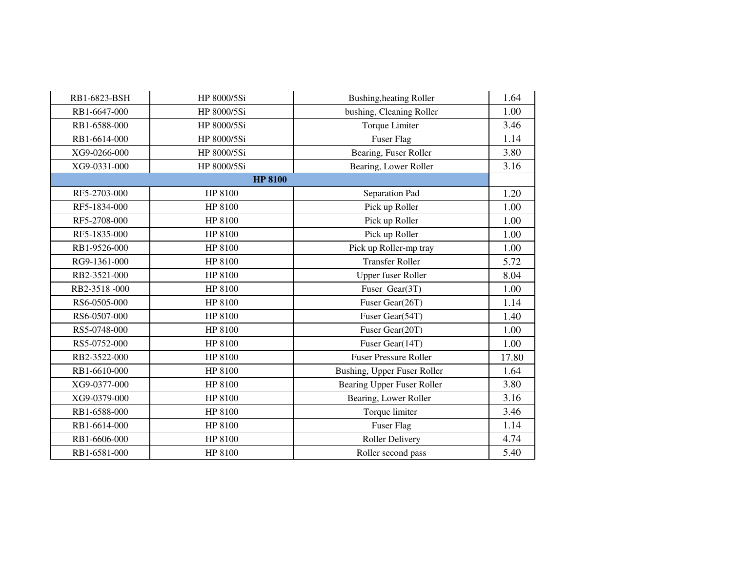| RB1-6823-BSH | HP 8000/5Si    | <b>Bushing, heating Roller</b> | 1.64  |
|--------------|----------------|--------------------------------|-------|
| RB1-6647-000 | HP 8000/5Si    | bushing, Cleaning Roller       | 1.00  |
| RB1-6588-000 | HP 8000/5Si    | <b>Torque Limiter</b>          | 3.46  |
| RB1-6614-000 | HP 8000/5Si    | <b>Fuser Flag</b>              | 1.14  |
| XG9-0266-000 | HP 8000/5Si    | Bearing, Fuser Roller          | 3.80  |
| XG9-0331-000 | HP 8000/5Si    | Bearing, Lower Roller          | 3.16  |
|              | <b>HP 8100</b> |                                |       |
| RF5-2703-000 | HP 8100        | Separation Pad                 | 1.20  |
| RF5-1834-000 | HP 8100        | Pick up Roller                 | 1.00  |
| RF5-2708-000 | HP 8100        | Pick up Roller                 | 1.00  |
| RF5-1835-000 | HP 8100        | Pick up Roller                 | 1.00  |
| RB1-9526-000 | HP 8100        | Pick up Roller-mp tray         | 1.00  |
| RG9-1361-000 | HP 8100        | <b>Transfer Roller</b>         | 5.72  |
| RB2-3521-000 | HP 8100        | <b>Upper fuser Roller</b>      | 8.04  |
| RB2-3518-000 | HP 8100        | Fuser Gear(3T)                 | 1.00  |
| RS6-0505-000 | HP 8100        | Fuser Gear(26T)                | 1.14  |
| RS6-0507-000 | HP 8100        | Fuser Gear(54T)                | 1.40  |
| RS5-0748-000 | HP 8100        | Fuser Gear(20T)                | 1.00  |
| RS5-0752-000 | HP 8100        | Fuser Gear(14T)                | 1.00  |
| RB2-3522-000 | HP 8100        | <b>Fuser Pressure Roller</b>   | 17.80 |
| RB1-6610-000 | HP 8100        | Bushing, Upper Fuser Roller    | 1.64  |
| XG9-0377-000 | HP 8100        | Bearing Upper Fuser Roller     | 3.80  |
| XG9-0379-000 | HP 8100        | Bearing, Lower Roller          | 3.16  |
| RB1-6588-000 | HP 8100        | Torque limiter                 | 3.46  |
| RB1-6614-000 | HP 8100        | <b>Fuser Flag</b>              | 1.14  |
| RB1-6606-000 | HP 8100        | <b>Roller Delivery</b>         | 4.74  |
| RB1-6581-000 | HP 8100        | Roller second pass             | 5.40  |
|              |                |                                |       |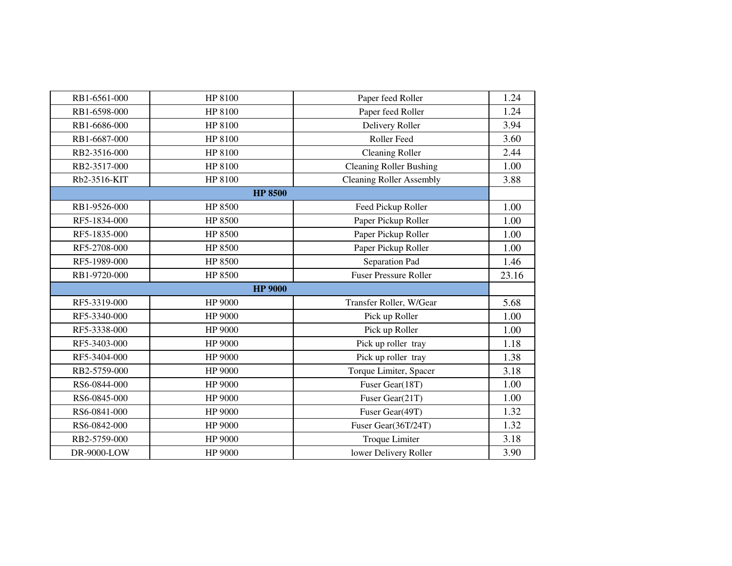| RB1-6561-000 | HP 8100        | Paper feed Roller               | 1.24  |
|--------------|----------------|---------------------------------|-------|
| RB1-6598-000 | HP 8100        | Paper feed Roller               | 1.24  |
| RB1-6686-000 | HP 8100        | Delivery Roller                 | 3.94  |
| RB1-6687-000 | HP 8100        | Roller Feed                     | 3.60  |
| RB2-3516-000 | HP 8100        | <b>Cleaning Roller</b>          | 2.44  |
| RB2-3517-000 | HP 8100        | <b>Cleaning Roller Bushing</b>  | 1.00  |
| Rb2-3516-KIT | HP 8100        | <b>Cleaning Roller Assembly</b> | 3.88  |
|              | <b>HP 8500</b> |                                 |       |
| RB1-9526-000 | HP 8500        | Feed Pickup Roller              | 1.00  |
| RF5-1834-000 | HP 8500        | Paper Pickup Roller             | 1.00  |
| RF5-1835-000 | HP 8500        | Paper Pickup Roller             | 1.00  |
| RF5-2708-000 | HP 8500        | Paper Pickup Roller             | 1.00  |
| RF5-1989-000 | HP 8500        | Separation Pad                  | 1.46  |
| RB1-9720-000 | HP 8500        | <b>Fuser Pressure Roller</b>    | 23.16 |
|              | <b>HP 9000</b> |                                 |       |
| RF5-3319-000 | HP 9000        | Transfer Roller, W/Gear         | 5.68  |
| RF5-3340-000 | HP 9000        | Pick up Roller                  | 1.00  |
| RF5-3338-000 | HP 9000        | Pick up Roller                  | 1.00  |
| RF5-3403-000 | HP 9000        | Pick up roller tray             | 1.18  |
| RF5-3404-000 | HP 9000        | Pick up roller tray             | 1.38  |
| RB2-5759-000 | HP 9000        | Torque Limiter, Spacer          | 3.18  |
| RS6-0844-000 | HP 9000        | Fuser Gear(18T)                 | 1.00  |
| RS6-0845-000 | HP 9000        | Fuser Gear(21T)                 | 1.00  |
| RS6-0841-000 | HP 9000        | Fuser Gear(49T)                 | 1.32  |
| RS6-0842-000 | HP 9000        | Fuser Gear(36T/24T)             | 1.32  |
| RB2-5759-000 | HP 9000        | <b>Troque Limiter</b>           | 3.18  |
| DR-9000-LOW  | HP 9000        | lower Delivery Roller           | 3.90  |
|              |                |                                 |       |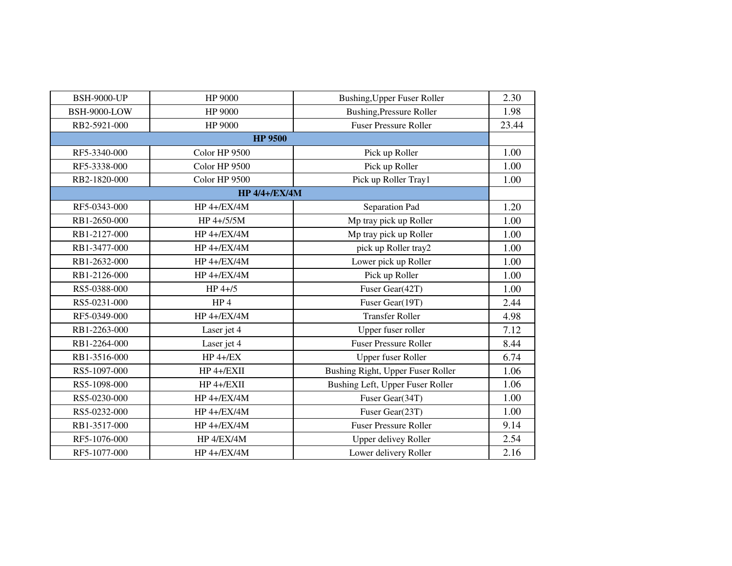| <b>BSH-9000-UP</b>  | HP 9000              | <b>Bushing, Upper Fuser Roller</b> | 2.30  |
|---------------------|----------------------|------------------------------------|-------|
| <b>BSH-9000-LOW</b> | HP 9000              | <b>Bushing, Pressure Roller</b>    | 1.98  |
| RB2-5921-000        | HP 9000              | <b>Fuser Pressure Roller</b>       | 23.44 |
|                     | <b>HP 9500</b>       |                                    |       |
| RF5-3340-000        | Color HP 9500        | Pick up Roller                     | 1.00  |
| RF5-3338-000        | Color HP 9500        | Pick up Roller                     | 1.00  |
| RB2-1820-000        | Color HP 9500        | Pick up Roller Tray1               | 1.00  |
|                     | <b>HP 4/4+/EX/4M</b> |                                    |       |
| RF5-0343-000        | <b>HP 4+/EX/4M</b>   | Separation Pad                     | 1.20  |
| RB1-2650-000        | HP 4+/5/5M           | Mp tray pick up Roller             | 1.00  |
| RB1-2127-000        | $HP 4+/EX/4M$        | Mp tray pick up Roller             | 1.00  |
| RB1-3477-000        | HP 4+/EX/4M          | pick up Roller tray2               | 1.00  |
| RB1-2632-000        | $HP 4+/EX/4M$        | Lower pick up Roller               | 1.00  |
| RB1-2126-000        | HP 4+/EX/4M          | Pick up Roller                     | 1.00  |
| RS5-0388-000        | $HP$ 4+/5            | Fuser Gear(42T)                    | 1.00  |
| RS5-0231-000        | HP <sub>4</sub>      | Fuser Gear(19T)                    | 2.44  |
| RF5-0349-000        | <b>HP 4+/EX/4M</b>   | <b>Transfer Roller</b>             | 4.98  |
| RB1-2263-000        | Laser jet 4          | Upper fuser roller                 | 7.12  |
| RB1-2264-000        | Laser jet 4          | <b>Fuser Pressure Roller</b>       | 8.44  |
| RB1-3516-000        | $HP 4+/EX$           | <b>Upper fuser Roller</b>          | 6.74  |
| RS5-1097-000        | HP 4+/EXII           | Bushing Right, Upper Fuser Roller  | 1.06  |
| RS5-1098-000        | HP 4+/EXII           | Bushing Left, Upper Fuser Roller   | 1.06  |
| RS5-0230-000        | <b>HP 4+/EX/4M</b>   | Fuser Gear(34T)                    | 1.00  |
| RS5-0232-000        | $HP 4+/EX/4M$        | Fuser Gear(23T)                    | 1.00  |
| RB1-3517-000        | <b>HP 4+/EX/4M</b>   | <b>Fuser Pressure Roller</b>       | 9.14  |
| RF5-1076-000        | HP 4/EX/4M           | <b>Upper delivey Roller</b>        | 2.54  |
| RF5-1077-000        | <b>HP 4+/EX/4M</b>   | Lower delivery Roller              | 2.16  |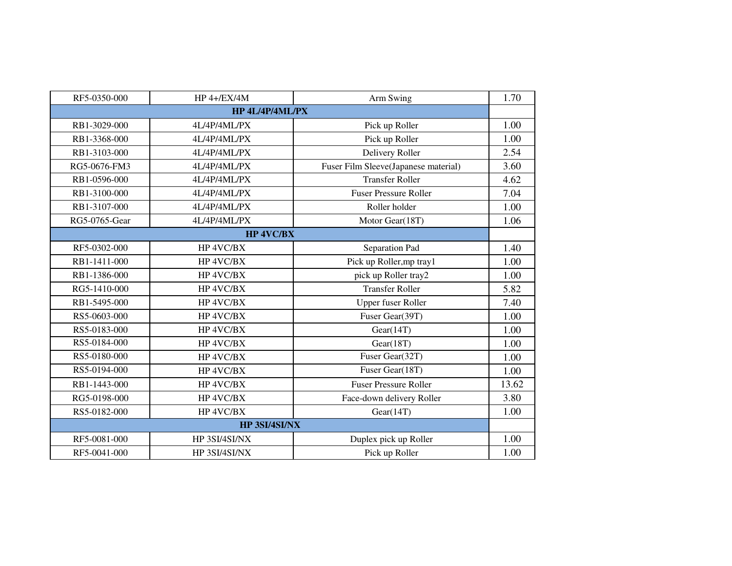| RF5-0350-000  | $HP 4+/EX/4M$    | Arm Swing                            | 1.70  |  |  |
|---------------|------------------|--------------------------------------|-------|--|--|
|               | HP 4L/4P/4ML/PX  |                                      |       |  |  |
| RB1-3029-000  | 4L/4P/4ML/PX     | Pick up Roller                       | 1.00  |  |  |
| RB1-3368-000  | 4L/4P/4ML/PX     | Pick up Roller                       | 1.00  |  |  |
| RB1-3103-000  | 4L/4P/4ML/PX     | Delivery Roller                      | 2.54  |  |  |
| RG5-0676-FM3  | 4L/4P/4ML/PX     | Fuser Film Sleeve(Japanese material) | 3.60  |  |  |
| RB1-0596-000  | 4L/4P/4ML/PX     | <b>Transfer Roller</b>               | 4.62  |  |  |
| RB1-3100-000  | 4L/4P/4ML/PX     | <b>Fuser Pressure Roller</b>         | 7.04  |  |  |
| RB1-3107-000  | 4L/4P/4ML/PX     | Roller holder                        | 1.00  |  |  |
| RG5-0765-Gear | 4L/4P/4ML/PX     | Motor Gear(18T)                      | 1.06  |  |  |
|               | <b>HP 4VC/BX</b> |                                      |       |  |  |
| RF5-0302-000  | HP 4VC/BX        | Separation Pad                       | 1.40  |  |  |
| RB1-1411-000  | HP 4VC/BX        | Pick up Roller, mp tray1             | 1.00  |  |  |
| RB1-1386-000  | HP 4VC/BX        | pick up Roller tray2                 | 1.00  |  |  |
| RG5-1410-000  | HP 4VC/BX        | <b>Transfer Roller</b>               | 5.82  |  |  |
| RB1-5495-000  | HP 4VC/BX        | Upper fuser Roller                   | 7.40  |  |  |
| RS5-0603-000  | HP 4VC/BX        | Fuser Gear(39T)                      | 1.00  |  |  |
| RS5-0183-000  | HP 4VC/BX        | Gear(14T)                            | 1.00  |  |  |
| RS5-0184-000  | HP 4VC/BX        | Gear(18T)                            | 1.00  |  |  |
| RS5-0180-000  | HP 4VC/BX        | Fuser Gear(32T)                      | 1.00  |  |  |
| RS5-0194-000  | HP 4VC/BX        | Fuser Gear(18T)                      | 1.00  |  |  |
| RB1-1443-000  | HP 4VC/BX        | <b>Fuser Pressure Roller</b>         | 13.62 |  |  |
| RG5-0198-000  | HP 4VC/BX        | Face-down delivery Roller            | 3.80  |  |  |
| RS5-0182-000  | HP 4VC/BX        | Gear(14T)                            | 1.00  |  |  |
| HP 3SI/4SI/NX |                  |                                      |       |  |  |
| RF5-0081-000  | HP 3SI/4SI/NX    | Duplex pick up Roller                | 1.00  |  |  |
| RF5-0041-000  | HP 3SI/4SI/NX    | Pick up Roller                       | 1.00  |  |  |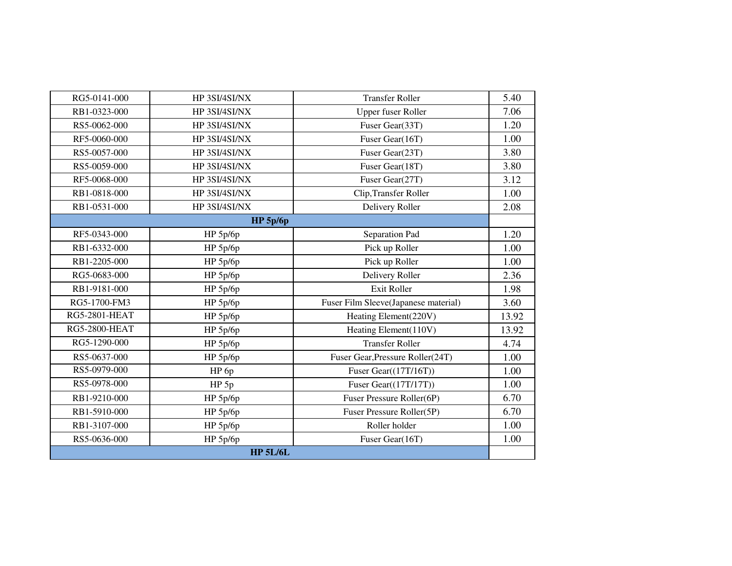| RG5-0141-000         | HP 3SI/4SI/NX    | <b>Transfer Roller</b>               | 5.40  |
|----------------------|------------------|--------------------------------------|-------|
| RB1-0323-000         | HP 3SI/4SI/NX    | Upper fuser Roller                   | 7.06  |
| RS5-0062-000         | HP 3SI/4SI/NX    | Fuser Gear(33T)                      | 1.20  |
| RF5-0060-000         | HP 3SI/4SI/NX    | Fuser Gear(16T)                      | 1.00  |
| RS5-0057-000         | HP 3SI/4SI/NX    | Fuser Gear(23T)                      | 3.80  |
| RS5-0059-000         | HP 3SI/4SI/NX    | Fuser Gear(18T)                      | 3.80  |
| RF5-0068-000         | HP 3SI/4SI/NX    | Fuser Gear(27T)                      | 3.12  |
| RB1-0818-000         | HP 3SI/4SI/NX    | Clip, Transfer Roller                | 1.00  |
| RB1-0531-000         | HP 3SI/4SI/NX    | Delivery Roller                      | 2.08  |
|                      | $HP$ 5p/6p       |                                      |       |
| RF5-0343-000         | $HP$ 5p/6p       | Separation Pad                       | 1.20  |
| RB1-6332-000         | HP 5p/6p         | Pick up Roller                       | 1.00  |
| RB1-2205-000         | HP 5p/6p         | Pick up Roller                       | 1.00  |
| RG5-0683-000         | HP 5p/6p         | Delivery Roller                      | 2.36  |
| RB1-9181-000         | HP 5p/6p         | <b>Exit Roller</b>                   | 1.98  |
| RG5-1700-FM3         | HP 5p/6p         | Fuser Film Sleeve(Japanese material) | 3.60  |
| <b>RG5-2801-HEAT</b> | HP 5p/6p         | Heating Element(220V)                | 13.92 |
| <b>RG5-2800-HEAT</b> | HP 5p/6p         | Heating Element(110V)                | 13.92 |
| RG5-1290-000         | HP 5p/6p         | <b>Transfer Roller</b>               | 4.74  |
| RS5-0637-000         | HP 5p/6p         | Fuser Gear, Pressure Roller(24T)     | 1.00  |
| RS5-0979-000         | HP 6p            | Fuser Gear $((17T/16T))$             | 1.00  |
| RS5-0978-000         | HP <sub>5p</sub> | Fuser Gear $((17T/17T))$             | 1.00  |
| RB1-9210-000         | HP 5p/6p         | Fuser Pressure Roller(6P)            | 6.70  |
| RB1-5910-000         | HP 5p/6p         | Fuser Pressure Roller(5P)            | 6.70  |
| RB1-3107-000         | HP 5p/6p         | Roller holder                        | 1.00  |
| RS5-0636-000         | HP 5p/6p         | Fuser Gear(16T)                      | 1.00  |
|                      | <b>HP 5L/6L</b>  |                                      |       |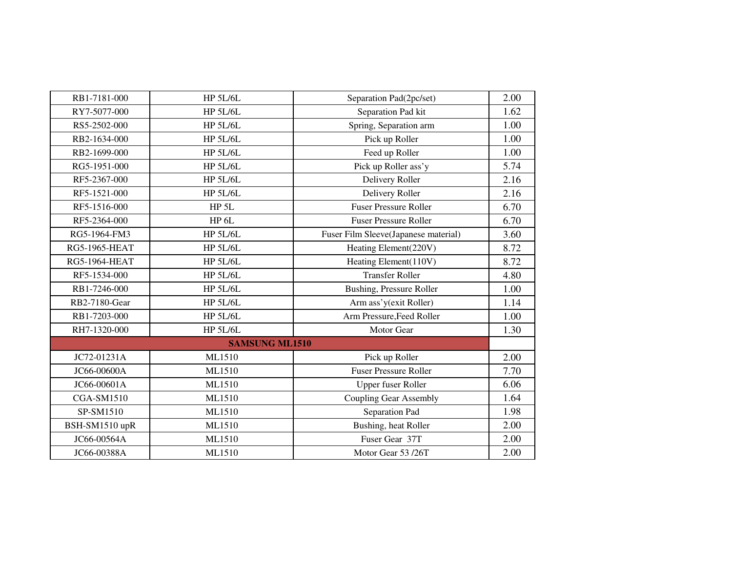| RB1-7181-000         | <b>HP 5L/6L</b>       | Separation Pad(2pc/set)              | 2.00 |
|----------------------|-----------------------|--------------------------------------|------|
| RY7-5077-000         | <b>HP 5L/6L</b>       | Separation Pad kit                   | 1.62 |
| RS5-2502-000         | <b>HP 5L/6L</b>       | Spring, Separation arm               | 1.00 |
| RB2-1634-000         | <b>HP 5L/6L</b>       | Pick up Roller                       | 1.00 |
| RB2-1699-000         | <b>HP 5L/6L</b>       | Feed up Roller                       | 1.00 |
| RG5-1951-000         | <b>HP 5L/6L</b>       | Pick up Roller ass'y                 | 5.74 |
| RF5-2367-000         | <b>HP 5L/6L</b>       | Delivery Roller                      | 2.16 |
| RF5-1521-000         | <b>HP 5L/6L</b>       | Delivery Roller                      | 2.16 |
| RF5-1516-000         | HP <sub>5L</sub>      | <b>Fuser Pressure Roller</b>         | 6.70 |
| RF5-2364-000         | HP <sub>6L</sub>      | <b>Fuser Pressure Roller</b>         | 6.70 |
| RG5-1964-FM3         | <b>HP 5L/6L</b>       | Fuser Film Sleeve(Japanese material) | 3.60 |
| <b>RG5-1965-HEAT</b> | <b>HP 5L/6L</b>       | Heating Element(220V)                | 8.72 |
| <b>RG5-1964-HEAT</b> | <b>HP 5L/6L</b>       | Heating Element(110V)                | 8.72 |
| RF5-1534-000         | <b>HP 5L/6L</b>       | <b>Transfer Roller</b>               | 4.80 |
| RB1-7246-000         | <b>HP 5L/6L</b>       | <b>Bushing, Pressure Roller</b>      | 1.00 |
| RB2-7180-Gear        | <b>HP 5L/6L</b>       | Arm ass'y(exit Roller)               | 1.14 |
| RB1-7203-000         | <b>HP 5L/6L</b>       | Arm Pressure, Feed Roller            | 1.00 |
| RH7-1320-000         | <b>HP 5L/6L</b>       | Motor Gear                           | 1.30 |
|                      | <b>SAMSUNG ML1510</b> |                                      |      |
| JC72-01231A          | ML1510                | Pick up Roller                       | 2.00 |
| JC66-00600A          | ML1510                | <b>Fuser Pressure Roller</b>         | 7.70 |
| JC66-00601A          | ML1510                | <b>Upper fuser Roller</b>            | 6.06 |
| <b>CGA-SM1510</b>    | ML1510                | Coupling Gear Assembly               | 1.64 |
| SP-SM1510            | ML1510                | Separation Pad                       | 1.98 |
| BSH-SM1510 upR       | ML1510                | Bushing, heat Roller                 | 2.00 |
| JC66-00564A          | ML1510                | Fuser Gear 37T                       | 2.00 |
| JC66-00388A          | ML1510                | Motor Gear 53 /26T                   | 2.00 |
|                      |                       |                                      |      |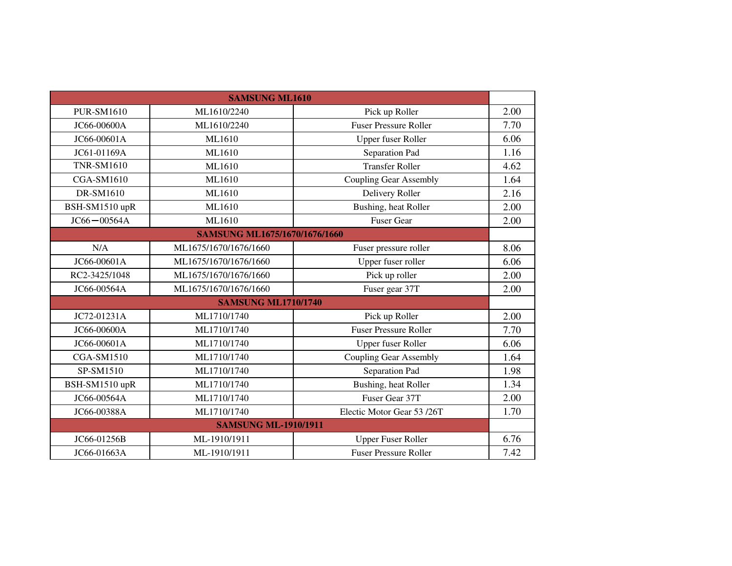|                            | <b>SAMSUNG ML1610</b>         |                               |      |  |
|----------------------------|-------------------------------|-------------------------------|------|--|
| <b>PUR-SM1610</b>          | ML1610/2240                   | Pick up Roller                | 2.00 |  |
| JC66-00600A                | ML1610/2240                   | <b>Fuser Pressure Roller</b>  | 7.70 |  |
| JC66-00601A                | ML1610                        | <b>Upper fuser Roller</b>     | 6.06 |  |
| JC61-01169A                | ML1610                        | Separation Pad                | 1.16 |  |
| <b>TNR-SM1610</b>          | ML1610                        | <b>Transfer Roller</b>        | 4.62 |  |
| <b>CGA-SM1610</b>          | ML1610                        | <b>Coupling Gear Assembly</b> | 1.64 |  |
| DR-SM1610                  | ML1610                        | Delivery Roller               | 2.16 |  |
| BSH-SM1510 upR             | ML1610                        | Bushing, heat Roller          | 2.00 |  |
| $JC66 - 00564A$            | ML1610                        | <b>Fuser Gear</b>             | 2.00 |  |
|                            | SAMSUNG ML1675/1670/1676/1660 |                               |      |  |
| N/A                        | ML1675/1670/1676/1660         | Fuser pressure roller         | 8.06 |  |
| JC66-00601A                | ML1675/1670/1676/1660         | Upper fuser roller            | 6.06 |  |
| RC2-3425/1048              | ML1675/1670/1676/1660         | Pick up roller                | 2.00 |  |
| JC66-00564A                | ML1675/1670/1676/1660         | Fuser gear 37T                | 2.00 |  |
| <b>SAMSUNG ML1710/1740</b> |                               |                               |      |  |
| JC72-01231A                | ML1710/1740                   | Pick up Roller                | 2.00 |  |
| JC66-00600A                | ML1710/1740                   | <b>Fuser Pressure Roller</b>  | 7.70 |  |
| JC66-00601A                | ML1710/1740                   | <b>Upper fuser Roller</b>     | 6.06 |  |
| <b>CGA-SM1510</b>          | ML1710/1740                   | <b>Coupling Gear Assembly</b> | 1.64 |  |
| SP-SM1510                  | ML1710/1740                   | Separation Pad                | 1.98 |  |
| BSH-SM1510 upR             | ML1710/1740                   | Bushing, heat Roller          | 1.34 |  |
| JC66-00564A                | ML1710/1740                   | Fuser Gear 37T                | 2.00 |  |
| JC66-00388A                | ML1710/1740                   | Electic Motor Gear 53/26T     | 1.70 |  |
|                            | <b>SAMSUNG ML-1910/1911</b>   |                               |      |  |
| JC66-01256B                | ML-1910/1911                  | <b>Upper Fuser Roller</b>     | 6.76 |  |
| JC66-01663A                | ML-1910/1911                  | <b>Fuser Pressure Roller</b>  | 7.42 |  |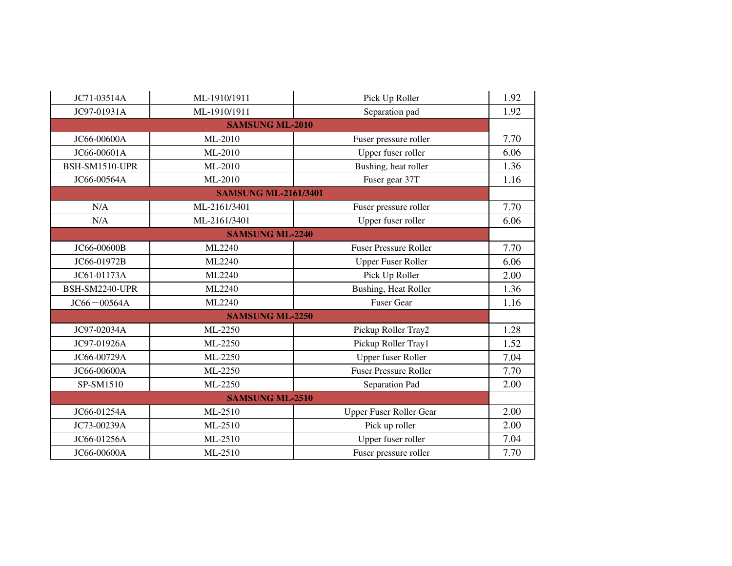| JC71-03514A<br>JC97-01931A | ML-1910/1911<br>ML-1910/1911 | Pick Up Roller<br>Separation pad | 1.92 |  |
|----------------------------|------------------------------|----------------------------------|------|--|
|                            |                              |                                  |      |  |
|                            |                              |                                  | 1.92 |  |
|                            | <b>SAMSUNG ML-2010</b>       |                                  |      |  |
| JC66-00600A                | ML-2010                      | Fuser pressure roller            | 7.70 |  |
| JC66-00601A                | ML-2010                      | Upper fuser roller               | 6.06 |  |
| BSH-SM1510-UPR             | ML-2010                      | Bushing, heat roller             | 1.36 |  |
| JC66-00564A                | ML-2010                      | Fuser gear 37T                   | 1.16 |  |
|                            | <b>SAMSUNG ML-2161/3401</b>  |                                  |      |  |
| N/A                        | ML-2161/3401                 | Fuser pressure roller            | 7.70 |  |
| N/A                        | ML-2161/3401                 | Upper fuser roller               | 6.06 |  |
|                            | <b>SAMSUNG ML-2240</b>       |                                  |      |  |
| JC66-00600B                | ML2240                       | <b>Fuser Pressure Roller</b>     | 7.70 |  |
| JC66-01972B                | ML2240                       | <b>Upper Fuser Roller</b>        | 6.06 |  |
| JC61-01173A                | ML2240                       | Pick Up Roller                   | 2.00 |  |
| BSH-SM2240-UPR             | ML2240                       | <b>Bushing, Heat Roller</b>      | 1.36 |  |
| $JC66 - 00564A$            | ML2240                       | <b>Fuser Gear</b>                | 1.16 |  |
| <b>SAMSUNG ML-2250</b>     |                              |                                  |      |  |
| JC97-02034A                | ML-2250                      | Pickup Roller Tray2              | 1.28 |  |
| JC97-01926A                | ML-2250                      | Pickup Roller Tray1              | 1.52 |  |
| JC66-00729A                | ML-2250                      | Upper fuser Roller               | 7.04 |  |
| JC66-00600A                | ML-2250                      | <b>Fuser Pressure Roller</b>     | 7.70 |  |
| SP-SM1510                  | ML-2250                      | Separation Pad                   | 2.00 |  |
|                            | <b>SAMSUNG ML-2510</b>       |                                  |      |  |
| JC66-01254A                | ML-2510                      | Upper Fuser Roller Gear          | 2.00 |  |
| JC73-00239A                | ML-2510                      | Pick up roller                   | 2.00 |  |
| JC66-01256A                | ML-2510                      | Upper fuser roller               | 7.04 |  |
| JC66-00600A                | ML-2510                      | Fuser pressure roller            | 7.70 |  |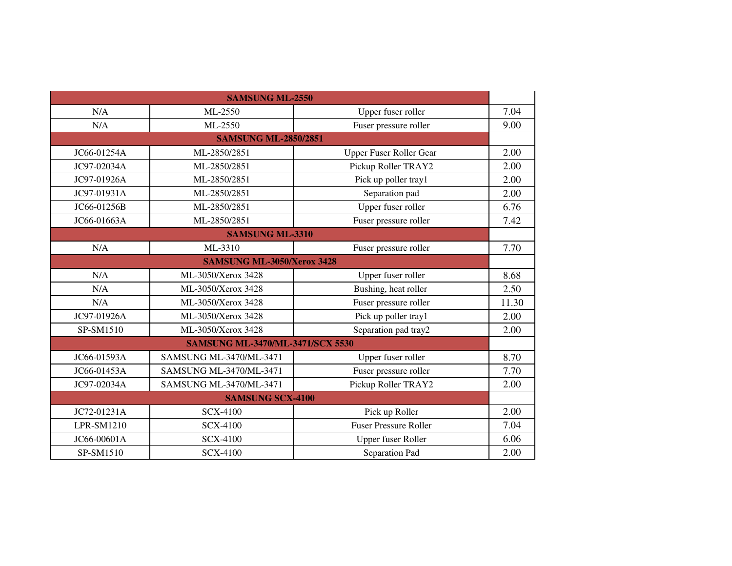|                                   | <b>SAMSUNG ML-2550</b>                  |                              |       |  |
|-----------------------------------|-----------------------------------------|------------------------------|-------|--|
| N/A                               | ML-2550                                 | Upper fuser roller           | 7.04  |  |
| N/A                               | ML-2550                                 | Fuser pressure roller        | 9.00  |  |
|                                   | <b>SAMSUNG ML-2850/2851</b>             |                              |       |  |
| JC66-01254A                       | ML-2850/2851                            | Upper Fuser Roller Gear      | 2.00  |  |
| JC97-02034A                       | ML-2850/2851                            | Pickup Roller TRAY2          | 2.00  |  |
| JC97-01926A                       | ML-2850/2851                            | Pick up poller tray1         | 2.00  |  |
| JC97-01931A                       | ML-2850/2851                            | Separation pad               | 2.00  |  |
| JC66-01256B                       | ML-2850/2851                            | Upper fuser roller           | 6.76  |  |
| JC66-01663A                       | ML-2850/2851                            | Fuser pressure roller        | 7.42  |  |
|                                   | <b>SAMSUNG ML-3310</b>                  |                              |       |  |
| N/A                               | ML-3310                                 | Fuser pressure roller        | 7.70  |  |
| <b>SAMSUNG ML-3050/Xerox 3428</b> |                                         |                              |       |  |
| N/A                               | ML-3050/Xerox 3428                      | Upper fuser roller           | 8.68  |  |
| N/A                               | ML-3050/Xerox 3428                      | Bushing, heat roller         | 2.50  |  |
| N/A                               | ML-3050/Xerox 3428                      | Fuser pressure roller        | 11.30 |  |
| JC97-01926A                       | ML-3050/Xerox 3428                      | Pick up poller tray1         | 2.00  |  |
| SP-SM1510                         | ML-3050/Xerox 3428                      | Separation pad tray2         | 2.00  |  |
|                                   | <b>SAMSUNG ML-3470/ML-3471/SCX 5530</b> |                              |       |  |
| JC66-01593A                       | SAMSUNG ML-3470/ML-3471                 | Upper fuser roller           | 8.70  |  |
| JC66-01453A                       | SAMSUNG ML-3470/ML-3471                 | Fuser pressure roller        | 7.70  |  |
| JC97-02034A                       | SAMSUNG ML-3470/ML-3471                 | Pickup Roller TRAY2          | 2.00  |  |
|                                   | <b>SAMSUNG SCX-4100</b>                 |                              |       |  |
| JC72-01231A                       | <b>SCX-4100</b>                         | Pick up Roller               | 2.00  |  |
| LPR-SM1210                        | <b>SCX-4100</b>                         | <b>Fuser Pressure Roller</b> | 7.04  |  |
| JC66-00601A                       | <b>SCX-4100</b>                         | Upper fuser Roller           | 6.06  |  |
| SP-SM1510                         | <b>SCX-4100</b>                         | Separation Pad               | 2.00  |  |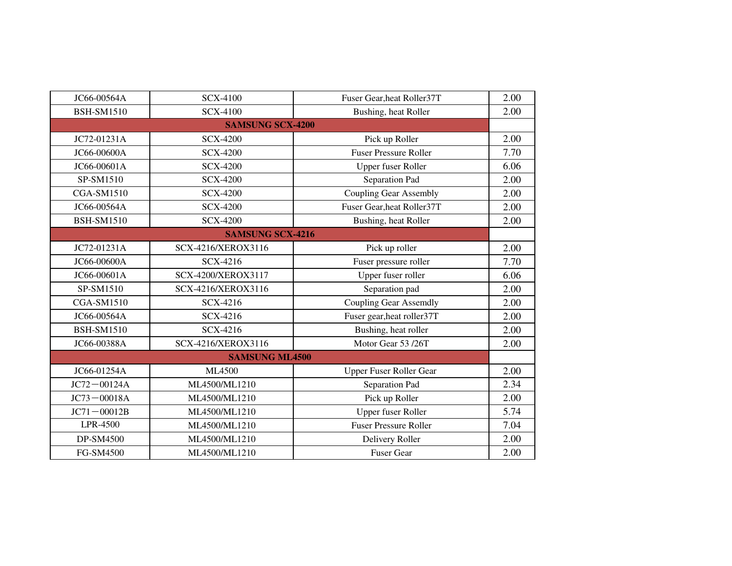| JC66-00564A       | <b>SCX-4100</b>         | Fuser Gear, heat Roller37T    | 2.00 |
|-------------------|-------------------------|-------------------------------|------|
| <b>BSH-SM1510</b> | <b>SCX-4100</b>         | Bushing, heat Roller          | 2.00 |
|                   | <b>SAMSUNG SCX-4200</b> |                               |      |
| JC72-01231A       | <b>SCX-4200</b>         | Pick up Roller                | 2.00 |
| JC66-00600A       | <b>SCX-4200</b>         | <b>Fuser Pressure Roller</b>  | 7.70 |
| JC66-00601A       | <b>SCX-4200</b>         | Upper fuser Roller            | 6.06 |
| SP-SM1510         | <b>SCX-4200</b>         | Separation Pad                | 2.00 |
| <b>CGA-SM1510</b> | <b>SCX-4200</b>         | <b>Coupling Gear Assembly</b> | 2.00 |
| JC66-00564A       | <b>SCX-4200</b>         | Fuser Gear, heat Roller37T    | 2.00 |
| <b>BSH-SM1510</b> | <b>SCX-4200</b>         | Bushing, heat Roller          | 2.00 |
|                   | <b>SAMSUNG SCX-4216</b> |                               |      |
| JC72-01231A       | SCX-4216/XEROX3116      | Pick up roller                | 2.00 |
| JC66-00600A       | SCX-4216                | Fuser pressure roller         | 7.70 |
| JC66-00601A       | SCX-4200/XEROX3117      | Upper fuser roller            | 6.06 |
| SP-SM1510         | SCX-4216/XEROX3116      | Separation pad                | 2.00 |
| <b>CGA-SM1510</b> | SCX-4216                | <b>Coupling Gear Assemdly</b> | 2.00 |
| JC66-00564A       | SCX-4216                | Fuser gear, heat roller 37T   | 2.00 |
| <b>BSH-SM1510</b> | SCX-4216                | Bushing, heat roller          | 2.00 |
| JC66-00388A       | SCX-4216/XEROX3116      | Motor Gear 53 /26T            | 2.00 |
|                   | <b>SAMSUNG ML4500</b>   |                               |      |
| JC66-01254A       | ML4500                  | Upper Fuser Roller Gear       | 2.00 |
| $JC72 - 00124A$   | ML4500/ML1210           | Separation Pad                | 2.34 |
| $JC73 - 00018A$   | ML4500/ML1210           | Pick up Roller                | 2.00 |
| $JC71 - 00012B$   | ML4500/ML1210           | Upper fuser Roller            | 5.74 |
| LPR-4500          | ML4500/ML1210           | <b>Fuser Pressure Roller</b>  | 7.04 |
| DP-SM4500         | ML4500/ML1210           | Delivery Roller               | 2.00 |
| FG-SM4500         | ML4500/ML1210           | <b>Fuser Gear</b>             | 2.00 |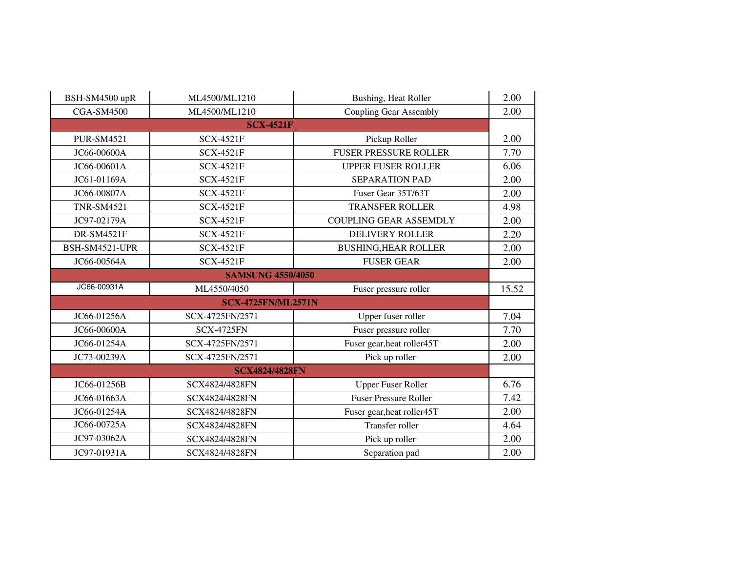| BSH-SM4500 upR            | ML4500/ML1210         | Bushing, Heat Roller          | 2.00  |  |
|---------------------------|-----------------------|-------------------------------|-------|--|
| <b>CGA-SM4500</b>         | ML4500/ML1210         | <b>Coupling Gear Assembly</b> | 2.00  |  |
|                           | <b>SCX-4521F</b>      |                               |       |  |
| <b>PUR-SM4521</b>         | <b>SCX-4521F</b>      | Pickup Roller                 | 2.00  |  |
| JC66-00600A               | <b>SCX-4521F</b>      | <b>FUSER PRESSURE ROLLER</b>  | 7.70  |  |
| JC66-00601A               | <b>SCX-4521F</b>      | <b>UPPER FUSER ROLLER</b>     | 6.06  |  |
| JC61-01169A               | <b>SCX-4521F</b>      | <b>SEPARATION PAD</b>         | 2.00  |  |
| JC66-00807A               | <b>SCX-4521F</b>      | Fuser Gear 35T/63T            | 2.00  |  |
| <b>TNR-SM4521</b>         | <b>SCX-4521F</b>      | <b>TRANSFER ROLLER</b>        | 4.98  |  |
| JC97-02179A               | <b>SCX-4521F</b>      | <b>COUPLING GEAR ASSEMDLY</b> | 2.00  |  |
| <b>DR-SM4521F</b>         | <b>SCX-4521F</b>      | <b>DELIVERY ROLLER</b>        | 2.20  |  |
| BSH-SM4521-UPR            | <b>SCX-4521F</b>      | <b>BUSHING, HEAR ROLLER</b>   | 2.00  |  |
| JC66-00564A               | <b>SCX-4521F</b>      | <b>FUSER GEAR</b>             | 2.00  |  |
| <b>SAMSUNG 4550/4050</b>  |                       |                               |       |  |
| JC66-00931A               | ML4550/4050           | Fuser pressure roller         | 15.52 |  |
| <b>SCX-4725FN/ML2571N</b> |                       |                               |       |  |
| JC66-01256A               | SCX-4725FN/2571       | Upper fuser roller            | 7.04  |  |
| JC66-00600A               | <b>SCX-4725FN</b>     | Fuser pressure roller         | 7.70  |  |
| JC66-01254A               | SCX-4725FN/2571       | Fuser gear, heat roller45T    | 2.00  |  |
| JC73-00239A               | SCX-4725FN/2571       | Pick up roller                | 2.00  |  |
|                           | <b>SCX4824/4828FN</b> |                               |       |  |
| JC66-01256B               | SCX4824/4828FN        | <b>Upper Fuser Roller</b>     | 6.76  |  |
| JC66-01663A               | SCX4824/4828FN        | <b>Fuser Pressure Roller</b>  | 7.42  |  |
| JC66-01254A               | SCX4824/4828FN        | Fuser gear, heat roller45T    | 2.00  |  |
| JC66-00725A               | SCX4824/4828FN        | Transfer roller               | 4.64  |  |
| JC97-03062A               | SCX4824/4828FN        | Pick up roller                | 2.00  |  |
| JC97-01931A               | SCX4824/4828FN        | Separation pad                | 2.00  |  |
|                           |                       |                               |       |  |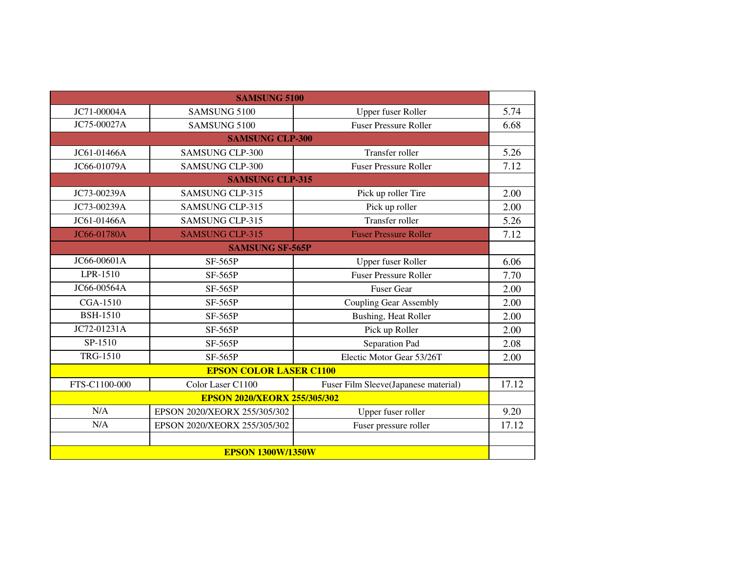|                                     | <b>SAMSUNG 5100</b>            |                                      |       |
|-------------------------------------|--------------------------------|--------------------------------------|-------|
| JC71-00004A                         | SAMSUNG 5100                   | Upper fuser Roller                   | 5.74  |
| JC75-00027A                         | SAMSUNG 5100                   | <b>Fuser Pressure Roller</b>         | 6.68  |
|                                     | <b>SAMSUNG CLP-300</b>         |                                      |       |
| JC61-01466A                         | <b>SAMSUNG CLP-300</b>         | <b>Transfer roller</b>               | 5.26  |
| JC66-01079A                         | <b>SAMSUNG CLP-300</b>         | <b>Fuser Pressure Roller</b>         | 7.12  |
|                                     | <b>SAMSUNG CLP-315</b>         |                                      |       |
| JC73-00239A                         | <b>SAMSUNG CLP-315</b>         | Pick up roller Tire                  | 2.00  |
| JC73-00239A                         | <b>SAMSUNG CLP-315</b>         | Pick up roller                       | 2.00  |
| JC61-01466A                         | <b>SAMSUNG CLP-315</b>         | Transfer roller                      | 5.26  |
| JC66-01780A                         | <b>SAMSUNG CLP-315</b>         | <b>Fuser Pressure Roller</b>         | 7.12  |
| <b>SAMSUNG SF-565P</b>              |                                |                                      |       |
| JC66-00601A                         | <b>SF-565P</b>                 | Upper fuser Roller                   | 6.06  |
| LPR-1510                            | <b>SF-565P</b>                 | <b>Fuser Pressure Roller</b>         | 7.70  |
| JC66-00564A                         | <b>SF-565P</b>                 | Fuser Gear                           | 2.00  |
| <b>CGA-1510</b>                     | <b>SF-565P</b>                 | <b>Coupling Gear Assembly</b>        | 2.00  |
| <b>BSH-1510</b>                     | <b>SF-565P</b>                 | Bushing, Heat Roller                 | 2.00  |
| JC72-01231A                         | <b>SF-565P</b>                 | Pick up Roller                       | 2.00  |
| SP-1510                             | <b>SF-565P</b>                 | Separation Pad                       | 2.08  |
| <b>TRG-1510</b>                     | <b>SF-565P</b>                 | Electic Motor Gear 53/26T            | 2.00  |
|                                     | <b>EPSON COLOR LASER C1100</b> |                                      |       |
| FTS-C1100-000                       | Color Laser C1100              | Fuser Film Sleeve(Japanese material) | 17.12 |
| <b>EPSON 2020/XEORX 255/305/302</b> |                                |                                      |       |
| N/A                                 | EPSON 2020/XEORX 255/305/302   | Upper fuser roller                   | 9.20  |
| N/A                                 | EPSON 2020/XEORX 255/305/302   | Fuser pressure roller                | 17.12 |
|                                     |                                |                                      |       |
| <b>EPSON 1300W/1350W</b>            |                                |                                      |       |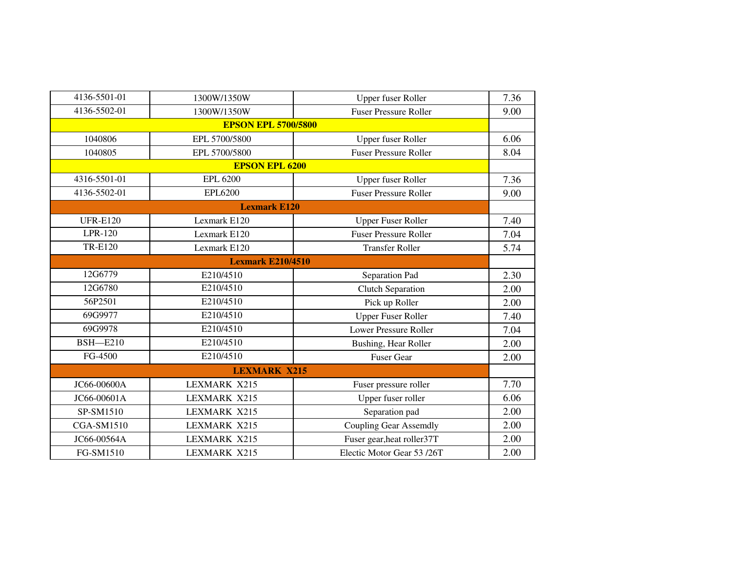| 4136-5501-01             | 1300W/1350W                | Upper fuser Roller            | 7.36 |  |
|--------------------------|----------------------------|-------------------------------|------|--|
| 4136-5502-01             | 1300W/1350W                | <b>Fuser Pressure Roller</b>  | 9.00 |  |
|                          | <b>EPSON EPL 5700/5800</b> |                               |      |  |
| 1040806                  | EPL 5700/5800              | Upper fuser Roller            | 6.06 |  |
| 1040805                  | EPL 5700/5800              | <b>Fuser Pressure Roller</b>  | 8.04 |  |
|                          | <b>EPSON EPL 6200</b>      |                               |      |  |
| 4316-5501-01             | <b>EPL 6200</b>            | <b>Upper fuser Roller</b>     | 7.36 |  |
| 4136-5502-01             | <b>EPL6200</b>             | <b>Fuser Pressure Roller</b>  | 9.00 |  |
|                          | <b>Lexmark E120</b>        |                               |      |  |
| <b>UFR-E120</b>          | Lexmark E120               | <b>Upper Fuser Roller</b>     | 7.40 |  |
| LPR-120                  | Lexmark E120               | <b>Fuser Pressure Roller</b>  | 7.04 |  |
| <b>TR-E120</b>           | Lexmark E120               | <b>Transfer Roller</b>        | 5.74 |  |
| <b>Lexmark E210/4510</b> |                            |                               |      |  |
| 12G6779                  | E210/4510                  | Separation Pad                | 2.30 |  |
| 12G6780                  | E210/4510                  | <b>Clutch Separation</b>      | 2.00 |  |
| 56P2501                  | E210/4510                  | Pick up Roller                | 2.00 |  |
| 69G9977                  | E210/4510                  | <b>Upper Fuser Roller</b>     | 7.40 |  |
| 69G9978                  | E210/4510                  | Lower Pressure Roller         | 7.04 |  |
| <b>BSH-E210</b>          | E210/4510                  | Bushing, Hear Roller          | 2.00 |  |
| FG-4500                  | E210/4510                  | <b>Fuser Gear</b>             | 2.00 |  |
|                          | <b>LEXMARK X215</b>        |                               |      |  |
| JC66-00600A              | <b>LEXMARK X215</b>        | Fuser pressure roller         | 7.70 |  |
| JC66-00601A              | <b>LEXMARK X215</b>        | Upper fuser roller            | 6.06 |  |
| SP-SM1510                | <b>LEXMARK X215</b>        | Separation pad                | 2.00 |  |
| <b>CGA-SM1510</b>        | <b>LEXMARK X215</b>        | <b>Coupling Gear Assemdly</b> | 2.00 |  |
| JC66-00564A              | <b>LEXMARK X215</b>        | Fuser gear, heat roller 37T   | 2.00 |  |
| FG-SM1510                | <b>LEXMARK X215</b>        | Electic Motor Gear 53 /26T    | 2.00 |  |
|                          |                            |                               |      |  |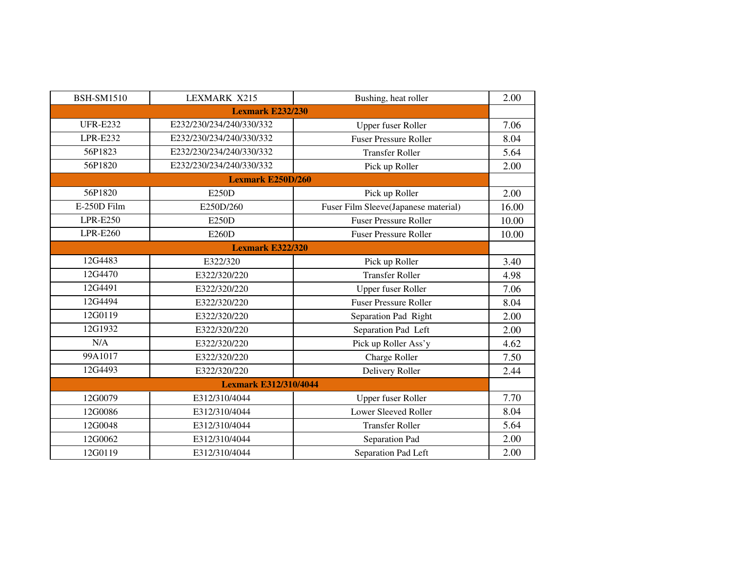| <b>BSH-SM1510</b> | <b>LEXMARK X215</b>          | Bushing, heat roller                 | 2.00  |
|-------------------|------------------------------|--------------------------------------|-------|
|                   | <b>Lexmark E232/230</b>      |                                      |       |
| <b>UFR-E232</b>   | E232/230/234/240/330/332     | <b>Upper fuser Roller</b>            | 7.06  |
| <b>LPR-E232</b>   | E232/230/234/240/330/332     | <b>Fuser Pressure Roller</b>         | 8.04  |
| 56P1823           | E232/230/234/240/330/332     | <b>Transfer Roller</b>               | 5.64  |
| 56P1820           | E232/230/234/240/330/332     | Pick up Roller                       | 2.00  |
|                   | <b>Lexmark E250D/260</b>     |                                      |       |
| 56P1820           | E250D                        | Pick up Roller                       | 2.00  |
| E-250D Film       | E250D/260                    | Fuser Film Sleeve(Japanese material) | 16.00 |
| $LPR-E250$        | E250D                        | <b>Fuser Pressure Roller</b>         | 10.00 |
| <b>LPR-E260</b>   | E260D                        | <b>Fuser Pressure Roller</b>         | 10.00 |
|                   | <b>Lexmark E322/320</b>      |                                      |       |
| 12G4483           | E322/320                     | Pick up Roller                       | 3.40  |
| 12G4470           | E322/320/220                 | <b>Transfer Roller</b>               | 4.98  |
| 12G4491           | E322/320/220                 | <b>Upper fuser Roller</b>            | 7.06  |
| 12G4494           | E322/320/220                 | <b>Fuser Pressure Roller</b>         | 8.04  |
| 12G0119           | E322/320/220                 | Separation Pad Right                 | 2.00  |
| 12G1932           | E322/320/220                 | Separation Pad Left                  | 2.00  |
| N/A               | E322/320/220                 | Pick up Roller Ass'y                 | 4.62  |
| 99A1017           | E322/320/220                 | Charge Roller                        | 7.50  |
| 12G4493           | E322/320/220                 | Delivery Roller                      | 2.44  |
|                   | <b>Lexmark E312/310/4044</b> |                                      |       |
| 12G0079           | E312/310/4044                | <b>Upper fuser Roller</b>            | 7.70  |
| 12G0086           | E312/310/4044                | <b>Lower Sleeved Roller</b>          | 8.04  |
| 12G0048           | E312/310/4044                | <b>Transfer Roller</b>               | 5.64  |
| 12G0062           | E312/310/4044                | Separation Pad                       | 2.00  |
| 12G0119           | E312/310/4044                | Separation Pad Left                  | 2.00  |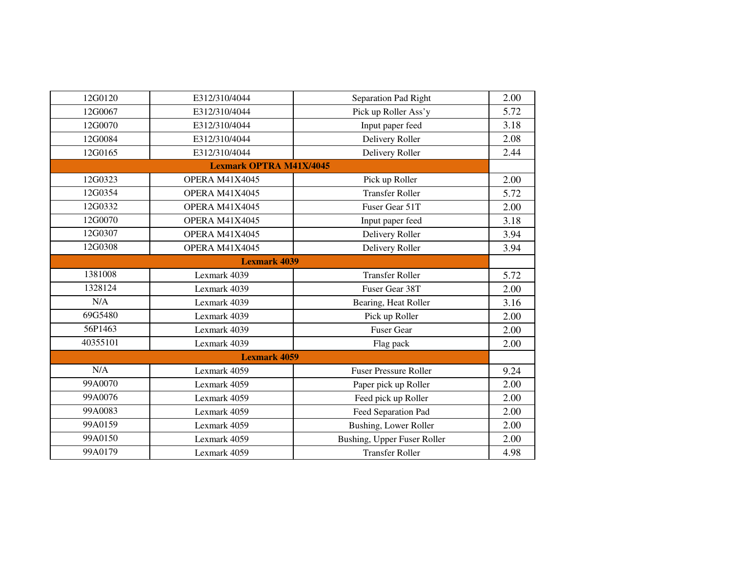| 12G0120             | E312/310/4044                  | Separation Pad Right         | 2.00 |  |
|---------------------|--------------------------------|------------------------------|------|--|
| 12G0067             | E312/310/4044                  | Pick up Roller Ass'y         | 5.72 |  |
| 12G0070             | E312/310/4044                  | Input paper feed             | 3.18 |  |
| 12G0084             | E312/310/4044                  | Delivery Roller              | 2.08 |  |
| 12G0165             | E312/310/4044                  | Delivery Roller              | 2.44 |  |
|                     | <b>Lexmark OPTRA M41X/4045</b> |                              |      |  |
| 12G0323             | <b>OPERA M41X4045</b>          | Pick up Roller               | 2.00 |  |
| 12G0354             | OPERA M41X4045                 | <b>Transfer Roller</b>       | 5.72 |  |
| 12G0332             | OPERA M41X4045                 | Fuser Gear 51T               | 2.00 |  |
| 12G0070             | OPERA M41X4045                 | Input paper feed             | 3.18 |  |
| 12G0307             | <b>OPERA M41X4045</b>          | Delivery Roller              | 3.94 |  |
| 12G0308             | OPERA M41X4045                 | Delivery Roller              | 3.94 |  |
| <b>Lexmark 4039</b> |                                |                              |      |  |
| 1381008             | Lexmark 4039                   | <b>Transfer Roller</b>       | 5.72 |  |
| 1328124             | Lexmark 4039                   | Fuser Gear 38T               | 2.00 |  |
| N/A                 | Lexmark 4039                   | Bearing, Heat Roller         | 3.16 |  |
| 69G5480             | Lexmark 4039                   | Pick up Roller               | 2.00 |  |
| 56P1463             | Lexmark 4039                   | <b>Fuser Gear</b>            | 2.00 |  |
| 40355101            | Lexmark 4039                   | Flag pack                    | 2.00 |  |
|                     | <b>Lexmark 4059</b>            |                              |      |  |
| N/A                 | Lexmark 4059                   | <b>Fuser Pressure Roller</b> | 9.24 |  |
| 99A0070             | Lexmark 4059                   | Paper pick up Roller         | 2.00 |  |
| 99A0076             | Lexmark 4059                   | Feed pick up Roller          | 2.00 |  |
| 99A0083             | Lexmark 4059                   | Feed Separation Pad          | 2.00 |  |
| 99A0159             | Lexmark 4059                   | Bushing, Lower Roller        | 2.00 |  |
| 99A0150             | Lexmark 4059                   | Bushing, Upper Fuser Roller  | 2.00 |  |
| 99A0179             | Lexmark 4059                   | <b>Transfer Roller</b>       | 4.98 |  |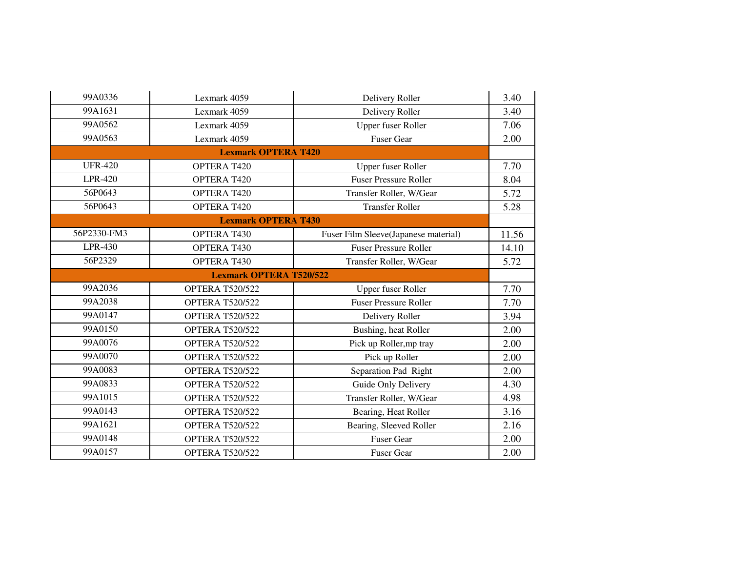| 99A0336        | Lexmark 4059                   | Delivery Roller                      | 3.40  |  |  |
|----------------|--------------------------------|--------------------------------------|-------|--|--|
| 99A1631        | Lexmark 4059                   | Delivery Roller                      | 3.40  |  |  |
| 99A0562        | Lexmark 4059                   | <b>Upper fuser Roller</b>            | 7.06  |  |  |
| 99A0563        | Lexmark 4059                   | <b>Fuser Gear</b>                    | 2.00  |  |  |
|                | <b>Lexmark OPTERA T420</b>     |                                      |       |  |  |
| <b>UFR-420</b> | <b>OPTERA T420</b>             | Upper fuser Roller                   | 7.70  |  |  |
| <b>LPR-420</b> | <b>OPTERA T420</b>             | <b>Fuser Pressure Roller</b>         | 8.04  |  |  |
| 56P0643        | <b>OPTERA T420</b>             | Transfer Roller, W/Gear              | 5.72  |  |  |
| 56P0643        | OPTERA T420                    | <b>Transfer Roller</b>               | 5.28  |  |  |
|                | <b>Lexmark OPTERA T430</b>     |                                      |       |  |  |
| 56P2330-FM3    | <b>OPTERA T430</b>             | Fuser Film Sleeve(Japanese material) | 11.56 |  |  |
| LPR-430        | OPTERA T430                    | <b>Fuser Pressure Roller</b>         | 14.10 |  |  |
| 56P2329        | OPTERA T430                    | Transfer Roller, W/Gear              | 5.72  |  |  |
|                | <b>Lexmark OPTERA T520/522</b> |                                      |       |  |  |
| 99A2036        | <b>OPTERA T520/522</b>         | <b>Upper fuser Roller</b>            | 7.70  |  |  |
| 99A2038        | <b>OPTERA T520/522</b>         | <b>Fuser Pressure Roller</b>         | 7.70  |  |  |
| 99A0147        | <b>OPTERA T520/522</b>         | Delivery Roller                      | 3.94  |  |  |
| 99A0150        | <b>OPTERA T520/522</b>         | Bushing, heat Roller                 | 2.00  |  |  |
| 99A0076        | <b>OPTERA T520/522</b>         | Pick up Roller, mp tray              | 2.00  |  |  |
| 99A0070        | <b>OPTERA T520/522</b>         | Pick up Roller                       | 2.00  |  |  |
| 99A0083        | <b>OPTERA T520/522</b>         | Separation Pad Right                 | 2.00  |  |  |
| 99A0833        | <b>OPTERA T520/522</b>         | Guide Only Delivery                  | 4.30  |  |  |
| 99A1015        | <b>OPTERA T520/522</b>         | Transfer Roller, W/Gear              | 4.98  |  |  |
| 99A0143        | <b>OPTERA T520/522</b>         | Bearing, Heat Roller                 | 3.16  |  |  |
| 99A1621        | <b>OPTERA T520/522</b>         | Bearing, Sleeved Roller              | 2.16  |  |  |
| 99A0148        | <b>OPTERA T520/522</b>         | <b>Fuser Gear</b>                    | 2.00  |  |  |
| 99A0157        | <b>OPTERA T520/522</b>         | <b>Fuser Gear</b>                    | 2.00  |  |  |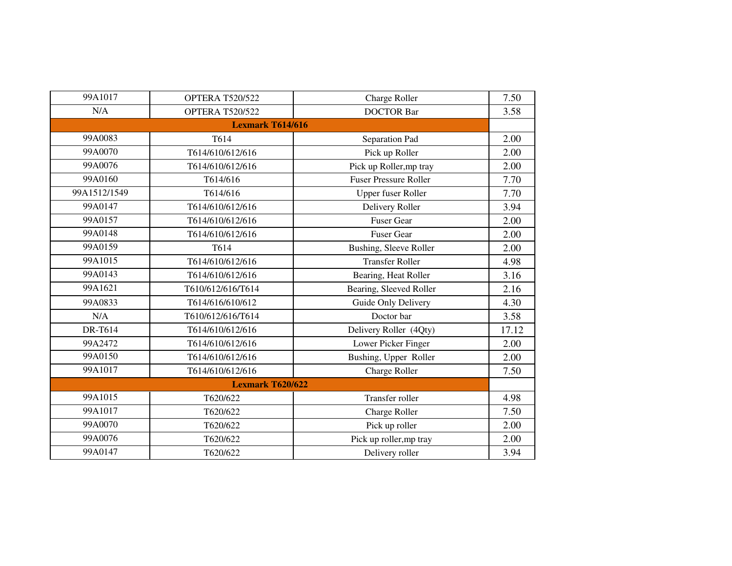| 99A1017      | <b>OPTERA T520/522</b>  | Charge Roller                | 7.50  |
|--------------|-------------------------|------------------------------|-------|
| N/A          | <b>OPTERA T520/522</b>  | <b>DOCTOR Bar</b>            | 3.58  |
|              | <b>Lexmark T614/616</b> |                              |       |
| 99A0083      | T614                    | Separation Pad               | 2.00  |
| 99A0070      | T614/610/612/616        | Pick up Roller               | 2.00  |
| 99A0076      | T614/610/612/616        | Pick up Roller, mp tray      | 2.00  |
| 99A0160      | T614/616                | <b>Fuser Pressure Roller</b> | 7.70  |
| 99A1512/1549 | T614/616                | <b>Upper fuser Roller</b>    | 7.70  |
| 99A0147      | T614/610/612/616        | Delivery Roller              | 3.94  |
| 99A0157      | T614/610/612/616        | <b>Fuser Gear</b>            | 2.00  |
| 99A0148      | T614/610/612/616        | <b>Fuser Gear</b>            | 2.00  |
| 99A0159      | T614                    | Bushing, Sleeve Roller       | 2.00  |
| 99A1015      | T614/610/612/616        | <b>Transfer Roller</b>       | 4.98  |
| 99A0143      | T614/610/612/616        | Bearing, Heat Roller         | 3.16  |
| 99A1621      | T610/612/616/T614       | Bearing, Sleeved Roller      | 2.16  |
| 99A0833      | T614/616/610/612        | Guide Only Delivery          | 4.30  |
| N/A          | T610/612/616/T614       | Doctor bar                   | 3.58  |
| DR-T614      | T614/610/612/616        | Delivery Roller (4Qty)       | 17.12 |
| 99A2472      | T614/610/612/616        | Lower Picker Finger          | 2.00  |
| 99A0150      | T614/610/612/616        | Bushing, Upper Roller        | 2.00  |
| 99A1017      | T614/610/612/616        | <b>Charge Roller</b>         | 7.50  |
|              | <b>Lexmark T620/622</b> |                              |       |
| 99A1015      | T620/622                | Transfer roller              | 4.98  |
| 99A1017      | T620/622                | Charge Roller                | 7.50  |
| 99A0070      | T620/622                | Pick up roller               | 2.00  |
| 99A0076      | T620/622                | Pick up roller, mp tray      | 2.00  |
| 99A0147      | T620/622                | Delivery roller              | 3.94  |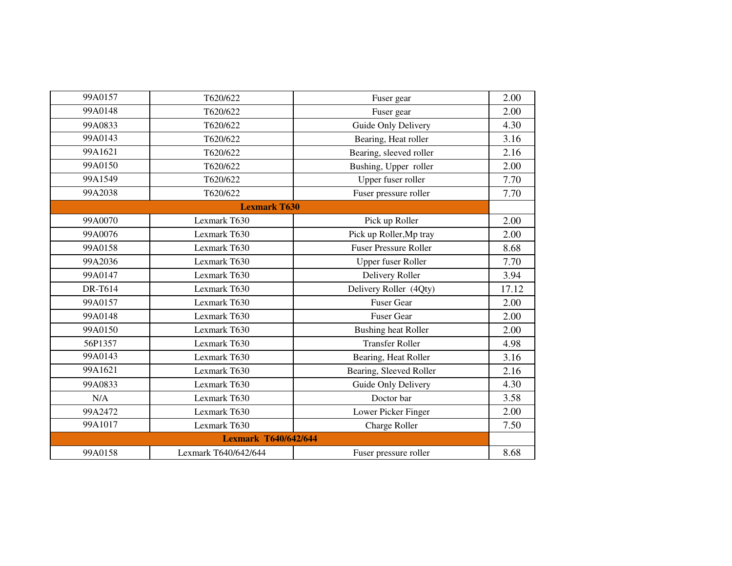| 99A0157 | T620/622                    | Fuser gear                   | 2.00  |
|---------|-----------------------------|------------------------------|-------|
| 99A0148 | T620/622                    | Fuser gear                   | 2.00  |
| 99A0833 | T620/622                    | Guide Only Delivery          | 4.30  |
| 99A0143 | T620/622                    | Bearing, Heat roller         | 3.16  |
| 99A1621 | T620/622                    | Bearing, sleeved roller      | 2.16  |
| 99A0150 | T620/622                    | Bushing, Upper roller        | 2.00  |
| 99A1549 | T620/622                    | Upper fuser roller           | 7.70  |
| 99A2038 | T620/622                    | Fuser pressure roller        | 7.70  |
|         | <b>Lexmark T630</b>         |                              |       |
| 99A0070 | Lexmark T630                | Pick up Roller               | 2.00  |
| 99A0076 | Lexmark T630                | Pick up Roller, Mp tray      | 2.00  |
| 99A0158 | Lexmark T630                | <b>Fuser Pressure Roller</b> | 8.68  |
| 99A2036 | Lexmark T630                | Upper fuser Roller           | 7.70  |
| 99A0147 | Lexmark T630                | Delivery Roller              | 3.94  |
| DR-T614 | Lexmark T630                | Delivery Roller (4Qty)       | 17.12 |
| 99A0157 | Lexmark T630                | <b>Fuser Gear</b>            | 2.00  |
| 99A0148 | Lexmark T630                | <b>Fuser Gear</b>            | 2.00  |
| 99A0150 | Lexmark T630                | <b>Bushing heat Roller</b>   | 2.00  |
| 56P1357 | Lexmark T630                | <b>Transfer Roller</b>       | 4.98  |
| 99A0143 | Lexmark T630                | Bearing, Heat Roller         | 3.16  |
| 99A1621 | Lexmark T630                | Bearing, Sleeved Roller      | 2.16  |
| 99A0833 | Lexmark T630                | Guide Only Delivery          | 4.30  |
| N/A     | Lexmark T630                | Doctor bar                   | 3.58  |
| 99A2472 | Lexmark T630                | Lower Picker Finger          | 2.00  |
| 99A1017 | Lexmark T630                | <b>Charge Roller</b>         | 7.50  |
|         | <b>Lexmark T640/642/644</b> |                              |       |
| 99A0158 | Lexmark T640/642/644        | Fuser pressure roller        | 8.68  |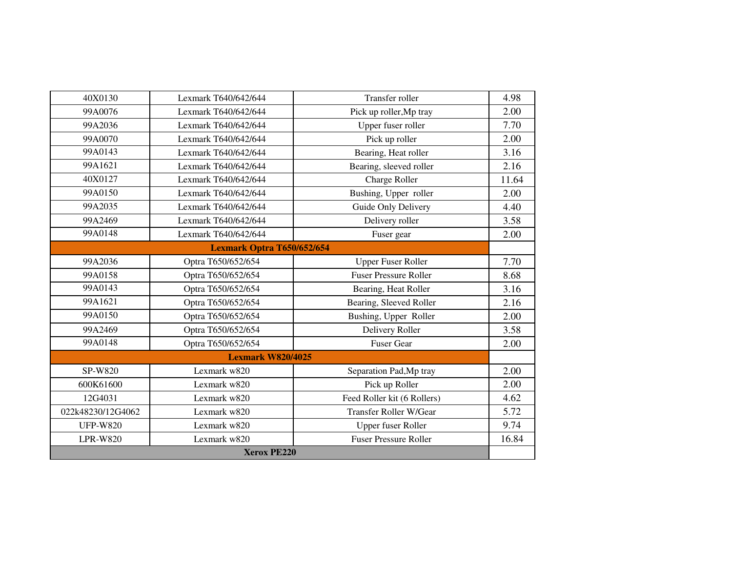| 40X0130           | Lexmark T640/642/644       | Transfer roller               | 4.98  |
|-------------------|----------------------------|-------------------------------|-------|
| 99A0076           | Lexmark T640/642/644       | Pick up roller, Mp tray       | 2.00  |
| 99A2036           | Lexmark T640/642/644       | Upper fuser roller            | 7.70  |
| 99A0070           | Lexmark T640/642/644       | Pick up roller                | 2.00  |
| 99A0143           | Lexmark T640/642/644       | Bearing, Heat roller          | 3.16  |
| 99A1621           | Lexmark T640/642/644       | Bearing, sleeved roller       | 2.16  |
| 40X0127           | Lexmark T640/642/644       | <b>Charge Roller</b>          | 11.64 |
| 99A0150           | Lexmark T640/642/644       | Bushing, Upper roller         | 2.00  |
| 99A2035           | Lexmark T640/642/644       | Guide Only Delivery           | 4.40  |
| 99A2469           | Lexmark T640/642/644       | Delivery roller               | 3.58  |
| 99A0148           | Lexmark T640/642/644       | Fuser gear                    | 2.00  |
|                   | Lexmark Optra T650/652/654 |                               |       |
| 99A2036           | Optra T650/652/654         | <b>Upper Fuser Roller</b>     | 7.70  |
| 99A0158           | Optra T650/652/654         | <b>Fuser Pressure Roller</b>  | 8.68  |
| 99A0143           | Optra T650/652/654         | Bearing, Heat Roller          | 3.16  |
| 99A1621           | Optra T650/652/654         | Bearing, Sleeved Roller       | 2.16  |
| 99A0150           | Optra T650/652/654         | Bushing, Upper Roller         | 2.00  |
| 99A2469           | Optra T650/652/654         | Delivery Roller               | 3.58  |
| 99A0148           | Optra T650/652/654         | <b>Fuser Gear</b>             | 2.00  |
|                   | <b>Lexmark W820/4025</b>   |                               |       |
| SP-W820           | Lexmark w820               | Separation Pad, Mp tray       | 2.00  |
| 600K61600         | Lexmark w820               | Pick up Roller                | 2.00  |
| 12G4031           | Lexmark w820               | Feed Roller kit (6 Rollers)   | 4.62  |
| 022k48230/12G4062 | Lexmark w820               | <b>Transfer Roller W/Gear</b> | 5.72  |
| <b>UFP-W820</b>   | Lexmark w820               | Upper fuser Roller            | 9.74  |
| <b>LPR-W820</b>   | Lexmark w820               | <b>Fuser Pressure Roller</b>  | 16.84 |
|                   | <b>Xerox PE220</b>         |                               |       |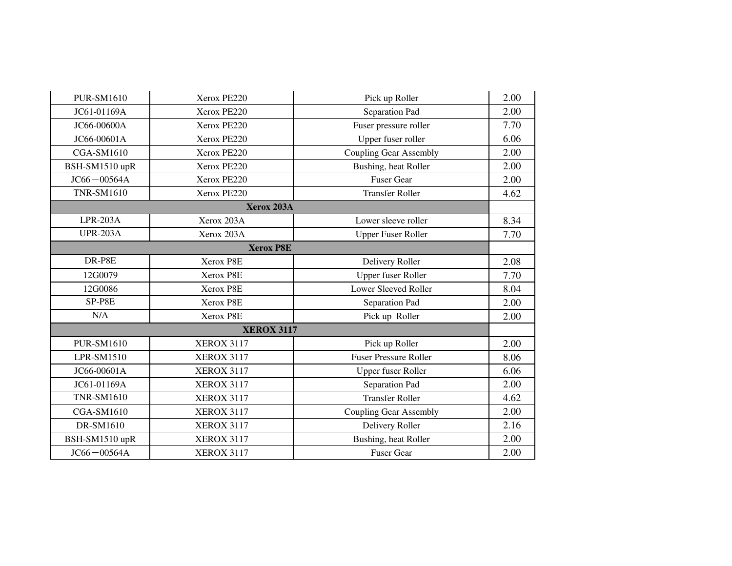| <b>PUR-SM1610</b><br>JC61-01169A | Xerox PE220<br>Xerox PE220 | Pick up Roller<br>Separation Pad | 2.00 |
|----------------------------------|----------------------------|----------------------------------|------|
|                                  |                            |                                  |      |
|                                  |                            |                                  | 2.00 |
| JC66-00600A                      | Xerox PE220                | Fuser pressure roller            | 7.70 |
| JC66-00601A                      | Xerox PE220                | Upper fuser roller               | 6.06 |
| <b>CGA-SM1610</b>                | Xerox PE220                | <b>Coupling Gear Assembly</b>    | 2.00 |
| BSH-SM1510 upR                   | Xerox PE220                | Bushing, heat Roller             | 2.00 |
| $JC66 - 00564A$                  | Xerox PE220                | <b>Fuser Gear</b>                | 2.00 |
| <b>TNR-SM1610</b>                | Xerox PE220                | <b>Transfer Roller</b>           | 4.62 |
|                                  | Xerox 203A                 |                                  |      |
| $LPR-203A$                       | Xerox 203A                 | Lower sleeve roller              | 8.34 |
| <b>UPR-203A</b>                  | Xerox 203A                 | <b>Upper Fuser Roller</b>        | 7.70 |
|                                  | <b>Xerox P8E</b>           |                                  |      |
| DR-P8E                           | Xerox P8E                  | Delivery Roller                  | 2.08 |
| 12G0079                          | Xerox P8E                  | Upper fuser Roller               | 7.70 |
| 12G0086                          | Xerox P8E                  | <b>Lower Sleeved Roller</b>      | 8.04 |
| SP-P8E                           | Xerox P8E                  | Separation Pad                   | 2.00 |
| N/A                              | Xerox P8E                  | Pick up Roller                   | 2.00 |
|                                  | <b>XEROX 3117</b>          |                                  |      |
| <b>PUR-SM1610</b>                | <b>XEROX 3117</b>          | Pick up Roller                   | 2.00 |
| LPR-SM1510                       | <b>XEROX 3117</b>          | <b>Fuser Pressure Roller</b>     | 8.06 |
| JC66-00601A                      | <b>XEROX 3117</b>          | <b>Upper fuser Roller</b>        | 6.06 |
| JC61-01169A                      | <b>XEROX 3117</b>          | Separation Pad                   | 2.00 |
| <b>TNR-SM1610</b>                | <b>XEROX 3117</b>          | <b>Transfer Roller</b>           | 4.62 |
| <b>CGA-SM1610</b>                | <b>XEROX 3117</b>          | <b>Coupling Gear Assembly</b>    | 2.00 |
| DR-SM1610                        | <b>XEROX 3117</b>          | Delivery Roller                  | 2.16 |
| BSH-SM1510 upR                   | <b>XEROX 3117</b>          | Bushing, heat Roller             | 2.00 |
| $JC66 - 00564A$                  | <b>XEROX 3117</b>          | Fuser Gear                       | 2.00 |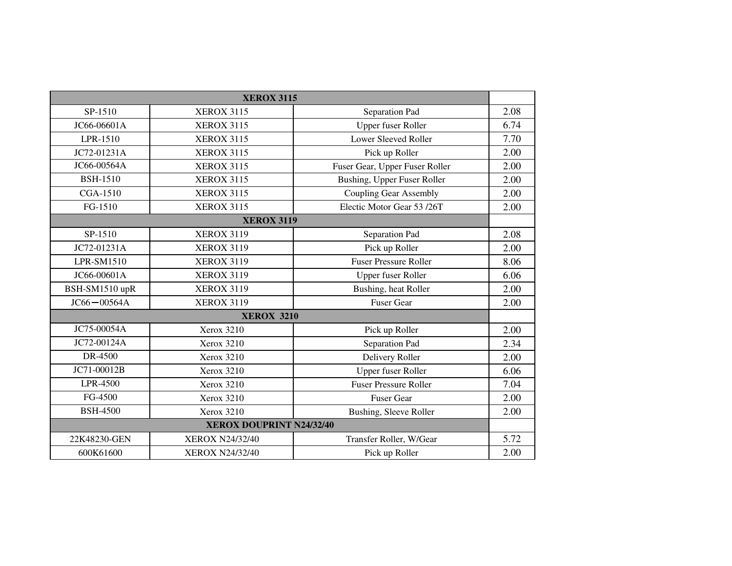|                                 | <b>XEROX 3115</b>      |                                |      |
|---------------------------------|------------------------|--------------------------------|------|
| SP-1510                         | <b>XEROX 3115</b>      | Separation Pad                 | 2.08 |
| JC66-06601A                     | <b>XEROX 3115</b>      | <b>Upper fuser Roller</b>      | 6.74 |
| LPR-1510                        | <b>XEROX 3115</b>      | <b>Lower Sleeved Roller</b>    | 7.70 |
| JC72-01231A                     | <b>XEROX 3115</b>      | Pick up Roller                 | 2.00 |
| JC66-00564A                     | <b>XEROX 3115</b>      | Fuser Gear, Upper Fuser Roller | 2.00 |
| <b>BSH-1510</b>                 | <b>XEROX 3115</b>      | Bushing, Upper Fuser Roller    | 2.00 |
| CGA-1510                        | <b>XEROX 3115</b>      | <b>Coupling Gear Assembly</b>  | 2.00 |
| FG-1510                         | <b>XEROX 3115</b>      | Electic Motor Gear 53/26T      | 2.00 |
|                                 | <b>XEROX 3119</b>      |                                |      |
| SP-1510                         | <b>XEROX 3119</b>      | Separation Pad                 | 2.08 |
| JC72-01231A                     | <b>XEROX 3119</b>      | Pick up Roller                 | 2.00 |
| LPR-SM1510                      | <b>XEROX 3119</b>      | <b>Fuser Pressure Roller</b>   | 8.06 |
| JC66-00601A                     | <b>XEROX 3119</b>      | <b>Upper fuser Roller</b>      | 6.06 |
| BSH-SM1510 upR                  | <b>XEROX 3119</b>      | Bushing, heat Roller           | 2.00 |
| $JC66 - 00564A$                 | <b>XEROX 3119</b>      | <b>Fuser Gear</b>              | 2.00 |
|                                 | <b>XEROX 3210</b>      |                                |      |
| JC75-00054A                     | Xerox 3210             | Pick up Roller                 | 2.00 |
| JC72-00124A                     | Xerox 3210             | Separation Pad                 | 2.34 |
| DR-4500                         | Xerox 3210             | Delivery Roller                | 2.00 |
| JC71-00012B                     | Xerox 3210             | <b>Upper fuser Roller</b>      | 6.06 |
| LPR-4500                        | Xerox 3210             | <b>Fuser Pressure Roller</b>   | 7.04 |
| FG-4500                         | Xerox 3210             | <b>Fuser Gear</b>              | 2.00 |
| <b>BSH-4500</b>                 | Xerox 3210             | Bushing, Sleeve Roller         | 2.00 |
| <b>XEROX DOUPRINT N24/32/40</b> |                        |                                |      |
| 22K48230-GEN                    | <b>XEROX N24/32/40</b> | Transfer Roller, W/Gear        | 5.72 |
| 600K61600                       | <b>XEROX N24/32/40</b> | Pick up Roller                 | 2.00 |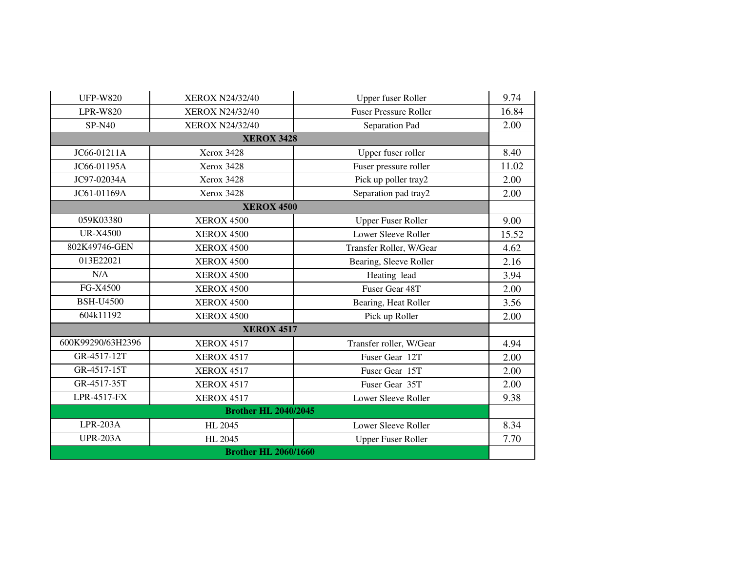| <b>UFP-W820</b>             | <b>XEROX N24/32/40</b> | Upper fuser Roller           | 9.74  |  |
|-----------------------------|------------------------|------------------------------|-------|--|
| <b>LPR-W820</b>             | XEROX N24/32/40        | <b>Fuser Pressure Roller</b> | 16.84 |  |
| <b>SP-N40</b>               | <b>XEROX N24/32/40</b> | Separation Pad               | 2.00  |  |
|                             | <b>XEROX 3428</b>      |                              |       |  |
| JC66-01211A                 | Xerox 3428             | Upper fuser roller           | 8.40  |  |
| JC66-01195A                 | <b>Xerox 3428</b>      | Fuser pressure roller        | 11.02 |  |
| JC97-02034A                 | <b>Xerox 3428</b>      | Pick up poller tray2         | 2.00  |  |
| JC61-01169A                 | Xerox 3428             | Separation pad tray2         | 2.00  |  |
|                             | <b>XEROX 4500</b>      |                              |       |  |
| 059K03380                   | <b>XEROX 4500</b>      | <b>Upper Fuser Roller</b>    | 9.00  |  |
| <b>UR-X4500</b>             | <b>XEROX 4500</b>      | Lower Sleeve Roller          | 15.52 |  |
| 802K49746-GEN               | <b>XEROX 4500</b>      | Transfer Roller, W/Gear      | 4.62  |  |
| 013E22021                   | <b>XEROX 4500</b>      | Bearing, Sleeve Roller       | 2.16  |  |
| N/A                         | <b>XEROX 4500</b>      | Heating lead                 | 3.94  |  |
| FG-X4500                    | <b>XEROX 4500</b>      | Fuser Gear 48T               | 2.00  |  |
| <b>BSH-U4500</b>            | <b>XEROX 4500</b>      | Bearing, Heat Roller         | 3.56  |  |
| 604k11192                   | <b>XEROX 4500</b>      | Pick up Roller               | 2.00  |  |
|                             |                        |                              |       |  |
| 600K99290/63H2396           | <b>XEROX 4517</b>      | Transfer roller, W/Gear      | 4.94  |  |
| GR-4517-12T                 | <b>XEROX 4517</b>      | Fuser Gear 12T               | 2.00  |  |
| GR-4517-15T                 | <b>XEROX 4517</b>      | Fuser Gear 15T               | 2.00  |  |
| GR-4517-35T                 | <b>XEROX 4517</b>      | Fuser Gear 35T               | 2.00  |  |
| LPR-4517-FX                 | <b>XEROX 4517</b>      | Lower Sleeve Roller          | 9.38  |  |
| <b>Brother HL 2040/2045</b> |                        |                              |       |  |
| $LPR-203A$                  | HL 2045                | Lower Sleeve Roller          | 8.34  |  |
| <b>UPR-203A</b>             | <b>HL 2045</b>         | <b>Upper Fuser Roller</b>    | 7.70  |  |
| <b>Brother HL 2060/1660</b> |                        |                              |       |  |
| <b>XEROX 4517</b>           |                        |                              |       |  |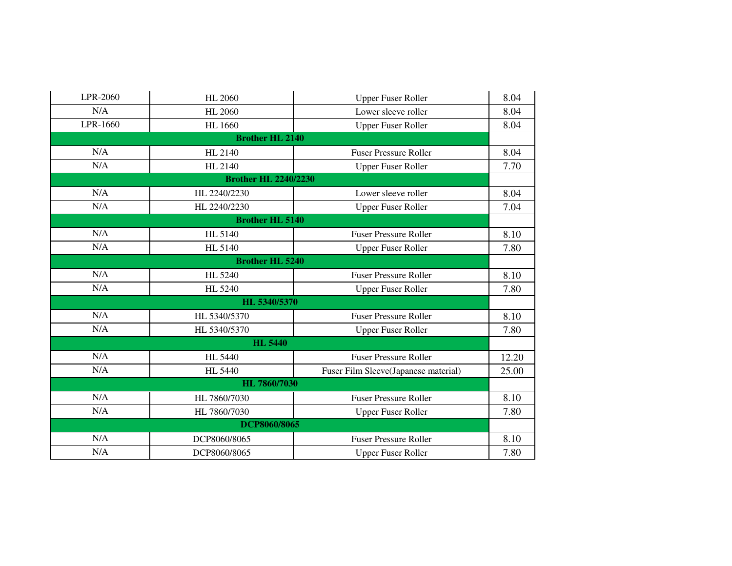| LPR-2060 | <b>HL 2060</b>              | <b>Upper Fuser Roller</b>            | 8.04  |
|----------|-----------------------------|--------------------------------------|-------|
| N/A      | <b>HL 2060</b>              | Lower sleeve roller                  | 8.04  |
| LPR-1660 | <b>HL</b> 1660              | <b>Upper Fuser Roller</b>            | 8.04  |
|          | <b>Brother HL 2140</b>      |                                      |       |
| N/A      | HL 2140                     | <b>Fuser Pressure Roller</b>         | 8.04  |
| N/A      | HL 2140                     | <b>Upper Fuser Roller</b>            | 7.70  |
|          | <b>Brother HL 2240/2230</b> |                                      |       |
| N/A      | HL 2240/2230                | Lower sleeve roller                  | 8.04  |
| N/A      | HL 2240/2230                | <b>Upper Fuser Roller</b>            | 7.04  |
|          | <b>Brother HL 5140</b>      |                                      |       |
| N/A      | HL 5140                     | <b>Fuser Pressure Roller</b>         | 8.10  |
| N/A      | HL 5140                     | <b>Upper Fuser Roller</b>            | 7.80  |
|          | <b>Brother HL 5240</b>      |                                      |       |
| N/A      | HL 5240                     | <b>Fuser Pressure Roller</b>         | 8.10  |
| N/A      | HL 5240                     | <b>Upper Fuser Roller</b>            | 7.80  |
|          | HL 5340/5370                |                                      |       |
| N/A      | HL 5340/5370                | <b>Fuser Pressure Roller</b>         | 8.10  |
| N/A      | HL 5340/5370                | <b>Upper Fuser Roller</b>            | 7.80  |
|          | <b>HL 5440</b>              |                                      |       |
| N/A      | <b>HL 5440</b>              | <b>Fuser Pressure Roller</b>         | 12.20 |
| N/A      | <b>HL 5440</b>              | Fuser Film Sleeve(Japanese material) | 25.00 |
|          | HL 7860/7030                |                                      |       |
| N/A      | HL 7860/7030                | <b>Fuser Pressure Roller</b>         | 8.10  |
| N/A      | HL 7860/7030                | <b>Upper Fuser Roller</b>            | 7.80  |
|          | DCP8060/8065                |                                      |       |
| N/A      | DCP8060/8065                | <b>Fuser Pressure Roller</b>         | 8.10  |
| N/A      | DCP8060/8065                | <b>Upper Fuser Roller</b>            | 7.80  |
|          |                             |                                      |       |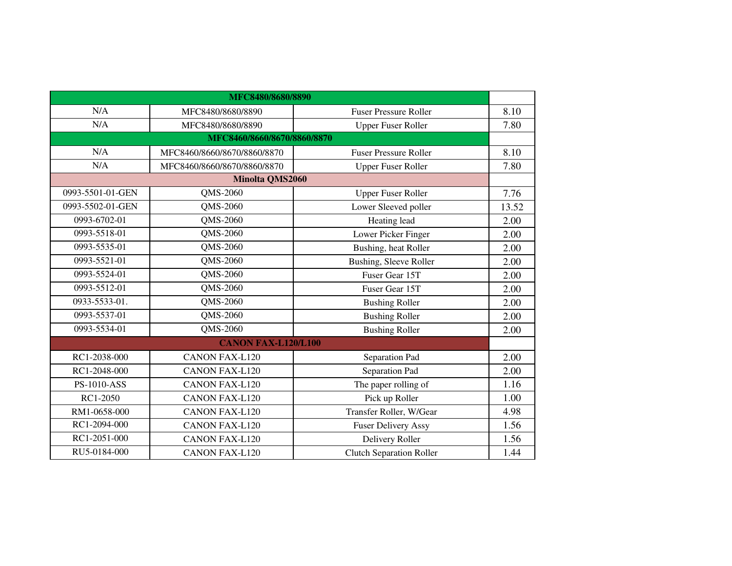| MFC8480/8680/8890 |                             |                                 |       |
|-------------------|-----------------------------|---------------------------------|-------|
| N/A               | MFC8480/8680/8890           | <b>Fuser Pressure Roller</b>    | 8.10  |
| N/A               | MFC8480/8680/8890           | <b>Upper Fuser Roller</b>       | 7.80  |
|                   | MFC8460/8660/8670/8860/8870 |                                 |       |
| N/A               | MFC8460/8660/8670/8860/8870 | <b>Fuser Pressure Roller</b>    | 8.10  |
| N/A               | MFC8460/8660/8670/8860/8870 | <b>Upper Fuser Roller</b>       | 7.80  |
|                   | <b>Minolta QMS2060</b>      |                                 |       |
| 0993-5501-01-GEN  | QMS-2060                    | <b>Upper Fuser Roller</b>       | 7.76  |
| 0993-5502-01-GEN  | QMS-2060                    | Lower Sleeved poller            | 13.52 |
| 0993-6702-01      | QMS-2060                    | Heating lead                    | 2.00  |
| 0993-5518-01      | QMS-2060                    | Lower Picker Finger             | 2.00  |
| 0993-5535-01      | QMS-2060                    | Bushing, heat Roller            | 2.00  |
| 0993-5521-01      | QMS-2060                    | <b>Bushing, Sleeve Roller</b>   | 2.00  |
| 0993-5524-01      | QMS-2060                    | Fuser Gear 15T                  | 2.00  |
| 0993-5512-01      | QMS-2060                    | Fuser Gear 15T                  | 2.00  |
| 0933-5533-01.     | QMS-2060                    | <b>Bushing Roller</b>           | 2.00  |
| 0993-5537-01      | QMS-2060                    | <b>Bushing Roller</b>           | 2.00  |
| 0993-5534-01      | QMS-2060                    | <b>Bushing Roller</b>           | 2.00  |
|                   | <b>CANON FAX-L120/L100</b>  |                                 |       |
| RC1-2038-000      | <b>CANON FAX-L120</b>       | Separation Pad                  | 2.00  |
| RC1-2048-000      | <b>CANON FAX-L120</b>       | Separation Pad                  | 2.00  |
| PS-1010-ASS       | <b>CANON FAX-L120</b>       | The paper rolling of            | 1.16  |
| RC1-2050          | <b>CANON FAX-L120</b>       | Pick up Roller                  | 1.00  |
| RM1-0658-000      | <b>CANON FAX-L120</b>       | Transfer Roller, W/Gear         | 4.98  |
| RC1-2094-000      | <b>CANON FAX-L120</b>       | <b>Fuser Delivery Assy</b>      | 1.56  |
| RC1-2051-000      | <b>CANON FAX-L120</b>       | Delivery Roller                 | 1.56  |
| RU5-0184-000      | <b>CANON FAX-L120</b>       | <b>Clutch Separation Roller</b> | 1.44  |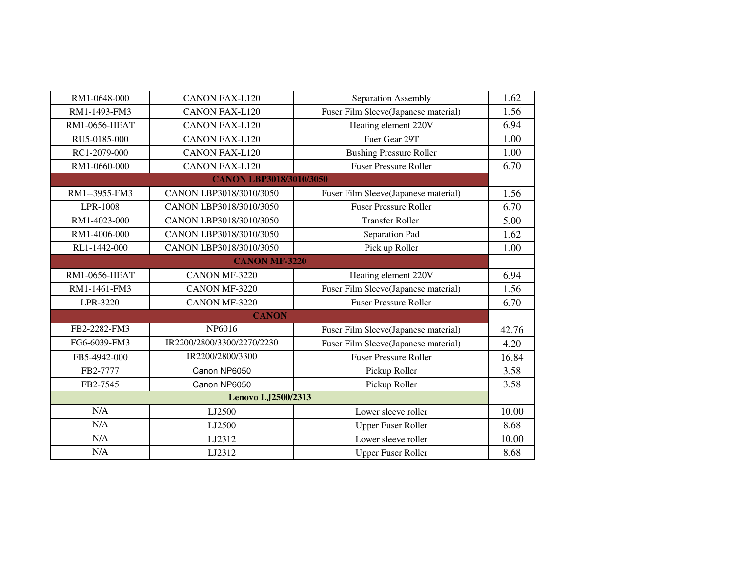| RM1-0648-000         | <b>CANON FAX-L120</b>          | Separation Assembly                  | 1.62  |
|----------------------|--------------------------------|--------------------------------------|-------|
| RM1-1493-FM3         | <b>CANON FAX-L120</b>          | Fuser Film Sleeve(Japanese material) | 1.56  |
| <b>RM1-0656-HEAT</b> | <b>CANON FAX-L120</b>          | Heating element 220V                 | 6.94  |
| RU5-0185-000         | <b>CANON FAX-L120</b>          | Fuer Gear 29T                        | 1.00  |
| RC1-2079-000         | <b>CANON FAX-L120</b>          | <b>Bushing Pressure Roller</b>       | 1.00  |
| RM1-0660-000         | <b>CANON FAX-L120</b>          | <b>Fuser Pressure Roller</b>         | 6.70  |
|                      | <b>CANON LBP3018/3010/3050</b> |                                      |       |
| RM1--3955-FM3        | CANON LBP3018/3010/3050        | Fuser Film Sleeve(Japanese material) | 1.56  |
| LPR-1008             | CANON LBP3018/3010/3050        | <b>Fuser Pressure Roller</b>         | 6.70  |
| RM1-4023-000         | CANON LBP3018/3010/3050        | <b>Transfer Roller</b>               | 5.00  |
| RM1-4006-000         | CANON LBP3018/3010/3050        | Separation Pad                       | 1.62  |
| RL1-1442-000         | CANON LBP3018/3010/3050        | Pick up Roller                       | 1.00  |
|                      | <b>CANON MF-3220</b>           |                                      |       |
| <b>RM1-0656-HEAT</b> | CANON MF-3220                  | Heating element 220V                 | 6.94  |
| RM1-1461-FM3         | CANON MF-3220                  | Fuser Film Sleeve(Japanese material) | 1.56  |
| LPR-3220             | CANON MF-3220                  | <b>Fuser Pressure Roller</b>         | 6.70  |
|                      | <b>CANON</b>                   |                                      |       |
| FB2-2282-FM3         | NP6016                         | Fuser Film Sleeve(Japanese material) | 42.76 |
| FG6-6039-FM3         | IR2200/2800/3300/2270/2230     | Fuser Film Sleeve(Japanese material) | 4.20  |
| FB5-4942-000         | IR2200/2800/3300               | <b>Fuser Pressure Roller</b>         | 16.84 |
| FB2-7777             | Canon NP6050                   | Pickup Roller                        | 3.58  |
| FB2-7545             | Canon NP6050                   | Pickup Roller                        | 3.58  |
|                      | Lenovo LJ2500/2313             |                                      |       |
| N/A                  | LJ2500                         | Lower sleeve roller                  | 10.00 |
| N/A                  | LJ2500                         | <b>Upper Fuser Roller</b>            | 8.68  |
| N/A                  | LJ2312                         | Lower sleeve roller                  | 10.00 |
| N/A                  | LJ2312                         | <b>Upper Fuser Roller</b>            | 8.68  |
|                      |                                |                                      |       |